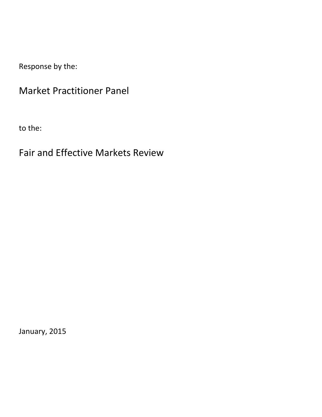Response by the:

# Market Practitioner Panel

to the:

Fair and Effective Markets Review

January, 2015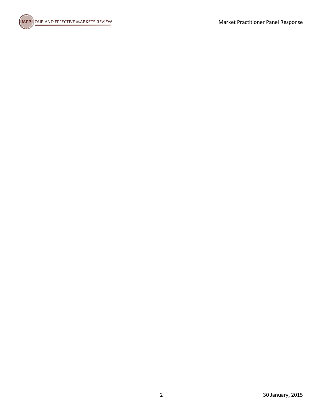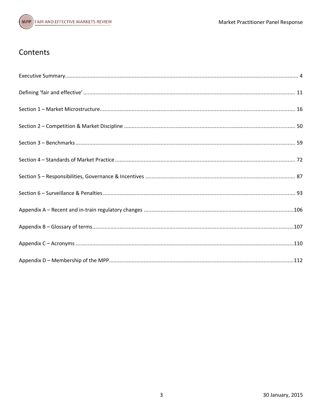

## Contents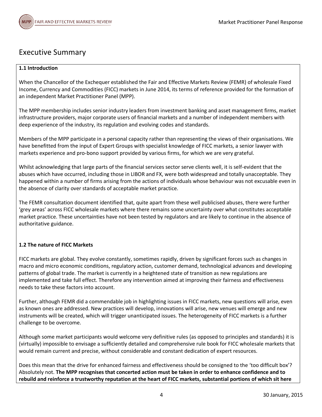## <span id="page-3-0"></span>Executive Summary

## **1.1 Introduction**

When the Chancellor of the Exchequer established the Fair and Effective Markets Review (FEMR) of wholesale Fixed Income, Currency and Commodities (FICC) markets in June 2014, its terms of reference provided for the formation of an independent Market Practitioner Panel (MPP).

The MPP membership includes senior industry leaders from investment banking and asset management firms, market infrastructure providers, major corporate users of financial markets and a number of independent members with deep experience of the industry, its regulation and evolving codes and standards.

Members of the MPP participate in a personal capacity rather than representing the views of their organisations. We have benefitted from the input of Expert Groups with specialist knowledge of FICC markets, a senior lawyer with markets experience and pro-bono support provided by various firms, for which we are very grateful.

Whilst acknowledging that large parts of the financial services sector serve clients well, it is self-evident that the abuses which have occurred, including those in LIBOR and FX, were both widespread and totally unacceptable. They happened within a number of firms arising from the actions of individuals whose behaviour was not excusable even in the absence of clarity over standards of acceptable market practice.

The FEMR consultation document identified that, quite apart from these well publicised abuses, there were further 'grey areas' across FICC wholesale markets where there remains some uncertainty over what constitutes acceptable market practice. These uncertainties have not been tested by regulators and are likely to continue in the absence of authoritative guidance.

## **1.2 The nature of FICC Markets**

FICC markets are global. They evolve constantly, sometimes rapidly, driven by significant forces such as changes in macro and micro economic conditions, regulatory action, customer demand, technological advances and developing patterns of global trade. The market is currently in a heightened state of transition as new regulations are implemented and take full effect. Therefore any intervention aimed at improving their fairness and effectiveness needs to take these factors into account.

Further, although FEMR did a commendable job in highlighting issues in FICC markets, new questions will arise, even as known ones are addressed. New practices will develop, innovations will arise, new venues will emerge and new instruments will be created, which will trigger unanticipated issues. The heterogeneity of FICC markets is a further challenge to be overcome.

Although some market participants would welcome very definitive rules (as opposed to principles and standards) it is (virtually) impossible to envisage a sufficiently detailed and comprehensive rule book for FICC wholesale markets that would remain current and precise, without considerable and constant dedication of expert resources.

Does this mean that the drive for enhanced fairness and effectiveness should be consigned to the 'too difficult box'? Absolutely not. **The MPP recognises that concerted action must be taken in order to enhance confidence and to rebuild and reinforce a trustworthy reputation at the heart of FICC markets, substantial portions of which sit here**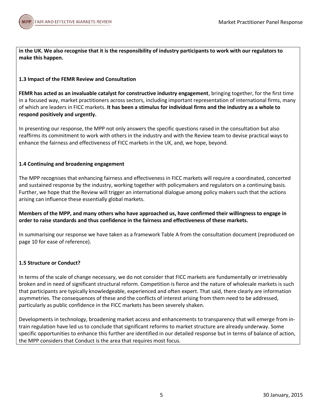

**in the UK. We also recognise that it is the responsibility of industry participants to work with our regulators to make this happen.**

#### **1.3 Impact of the FEMR Review and Consultation**

**FEMR has acted as an invaluable catalyst for constructive industry engagement**, bringing together, for the first time in a focused way, market practitioners across sectors, including important representation of international firms, many of which are leaders in FICC markets. **It has been a stimulus for individual firms and the industry as a whole to respond positively and urgently.**

In presenting our response, the MPP not only answers the specific questions raised in the consultation but also reaffirms its commitment to work with others in the industry and with the Review team to devise practical ways to enhance the fairness and effectiveness of FICC markets in the UK, and, we hope, beyond.

### **1.4 Continuing and broadening engagement**

The MPP recognises that enhancing fairness and effectiveness in FICC markets will require a coordinated, concerted and sustained response by the industry, working together with policymakers and regulators on a continuing basis. Further, we hope that the Review will trigger an international dialogue among policy makers such that the actions arising can influence these essentially global markets.

**Members of the MPP, and many others who have approached us, have confirmed their willingness to engage in order to raise standards and thus confidence in the fairness and effectiveness of these markets.** 

In summarising our response we have taken as a framework Table A from the consultation document (reproduced on page 10 for ease of reference).

#### **1.5 Structure or Conduct?**

In terms of the scale of change necessary, we do not consider that FICC markets are fundamentally or irretrievably broken and in need of significant structural reform. Competition is fierce and the nature of wholesale markets is such that participants are typically knowledgeable, experienced and often expert. That said, there clearly are information asymmetries. The consequences of these and the conflicts of interest arising from them need to be addressed, particularly as public confidence in the FICC markets has been severely shaken.

Developments in technology, broadening market access and enhancements to transparency that will emerge from intrain regulation have led us to conclude that significant reforms to market structure are already underway. Some specific opportunities to enhance this further are identified in our detailed response but in terms of balance of action, the MPP considers that Conduct is the area that requires most focus.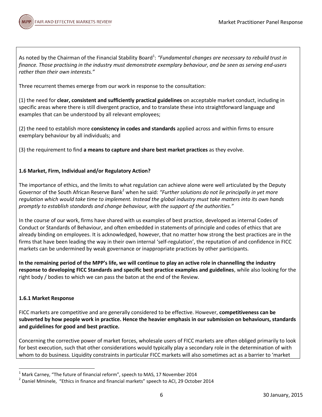As noted by the Chairman of the Financial Stability Board<sup>1</sup>: "Fundamental changes are necessary to rebuild trust in *finance. Those practising in the industry must demonstrate exemplary behaviour, and be seen as serving end-users rather than their own interests."*

Three recurrent themes emerge from our work in response to the consultation:

(1) the need for **clear, consistent and sufficiently practical guidelines** on acceptable market conduct, including in specific areas where there is still divergent practice, and to translate these into straightforward language and examples that can be understood by all relevant employees;

(2) the need to establish more **consistency in codes and standards** applied across and within firms to ensure exemplary behaviour by all individuals; and

(3) the requirement to find **a means to capture and share best market practices** as they evolve.

## **1.6 Market, Firm, Individual and/or Regulatory Action?**

The importance of ethics, and the limits to what regulation can achieve alone were well articulated by the Deputy Governor of the South African Reserve Bank<sup>2</sup> when he said: "Further solutions do not lie principally in yet more *regulation which would take time to implement. Instead the global industry must take matters into its own hands promptly to establish standards and change behaviour, with the support of the authorities."*

In the course of our work, firms have shared with us examples of best practice, developed as internal Codes of Conduct or Standards of Behaviour, and often embedded in statements of principle and codes of ethics that are already binding on employees. It is acknowledged, however, that no matter how strong the best practices are in the firms that have been leading the way in their own internal 'self-regulation', the reputation of and confidence in FICC markets can be undermined by weak governance or inappropriate practices by other participants.

**In the remaining period of the MPP's life, we will continue to play an active role in channelling the industry response to developing FICC Standards and specific best practice examples and guidelines**, while also looking for the right body / bodies to which we can pass the baton at the end of the Review.

#### **1.6.1 Market Response**

 $\overline{a}$ 

FICC markets are competitive and are generally considered to be effective. However, **competitiveness can be subverted by how people work in practice. Hence the heavier emphasis in our submission on behaviours, standards and guidelines for good and best practice.** 

Concerning the corrective power of market forces, wholesale users of FICC markets are often obliged primarily to look for best execution, such that other considerations would typically play a secondary role in the determination of with whom to do business. Liquidity constraints in particular FICC markets will also sometimes act as a barrier to 'market

 $^1$  Mark Carney, "The future of financial reform", speech to MAS, 17 November 2014

 $^{2}$  Daniel Mminele,  $\degree$ Ethics in finance and financial markets" speech to ACI, 29 October 2014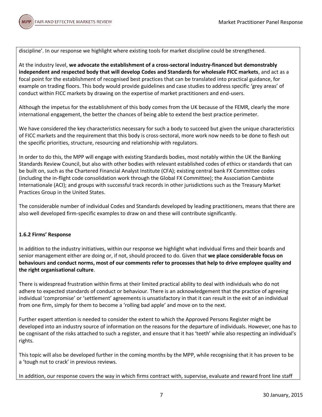discipline'. In our response we highlight where existing tools for market discipline could be strengthened.

At the industry level, **we advocate the establishment of a cross-sectoral industry-financed but demonstrably independent and respected body that will develop Codes and Standards for wholesale FICC markets**, and act as a focal point for the establishment of recognised best practices that can be translated into practical guidance, for example on trading floors. This body would provide guidelines and case studies to address specific 'grey areas' of conduct within FICC markets by drawing on the expertise of market practitioners and end-users.

Although the impetus for the establishment of this body comes from the UK because of the FEMR, clearly the more international engagement, the better the chances of being able to extend the best practice perimeter.

We have considered the key characteristics necessary for such a body to succeed but given the unique characteristics of FICC markets and the requirement that this body is cross-sectoral, more work now needs to be done to flesh out the specific priorities, structure, resourcing and relationship with regulators.

In order to do this, the MPP will engage with existing Standards bodies, most notably within the UK the Banking Standards Review Council, but also with other bodies with relevant established codes of ethics or standards that can be built on, such as the Chartered Financial Analyst Institute (CFA); existing central bank FX Committee codes (including the in-flight code consolidation work through the Global FX Committee); the Association Cambiste Internationale (ACI); and groups with successful track records in other jurisdictions such as the Treasury Market Practices Group in the United States.

The considerable number of individual Codes and Standards developed by leading practitioners, means that there are also well developed firm-specific examples to draw on and these will contribute significantly.

## **1.6.2 Firms' Response**

In addition to the industry initiatives, within our response we highlight what individual firms and their boards and senior management either are doing or, if not, should proceed to do. Given that **we place considerable focus on behaviours and conduct norms, most of our comments refer to processes that help to drive employee quality and the right organisational culture**.

There is widespread frustration within firms at their limited practical ability to deal with individuals who do not adhere to expected standards of conduct or behaviour. There is an acknowledgement that the practice of agreeing individual 'compromise' or 'settlement' agreements is unsatisfactory in that it can result in the exit of an individual from one firm, simply for them to become a 'rolling bad apple' and move on to the next.

Further expert attention is needed to consider the extent to which the Approved Persons Register might be developed into an industry source of information on the reasons for the departure of individuals. However, one has to be cognisant of the risks attached to such a register, and ensure that it has 'teeth' while also respecting an individual's rights.

This topic will also be developed further in the coming months by the MPP, while recognising that it has proven to be a 'tough nut to crack' in previous reviews.

In addition, our response covers the way in which firms contract with, supervise, evaluate and reward front line staff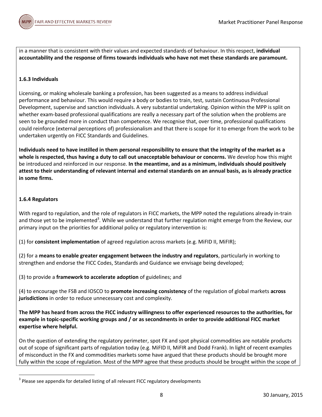in a manner that is consistent with their values and expected standards of behaviour. In this respect, **individual accountability and the response of firms towards individuals who have not met these standards are paramount.**

### **1.6.3 Individuals**

Licensing, or making wholesale banking a profession, has been suggested as a means to address individual performance and behaviour. This would require a body or bodies to train, test, sustain Continuous Professional Development, supervise and sanction individuals. A very substantial undertaking. Opinion within the MPP is split on whether exam-based professional qualifications are really a necessary part of the solution when the problems are seen to be grounded more in conduct than competence. We recognise that, over time, professional qualifications could reinforce (external perceptions of) professionalism and that there is scope for it to emerge from the work to be undertaken urgently on FICC Standards and Guidelines.

**Individuals need to have instilled in them personal responsibility to ensure that the integrity of the market as a whole is respected, thus having a duty to call out unacceptable behaviour or concerns.** We develop how this might be introduced and reinforced in our response. **In the meantime, and as a minimum, individuals should positively attest to their understanding of relevant internal and external standards on an annual basis, as is already practice in some firms.**

## **1.6.4 Regulators**

 $\overline{\phantom{a}}$ 

With regard to regulation, and the role of regulators in FICC markets, the MPP noted the regulations already in-train and those yet to be implemented<sup>3</sup>. While we understand that further regulation might emerge from the Review, our primary input on the priorities for additional policy or regulatory intervention is:

(1) for **consistent implementation** of agreed regulation across markets (e.g. MiFID II, MiFIR);

(2) for a **means to enable greater engagement between the industry and regulators**, particularly in working to strengthen and endorse the FICC Codes, Standards and Guidance we envisage being developed;

(3) to provide a **framework to accelerate adoption** of guidelines; and

(4) to encourage the FSB and IOSCO to **promote increasing consistency** of the regulation of global markets **across jurisdictions** in order to reduce unnecessary cost and complexity.

**The MPP has heard from across the FICC industry willingness to offer experienced resources to the authorities, for example in topic-specific working groups and / or as secondments in order to provide additional FICC market expertise where helpful.**

On the question of extending the regulatory perimeter, spot FX and spot physical commodities are notable products out of scope of significant parts of regulation today (e.g. MiFID II, MiFIR and Dodd Frank). In light of recent examples of misconduct in the FX and commodities markets some have argued that these products should be brought more fully within the scope of regulation. Most of the MPP agree that these products should be brought within the scope of

 $3$  Please see appendix for detailed listing of all relevant FICC regulatory developments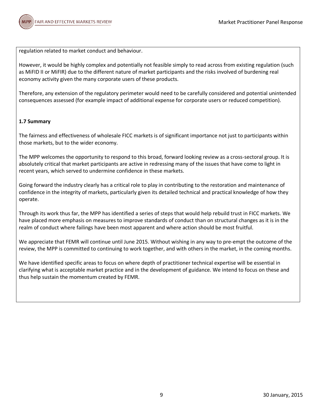regulation related to market conduct and behaviour.

However, it would be highly complex and potentially not feasible simply to read across from existing regulation (such as MiFID II or MiFIR) due to the different nature of market participants and the risks involved of burdening real economy activity given the many corporate users of these products.

Therefore, any extension of the regulatory perimeter would need to be carefully considered and potential unintended consequences assessed (for example impact of additional expense for corporate users or reduced competition).

### **1.7 Summary**

The fairness and effectiveness of wholesale FICC markets is of significant importance not just to participants within those markets, but to the wider economy.

The MPP welcomes the opportunity to respond to this broad, forward looking review as a cross-sectoral group. It is absolutely critical that market participants are active in redressing many of the issues that have come to light in recent years, which served to undermine confidence in these markets.

Going forward the industry clearly has a critical role to play in contributing to the restoration and maintenance of confidence in the integrity of markets, particularly given its detailed technical and practical knowledge of how they operate.

Through its work thus far, the MPP has identified a series of steps that would help rebuild trust in FICC markets. We have placed more emphasis on measures to improve standards of conduct than on structural changes as it is in the realm of conduct where failings have been most apparent and where action should be most fruitful.

We appreciate that FEMR will continue until June 2015. Without wishing in any way to pre-empt the outcome of the review, the MPP is committed to continuing to work together, and with others in the market, in the coming months.

We have identified specific areas to focus on where depth of practitioner technical expertise will be essential in clarifying what is acceptable market practice and in the development of guidance. We intend to focus on these and thus help sustain the momentum created by FEMR.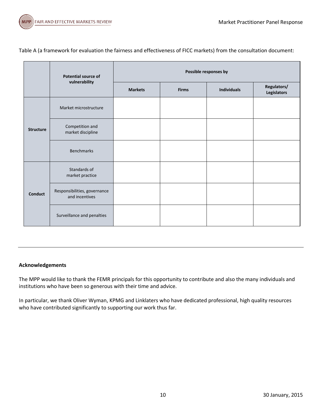

|                  | <b>Potential source of</b><br>vulnerability    | Possible responses by |              |                    |                                   |
|------------------|------------------------------------------------|-----------------------|--------------|--------------------|-----------------------------------|
|                  |                                                | <b>Markets</b>        | <b>Firms</b> | <b>Individuals</b> | Regulators/<br><b>Legislators</b> |
| <b>Structure</b> | Market microstructure                          |                       |              |                    |                                   |
|                  | Competition and<br>market discipline           |                       |              |                    |                                   |
|                  | <b>Benchmarks</b>                              |                       |              |                    |                                   |
| <b>Conduct</b>   | Standards of<br>market practice                |                       |              |                    |                                   |
|                  | Responsibilities, governance<br>and incentives |                       |              |                    |                                   |
|                  | Surveillance and penalties                     |                       |              |                    |                                   |

Table A (a framework for evaluation the fairness and effectiveness of FICC markets) from the consultation document:

## **Acknowledgements**

The MPP would like to thank the FEMR principals for this opportunity to contribute and also the many individuals and institutions who have been so generous with their time and advice.

In particular, we thank Oliver Wyman, KPMG and Linklaters who have dedicated professional, high quality resources who have contributed significantly to supporting our work thus far.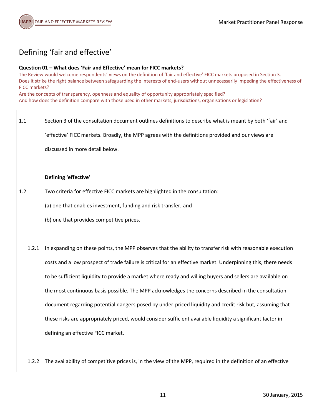## <span id="page-10-0"></span>Defining 'fair and effective'

#### **Question 01 – What does 'Fair and Effective' mean for FICC markets?**

The Review would welcome respondents' views on the definition of 'fair and effective' FICC markets proposed in Section 3. Does it strike the right balance between safeguarding the interests of end-users without unnecessarily impeding the effectiveness of FICC markets?

Are the concepts of transparency, openness and equality of opportunity appropriately specified? And how does the definition compare with those used in other markets, jurisdictions, organisations or legislation?

1.1 Section 3 of the consultation document outlines definitions to describe what is meant by both 'fair' and 'effective' FICC markets. Broadly, the MPP agrees with the definitions provided and our views are discussed in more detail below.

#### **Defining 'effective'**

- 1.2 Two criteria for effective FICC markets are highlighted in the consultation:
	- (a) one that enables investment, funding and risk transfer; and
	- (b) one that provides competitive prices.
	- 1.2.1 In expanding on these points, the MPP observes that the ability to transfer risk with reasonable execution costs and a low prospect of trade failure is critical for an effective market. Underpinning this, there needs to be sufficient liquidity to provide a market where ready and willing buyers and sellers are available on the most continuous basis possible. The MPP acknowledges the concerns described in the consultation document regarding potential dangers posed by under-priced liquidity and credit risk but, assuming that these risks are appropriately priced, would consider sufficient available liquidity a significant factor in defining an effective FICC market.
	- 1.2.2 The availability of competitive prices is, in the view of the MPP, required in the definition of an effective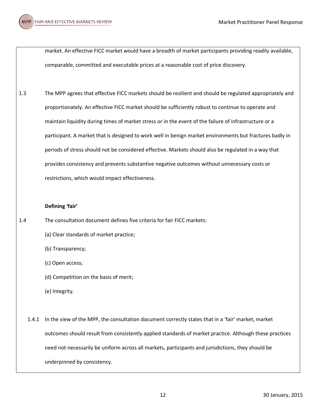market. An effective FICC market would have a breadth of market participants providing readily available, comparable, committed and executable prices at a reasonable cost of price discovery.

1.3 The MPP agrees that effective FICC markets should be resilient and should be regulated appropriately and proportionately. An effective FICC market should be sufficiently robust to continue to operate and maintain liquidity during times of market stress or in the event of the failure of infrastructure or a participant. A market that is designed to work well in benign market environments but fractures badly in periods of stress should not be considered effective. Markets should also be regulated in a way that provides consistency and prevents substantive negative outcomes without unnecessary costs or restrictions, which would impact effectiveness.

#### **Defining 'fair'**

1.4 The consultation document defines five criteria for fair FICC markets:

- (a) Clear standards of market practice;
- (b) Transparency;
- (c) Open access;
- (d) Competition on the basis of merit;
- (e) Integrity.

1.4.1 In the view of the MPP, the consultation document correctly states that in a 'fair' market, market outcomes should result from consistently applied standards of market practice. Although these practices need not necessarily be uniform across all markets, participants and jurisdictions, they should be underpinned by consistency.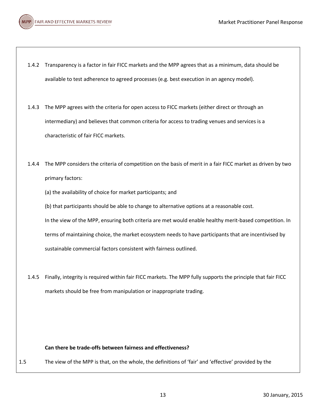- 1.4.2 Transparency is a factor in fair FICC markets and the MPP agrees that as a minimum, data should be available to test adherence to agreed processes (e.g. best execution in an agency model).
- 1.4.3 The MPP agrees with the criteria for open access to FICC markets (either direct or through an intermediary) and believes that common criteria for access to trading venues and services is a characteristic of fair FICC markets.
- 1.4.4 The MPP considers the criteria of competition on the basis of merit in a fair FICC market as driven by two primary factors:
	- (a) the availability of choice for market participants; and
	- (b) that participants should be able to change to alternative options at a reasonable cost.

In the view of the MPP, ensuring both criteria are met would enable healthy merit-based competition. In terms of maintaining choice, the market ecosystem needs to have participants that are incentivised by sustainable commercial factors consistent with fairness outlined.

1.4.5 Finally, integrity is required within fair FICC markets. The MPP fully supports the principle that fair FICC markets should be free from manipulation or inappropriate trading.

## **Can there be trade-offs between fairness and effectiveness?**

1.5 The view of the MPP is that, on the whole, the definitions of 'fair' and 'effective' provided by the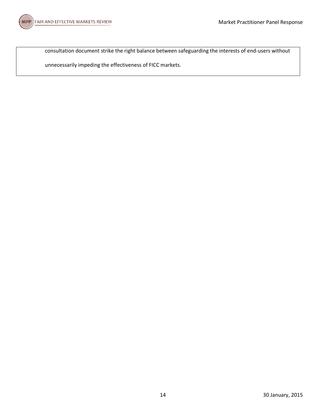

consultation document strike the right balance between safeguarding the interests of end-users without

unnecessarily impeding the effectiveness of FICC markets.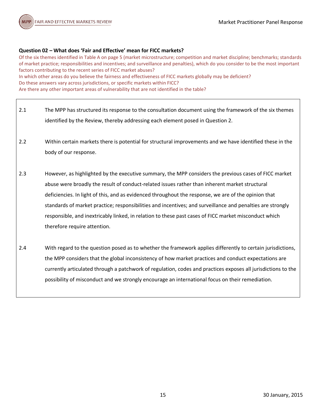#### **Question 02 – What does 'Fair and Effective' mean for FICC markets?**

Of the six themes identified in Table A on page 5 (market microstructure; competition and market discipline; benchmarks; standards of market practice; responsibilities and incentives; and surveillance and penalties), which do you consider to be the most important factors contributing to the recent series of FICC market abuses? In which other areas do you believe the fairness and effectiveness of FICC markets globally may be deficient? Do these answers vary across jurisdictions, or specific markets within FICC? Are there any other important areas of vulnerability that are not identified in the table?

- 2.1 The MPP has structured its response to the consultation document using the framework of the six themes identified by the Review, thereby addressing each element posed in Question 2.
- 2.2 Within certain markets there is potential for structural improvements and we have identified these in the body of our response.
- 2.3 However, as highlighted by the executive summary, the MPP considers the previous cases of FICC market abuse were broadly the result of conduct-related issues rather than inherent market structural deficiencies. In light of this, and as evidenced throughout the response, we are of the opinion that standards of market practice; responsibilities and incentives; and surveillance and penalties are strongly responsible, and inextricably linked, in relation to these past cases of FICC market misconduct which therefore require attention.
- 2.4 With regard to the question posed as to whether the framework applies differently to certain jurisdictions, the MPP considers that the global inconsistency of how market practices and conduct expectations are currently articulated through a patchwork of regulation, codes and practices exposes all jurisdictions to the possibility of misconduct and we strongly encourage an international focus on their remediation.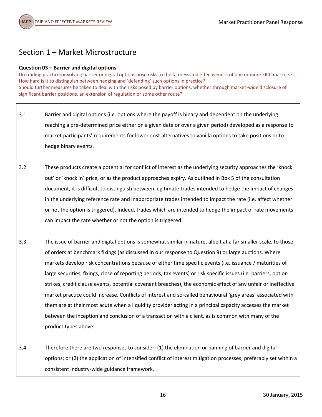## <span id="page-15-0"></span>Section 1 – Market Microstructure

#### **Question 03 – Barrier and digital options**

Do trading practices involving barrier or digital options pose risks to the fairness and effectiveness of one or more FICC markets? How hard is it to distinguish between hedging and 'defending' such options in practice? Should further measures be taken to deal with the risks posed by barrier options, whether through market-wide disclosure of significant barrier positions, an extension of regulation or some other route?

- 3.1 Barrier and digital options (i.e. options where the payoff is binary and dependent on the underlying reaching a pre-determined price either on a given date or over a given period) developed as a response to market participants' requirements for lower-cost alternatives to vanilla options to take positions or to hedge binary events.
- 3.2 These products create a potential for conflict of interest as the underlying security approaches the 'knock out' or 'knock in' price, or as the product approaches expiry. As outlined in Box 5 of the consultation document, it is difficult to distinguish between legitimate trades intended to hedge the impact of changes in the underlying reference rate and inappropriate trades intended to impact the rate (i.e. affect whether or not the option is triggered). Indeed, trades which are intended to hedge the impact of rate movements can impact the rate whether or not the option is triggered.
- 3.3 The issue of barrier and digital options is somewhat similar in nature, albeit at a far smaller scale, to those of orders at benchmark fixings (as discussed in our response to Question 9) or large auctions. Where markets develop risk concentrations because of either time specific events (i.e. issuance / maturities of large securities, fixings, close of reporting periods, tax events) or risk specific issues (i.e. barriers, option strikes, credit clause events, potential covenant breaches), the economic effect of any unfair or ineffective market practice could increase. Conflicts of interest and so-called behavioural 'grey areas' associated with them are at their most acute when a liquidity provider acting in a principal capacity accesses the market between the inception and conclusion of a transaction with a client, as is common with many of the product types above.
- 3.4 Therefore there are two responses to consider: (1) the elimination or banning of barrier and digital options; or (2) the application of intensified conflict of interest mitigation processes, preferably set within a consistent industry-wide guidance framework.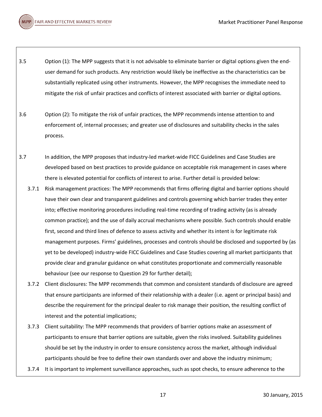3.5 Option (1): The MPP suggests that it is not advisable to eliminate barrier or digital options given the enduser demand for such products. Any restriction would likely be ineffective as the characteristics can be substantially replicated using other instruments. However, the MPP recognises the immediate need to mitigate the risk of unfair practices and conflicts of interest associated with barrier or digital options.

- 3.6 Option (2): To mitigate the risk of unfair practices, the MPP recommends intense attention to and enforcement of, internal processes; and greater use of disclosures and suitability checks in the sales process.
- 3.7 In addition, the MPP proposes that industry-led market-wide FICC Guidelines and Case Studies are developed based on best practices to provide guidance on acceptable risk management in cases where there is elevated potential for conflicts of interest to arise. Further detail is provided below:
	- 3.7.1 Risk management practices: The MPP recommends that firms offering digital and barrier options should have their own clear and transparent guidelines and controls governing which barrier trades they enter into; effective monitoring procedures including real-time recording of trading activity (as is already common practice); and the use of daily accrual mechanisms where possible. Such controls should enable first, second and third lines of defence to assess activity and whether its intent is for legitimate risk management purposes. Firms' guidelines, processes and controls should be disclosed and supported by (as yet to be developed) industry-wide FICC Guidelines and Case Studies covering all market participants that provide clear and granular guidance on what constitutes proportionate and commercially reasonable behaviour (see our response to Question 29 for further detail);
	- 3.7.2 Client disclosures: The MPP recommends that common and consistent standards of disclosure are agreed that ensure participants are informed of their relationship with a dealer (i.e. agent or principal basis) and describe the requirement for the principal dealer to risk manage their position, the resulting conflict of interest and the potential implications;
	- 3.7.3 Client suitability: The MPP recommends that providers of barrier options make an assessment of participants to ensure that barrier options are suitable, given the risks involved. Suitability guidelines should be set by the industry in order to ensure consistency across the market, although individual participants should be free to define their own standards over and above the industry minimum;
	- 3.7.4 It is important to implement surveillance approaches, such as spot checks, to ensure adherence to the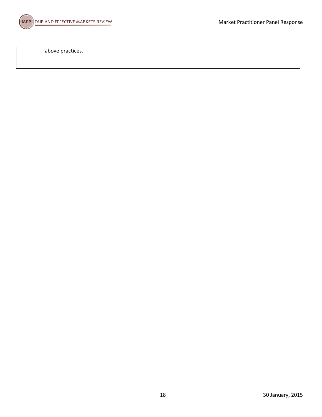

above practices.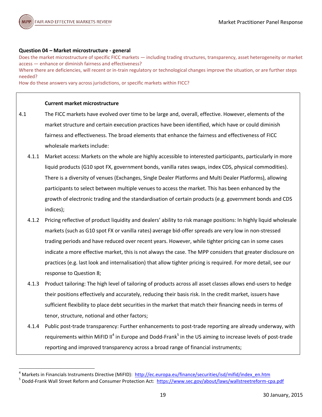#### **Question 04 – Market microstructure - general**

Does the market microstructure of specific FICC markets — including trading structures, transparency, asset heterogeneity or market access — enhance or diminish fairness and effectiveness? Where there are deficiencies, will recent or in-train regulatory or technological changes improve the situation, or are further steps needed?

How do these answers vary across jurisdictions, or specific markets within FICC?

#### **Current market microstructure**

 $\overline{a}$ 

- 4.1 The FICC markets have evolved over time to be large and, overall, effective. However, elements of the market structure and certain execution practices have been identified, which have or could diminish fairness and effectiveness. The broad elements that enhance the fairness and effectiveness of FICC wholesale markets include:
	- 4.1.1 Market access: Markets on the whole are highly accessible to interested participants, particularly in more liquid products (G10 spot FX, government bonds, vanilla rates swaps, index CDS, physical commodities). There is a diversity of venues (Exchanges, Single Dealer Platforms and Multi Dealer Platforms), allowing participants to select between multiple venues to access the market. This has been enhanced by the growth of electronic trading and the standardisation of certain products (e.g. government bonds and CDS indices);
	- 4.1.2 Pricing reflective of product liquidity and dealers' ability to risk manage positions: In highly liquid wholesale markets (such as G10 spot FX or vanilla rates) average bid-offer spreads are very low in non-stressed trading periods and have reduced over recent years. However, while tighter pricing can in some cases indicate a more effective market, this is not always the case. The MPP considers that greater disclosure on practices (e.g. last look and internalisation) that allow tighter pricing is required. For more detail, see our response to Question 8;
	- 4.1.3 Product tailoring: The high level of tailoring of products across all asset classes allows end-users to hedge their positions effectively and accurately, reducing their basis risk. In the credit market, issuers have sufficient flexibility to place debt securities in the market that match their financing needs in terms of tenor, structure, notional and other factors;
	- 4.1.4 Public post-trade transparency: Further enhancements to post-trade reporting are already underway, with requirements within MiFID II<sup>4</sup> in Europe and Dodd-Frank<sup>5</sup> in the US aiming to increase levels of post-trade reporting and improved transparency across a broad range of financial instruments;

Markets in Financials Instruments Directive (MiFID): [http://ec.europa.eu/finance/securities/isd/mifid/index\\_en.htm](http://ec.europa.eu/finance/securities/isd/mifid/index_en.htm) <sup>5</sup> Dodd-Frank Wall Street Reform and Consumer Protection Act: <https://www.sec.gov/about/laws/wallstreetreform-cpa.pdf>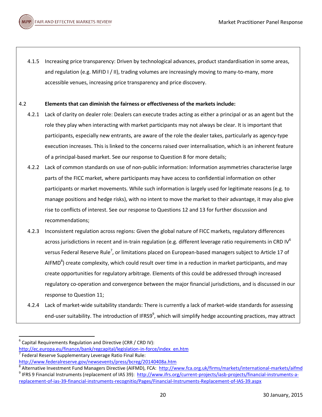4.1.5 Increasing price transparency: Driven by technological advances, product standardisation in some areas, and regulation (e.g. MiFID I / II), trading volumes are increasingly moving to many-to-many, more accessible venues, increasing price transparency and price discovery.

#### 4.2 **Elements that can diminish the fairness or effectiveness of the markets include:**

- 4.2.1 Lack of clarity on dealer role: Dealers can execute trades acting as either a principal or as an agent but the role they play when interacting with market participants may not always be clear. It is important that participants, especially new entrants, are aware of the role the dealer takes, particularly as agency-type execution increases. This is linked to the concerns raised over internalisation, which is an inherent feature of a principal-based market. See our response to Question 8 for more details;
- 4.2.2 Lack of common standards on use of non-public information: Information asymmetries characterise large parts of the FICC market, where participants may have access to confidential information on other participants or market movements. While such information is largely used for legitimate reasons (e.g. to manage positions and hedge risks), with no intent to move the market to their advantage, it may also give rise to conflicts of interest. See our response to Questions 12 and 13 for further discussion and recommendations;
- 4.2.3 Inconsistent regulation across regions: Given the global nature of FICC markets, regulatory differences across jurisdictions in recent and in-train regulation (e.g. different leverage ratio requirements in CRD IV $^{\circ}$ versus Federal Reserve Rule<sup>7</sup>, or limitations placed on European-based managers subject to Article 17 of AIFMD<sup>8</sup>) create complexity, which could result over time in a reduction in market participants, and may create opportunities for regulatory arbitrage. Elements of this could be addressed through increased regulatory co-operation and convergence between the major financial jurisdictions, and is discussed in our response to Question 11;
- 4.2.4 Lack of market-wide suitability standards: There is currently a lack of market-wide standards for assessing end-user suitability. The introduction of IFRS9<sup>9</sup>, which will simplify hedge accounting practices, may attract

l

 $^6$  Capital Requirements Regulation and Directive (CRR / CRD IV):

[http://ec.europa.eu/finance/bank/regcapital/legislation-in-force/index\\_en.htm](http://ec.europa.eu/finance/bank/regcapital/legislation-in-force/index_en.htm)

<sup>&</sup>lt;sup>7</sup> Federal Reserve Supplementary Leverage Ratio Final Rule:

<http://www.federalreserve.gov/newsevents/press/bcreg/20140408a.htm>

<sup>8</sup> Alternative Investment Fund Managers Directive (AIFMD), FCA: <http://www.fca.org.uk/firms/markets/international-markets/aifmd> <sup>9</sup> IFRS 9 Financial Instruments (replacement of IAS 39): [http://www.ifrs.org/current-projects/iasb-projects/financial-instruments-a](http://www.ifrs.org/current-projects/iasb-projects/financial-instruments-a-replacement-of-ias-39-financial-instruments-recognitio/Pages/Financial-Instruments-Replacement-of-IAS-39.aspx)[replacement-of-ias-39-financial-instruments-recognitio/Pages/Financial-Instruments-Replacement-of-IAS-39.aspx](http://www.ifrs.org/current-projects/iasb-projects/financial-instruments-a-replacement-of-ias-39-financial-instruments-recognitio/Pages/Financial-Instruments-Replacement-of-IAS-39.aspx)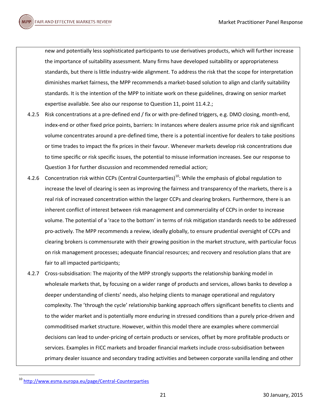new and potentially less sophisticated participants to use derivatives products, which will further increase the importance of suitability assessment. Many firms have developed suitability or appropriateness standards, but there is little industry-wide alignment. To address the risk that the scope for interpretation diminishes market fairness, the MPP recommends a market-based solution to align and clarify suitability standards. It is the intention of the MPP to initiate work on these guidelines, drawing on senior market expertise available. See also our response to Question 11, point 11.4.2.;

- 4.2.5 Risk concentrations at a pre-defined end / fix or with pre-defined triggers, e.g. DMO closing, month-end, index-end or other fixed price points, barriers: In instances where dealers assume price risk and significant volume concentrates around a pre-defined time, there is a potential incentive for dealers to take positions or time trades to impact the fix prices in their favour. Whenever markets develop risk concentrations due to time specific or risk specific issues, the potential to misuse information increases. See our response to Question 3 for further discussion and recommended remedial action;
- 4.2.6 Concentration risk within CCPs (Central Counterparties)<sup>10</sup>: While the emphasis of global regulation to increase the level of clearing is seen as improving the fairness and transparency of the markets, there is a real risk of increased concentration within the larger CCPs and clearing brokers. Furthermore, there is an inherent conflict of interest between risk management and commerciality of CCPs in order to increase volume. The potential of a 'race to the bottom' in terms of risk mitigation standards needs to be addressed pro-actively. The MPP recommends a review, ideally globally, to ensure prudential oversight of CCPs and clearing brokers is commensurate with their growing position in the market structure, with particular focus on risk management processes; adequate financial resources; and recovery and resolution plans that are fair to all impacted participants;
- 4.2.7 Cross-subsidisation: The majority of the MPP strongly supports the relationship banking model in wholesale markets that, by focusing on a wider range of products and services, allows banks to develop a deeper understanding of clients' needs, also helping clients to manage operational and regulatory complexity. The 'through the cycle' relationship banking approach offers significant benefits to clients and to the wider market and is potentially more enduring in stressed conditions than a purely price-driven and commoditised market structure. However, within this model there are examples where commercial decisions can lead to under-pricing of certain products or services, offset by more profitable products or services. Examples in FICC markets and broader financial markets include cross-subsidisation between primary dealer issuance and secondary trading activities and between corporate vanilla lending and other

 $\overline{\phantom{a}}$ 

<sup>10</sup> <http://www.esma.europa.eu/page/Central-Counterparties>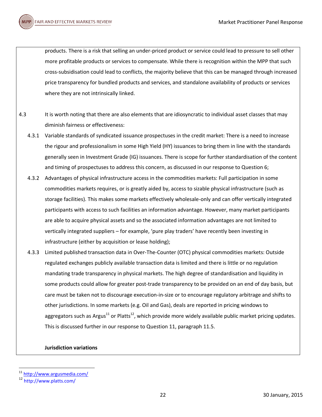products. There is a risk that selling an under-priced product or service could lead to pressure to sell other more profitable products or services to compensate. While there is recognition within the MPP that such cross-subsidisation could lead to conflicts, the majority believe that this can be managed through increased price transparency for bundled products and services, and standalone availability of products or services where they are not intrinsically linked.

- 4.3 It is worth noting that there are also elements that are idiosyncratic to individual asset classes that may diminish fairness or effectiveness:
	- 4.3.1 Variable standards of syndicated issuance prospectuses in the credit market: There is a need to increase the rigour and professionalism in some High Yield (HY) issuances to bring them in line with the standards generally seen in Investment Grade (IG) issuances. There is scope for further standardisation of the content and timing of prospectuses to address this concern, as discussed in our response to Question 6;
	- 4.3.2 Advantages of physical infrastructure access in the commodities markets: Full participation in some commodities markets requires, or is greatly aided by, access to sizable physical infrastructure (such as storage facilities). This makes some markets effectively wholesale-only and can offer vertically integrated participants with access to such facilities an information advantage. However, many market participants are able to acquire physical assets and so the associated information advantages are not limited to vertically integrated suppliers – for example, 'pure play traders' have recently been investing in infrastructure (either by acquisition or lease holding);
	- 4.3.3 Limited published transaction data in Over-The-Counter (OTC) physical commodities markets: Outside regulated exchanges publicly available transaction data is limited and there is little or no regulation mandating trade transparency in physical markets. The high degree of standardisation and liquidity in some products could allow for greater post-trade transparency to be provided on an end of day basis, but care must be taken not to discourage execution-in-size or to encourage regulatory arbitrage and shifts to other jurisdictions. In some markets (e.g. Oil and Gas), deals are reported in pricing windows to aggregators such as Argus<sup>11</sup> or Platts<sup>12</sup>, which provide more widely available public market pricing updates. This is discussed further in our response to Question 11, paragraph 11.5.

#### **Jurisdiction variations**

 $\overline{\phantom{a}}$ 

<sup>&</sup>lt;sup>11</sup> <http://www.argusmedia.com/>

<sup>12</sup> <http://www.platts.com/>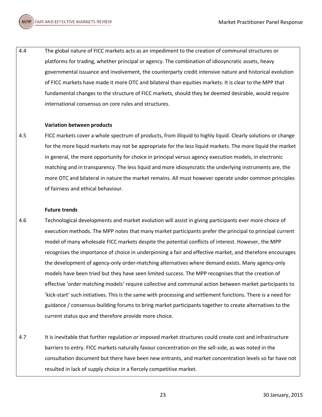4.4 The global nature of FICC markets acts as an impediment to the creation of communal structures or platforms for trading, whether principal or agency. The combination of idiosyncratic assets, heavy governmental issuance and involvement, the counterparty credit intensive nature and historical evolution of FICC markets have made it more OTC and bilateral than equities markets. It is clear to the MPP that fundamental changes to the structure of FICC markets, should they be deemed desirable, would require international consensus on core rules and structures.

#### **Variation between products**

4.5 FICC markets cover a whole spectrum of products, from illiquid to highly liquid. Clearly solutions or change for the more liquid markets may not be appropriate for the less liquid markets. The more liquid the market in general, the more opportunity for choice in principal versus agency execution models, in electronic matching and in transparency. The less liquid and more idiosyncratic the underlying instruments are, the more OTC and bilateral in nature the market remains. All must however operate under common principles of fairness and ethical behaviour.

#### **Future trends**

- 4.6 Technological developments and market evolution will assist in giving participants ever more choice of execution methods. The MPP notes that many market participants prefer the principal to principal current model of many wholesale FICC markets despite the potential conflicts of interest. However, the MPP recognises the importance of choice in underpinning a fair and effective market, and therefore encourages the development of agency-only order-matching alternatives where demand exists. Many agency-only models have been tried but they have seen limited success. The MPP recognises that the creation of effective 'order matching models' require collective and communal action between market participants to 'kick-start' such initiatives. This is the same with processing and settlement functions. There is a need for guidance / consensus-building forums to bring market participants together to create alternatives to the current status quo and therefore provide more choice.
- 4.7 It is inevitable that further regulation or imposed market structures could create cost and infrastructure barriers to entry. FICC markets naturally favour concentration on the sell-side, as was noted in the consultation document but there have been new entrants, and market concentration levels so far have not resulted in lack of supply choice in a fiercely competitive market.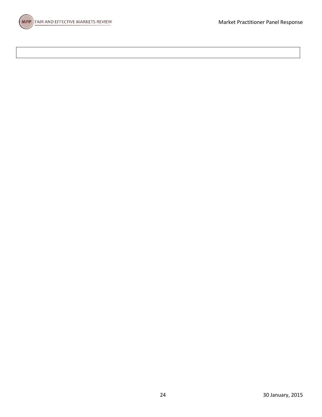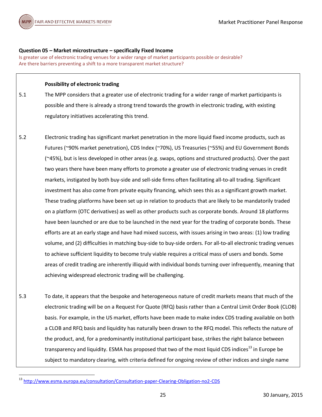#### **Question 05 – Market microstructure – specifically Fixed Income**

Is greater use of electronic trading venues for a wider range of market participants possible or desirable? Are there barriers preventing a shift to a more transparent market structure?

#### **Possibility of electronic trading**

5.1 The MPP considers that a greater use of electronic trading for a wider range of market participants is possible and there is already a strong trend towards the growth in electronic trading, with existing regulatory initiatives accelerating this trend.

- 5.2 Electronic trading has significant market penetration in the more liquid fixed income products, such as Futures (~90% market penetration), CDS Index (~70%), US Treasuries (~55%) and EU Government Bonds (~45%), but is less developed in other areas (e.g. swaps, options and structured products). Over the past two years there have been many efforts to promote a greater use of electronic trading venues in credit markets, instigated by both buy-side and sell-side firms often facilitating all-to-all trading. Significant investment has also come from private equity financing, which sees this as a significant growth market. These trading platforms have been set up in relation to products that are likely to be mandatorily traded on a platform (OTC derivatives) as well as other products such as corporate bonds. Around 18 platforms have been launched or are due to be launched in the next year for the trading of corporate bonds. These efforts are at an early stage and have had mixed success, with issues arising in two areas: (1) low trading volume, and (2) difficulties in matching buy-side to buy-side orders. For all-to-all electronic trading venues to achieve sufficient liquidity to become truly viable requires a critical mass of users and bonds. Some areas of credit trading are inherently illiquid with individual bonds turning over infrequently, meaning that achieving widespread electronic trading will be challenging.
- 5.3 To date, it appears that the bespoke and heterogeneous nature of credit markets means that much of the electronic trading will be on a Request For Quote (RFQ) basis rather than a Central Limit Order Book (CLOB) basis. For example, in the US market, efforts have been made to make index CDS trading available on both a CLOB and RFQ basis and liquidity has naturally been drawn to the RFQ model. This reflects the nature of the product, and, for a predominantly institutional participant base, strikes the right balance between transparency and liquidity. ESMA has proposed that two of the most liquid CDS indices<sup>13</sup> in Europe be subject to mandatory clearing, with criteria defined for ongoing review of other indices and single name

 $\overline{\phantom{a}}$ 

<sup>&</sup>lt;sup>13</sup> <http://www.esma.europa.eu/consultation/Consultation-paper-Clearing-Obligation-no2-CDS>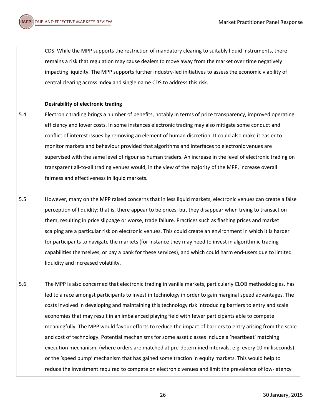CDS. While the MPP supports the restriction of mandatory clearing to suitably liquid instruments, there remains a risk that regulation may cause dealers to move away from the market over time negatively impacting liquidity. The MPP supports further industry-led initiatives to assess the economic viability of central clearing across index and single name CDS to address this risk.

#### **Desirability of electronic trading**

- 5.4 Electronic trading brings a number of benefits, notably in terms of price transparency, improved operating efficiency and lower costs. In some instances electronic trading may also mitigate some conduct and conflict of interest issues by removing an element of human discretion. It could also make it easier to monitor markets and behaviour provided that algorithms and interfaces to electronic venues are supervised with the same level of rigour as human traders. An increase in the level of electronic trading on transparent all-to-all trading venues would, in the view of the majority of the MPP, increase overall fairness and effectiveness in liquid markets.
- 5.5 However, many on the MPP raised concerns that in less liquid markets, electronic venues can create a false perception of liquidity; that is, there appear to be prices, but they disappear when trying to transact on them, resulting in price slippage or worse, trade failure. Practices such as flashing prices and market scalping are a particular risk on electronic venues. This could create an environment in which it is harder for participants to navigate the markets (for instance they may need to invest in algorithmic trading capabilities themselves, or pay a bank for these services), and which could harm end-users due to limited liquidity and increased volatility.
- 5.6 The MPP is also concerned that electronic trading in vanilla markets, particularly CLOB methodologies, has led to a race amongst participants to invest in technology in order to gain marginal speed advantages. The costs involved in developing and maintaining this technology risk introducing barriers to entry and scale economies that may result in an imbalanced playing field with fewer participants able to compete meaningfully. The MPP would favour efforts to reduce the impact of barriers to entry arising from the scale and cost of technology. Potential mechanisms for some asset classes include a 'heartbeat' matching execution mechanism, (where orders are matched at pre-determined intervals, e.g. every 10 milliseconds) or the 'speed bump' mechanism that has gained some traction in equity markets. This would help to reduce the investment required to compete on electronic venues and limit the prevalence of low-latency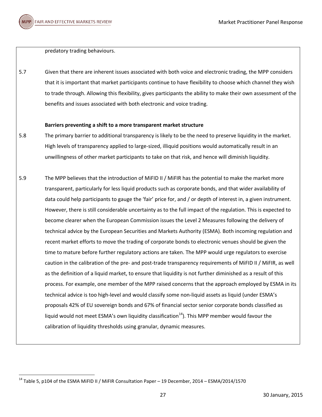predatory trading behaviours.

5.7 Given that there are inherent issues associated with both voice and electronic trading, the MPP considers that it is important that market participants continue to have flexibility to choose which channel they wish to trade through. Allowing this flexibility, gives participants the ability to make their own assessment of the benefits and issues associated with both electronic and voice trading.

#### **Barriers preventing a shift to a more transparent market structure**

- 5.8 The primary barrier to additional transparency is likely to be the need to preserve liquidity in the market. High levels of transparency applied to large-sized, illiquid positions would automatically result in an unwillingness of other market participants to take on that risk, and hence will diminish liquidity.
- 5.9 The MPP believes that the introduction of MiFID II / MiFIR has the potential to make the market more transparent, particularly for less liquid products such as corporate bonds, and that wider availability of data could help participants to gauge the 'fair' price for, and / or depth of interest in, a given instrument. However, there is still considerable uncertainty as to the full impact of the regulation. This is expected to become clearer when the European Commission issues the Level 2 Measures following the delivery of technical advice by the European Securities and Markets Authority (ESMA). Both incoming regulation and recent market efforts to move the trading of corporate bonds to electronic venues should be given the time to mature before further regulatory actions are taken. The MPP would urge regulators to exercise caution in the calibration of the pre- and post-trade transparency requirements of MiFID II / MiFIR, as well as the definition of a liquid market, to ensure that liquidity is not further diminished as a result of this process. For example, one member of the MPP raised concerns that the approach employed by ESMA in its technical advice is too high-level and would classify some non-liquid assets as liquid (under ESMA's proposals 42% of EU sovereign bonds and 67% of financial sector senior corporate bonds classified as liquid would not meet ESMA's own liquidity classification $14$ ). This MPP member would favour the calibration of liquidity thresholds using granular, dynamic measures.

 $\overline{\phantom{a}}$ <sup>14</sup> Table 5, p104 of the ESMA MiFID II / MiFIR Consultation Paper – 19 December, 2014 – ESMA/2014/1570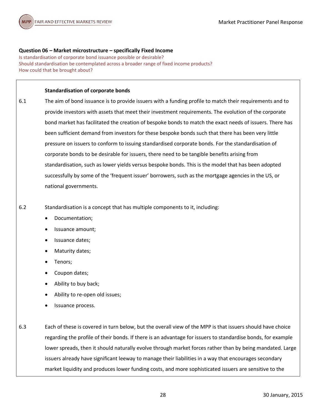#### **Question 06 – Market microstructure – specifically Fixed Income**

Is standardisation of corporate bond issuance possible or desirable? Should standardisation be contemplated across a broader range of fixed income products? How could that be brought about?

#### **Standardisation of corporate bonds**

- 6.1 The aim of bond issuance is to provide issuers with a funding profile to match their requirements and to provide investors with assets that meet their investment requirements. The evolution of the corporate bond market has facilitated the creation of bespoke bonds to match the exact needs of issuers. There has been sufficient demand from investors for these bespoke bonds such that there has been very little pressure on issuers to conform to issuing standardised corporate bonds. For the standardisation of corporate bonds to be desirable for issuers, there need to be tangible benefits arising from standardisation, such as lower yields versus bespoke bonds. This is the model that has been adopted successfully by some of the 'frequent issuer' borrowers, such as the mortgage agencies in the US, or national governments.
- 6.2 Standardisation is a concept that has multiple components to it, including:
	- Documentation;
	- Issuance amount;
	- Issuance dates;
	- Maturity dates;
	- Tenors;
	- Coupon dates;
	- Ability to buy back;
	- Ability to re-open old issues;
	- Issuance process.
- 6.3 Each of these is covered in turn below, but the overall view of the MPP is that issuers should have choice regarding the profile of their bonds. If there is an advantage for issuers to standardise bonds, for example lower spreads, then it should naturally evolve through market forces rather than by being mandated. Large issuers already have significant leeway to manage their liabilities in a way that encourages secondary market liquidity and produces lower funding costs, and more sophisticated issuers are sensitive to the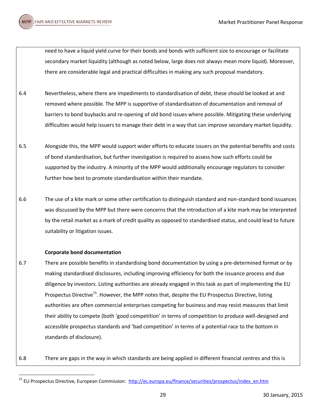need to have a liquid yield curve for their bonds and bonds with sufficient size to encourage or facilitate secondary market liquidity (although as noted below, large does not always mean more liquid). Moreover, there are considerable legal and practical difficulties in making any such proposal mandatory.

- 6.4 Nevertheless, where there are impediments to standardisation of debt, these should be looked at and removed where possible. The MPP is supportive of standardisation of documentation and removal of barriers to bond buybacks and re-opening of old bond issues where possible. Mitigating these underlying difficulties would help issuers to manage their debt in a way that can improve secondary market liquidity.
- 6.5 Alongside this, the MPP would support wider efforts to educate issuers on the potential benefits and costs of bond standardisation, but further investigation is required to assess how such efforts could be supported by the industry. A minority of the MPP would additionally encourage regulators to consider further how best to promote standardisation within their mandate.
- 6.6 The use of a kite mark or some other certification to distinguish standard and non-standard bond issuances was discussed by the MPP but there were concerns that the introduction of a kite mark may be interpreted by the retail market as a mark of credit quality as opposed to standardised status, and could lead to future suitability or litigation issues.

#### **Corporate bond documentation**

 $\overline{\phantom{a}}$ 

- 6.7 There are possible benefits in standardising bond documentation by using a pre-determined format or by making standardised disclosures, including improving efficiency for both the issuance process and due diligence by investors. Listing authorities are already engaged in this task as part of implementing the EU Prospectus Directive<sup>15</sup>. However, the MPP notes that, despite the EU Prospectus Directive, listing authorities are often commercial enterprises competing for business and may resist measures that limit their ability to compete (both 'good competition' in terms of competition to produce well-designed and accessible prospectus standards and 'bad competition' in terms of a potential race to the bottom in standards of disclosure).
- 6.8 There are gaps in the way in which standards are being applied in different financial centres and this is

<sup>&</sup>lt;sup>15</sup> EU Prospectus Directive, European Commission: [http://ec.europa.eu/finance/securities/prospectus/index\\_en.htm](http://ec.europa.eu/finance/securities/prospectus/index_en.htm)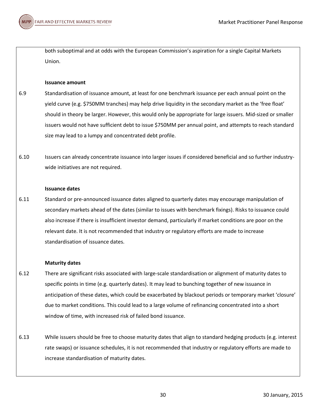both suboptimal and at odds with the European Commission's aspiration for a single Capital Markets Union.

#### **Issuance amount**

- 6.9 Standardisation of issuance amount, at least for one benchmark issuance per each annual point on the yield curve (e.g. \$750MM tranches) may help drive liquidity in the secondary market as the 'free float' should in theory be larger. However, this would only be appropriate for large issuers. Mid-sized or smaller issuers would not have sufficient debt to issue \$750MM per annual point, and attempts to reach standard size may lead to a lumpy and concentrated debt profile.
- 6.10 Issuers can already concentrate issuance into larger issues if considered beneficial and so further industrywide initiatives are not required.

#### **Issuance dates**

6.11 Standard or pre-announced issuance dates aligned to quarterly dates may encourage manipulation of secondary markets ahead of the dates (similar to issues with benchmark fixings). Risks to issuance could also increase if there is insufficient investor demand, particularly if market conditions are poor on the relevant date. It is not recommended that industry or regulatory efforts are made to increase standardisation of issuance dates.

#### **Maturity dates**

- 6.12 There are significant risks associated with large-scale standardisation or alignment of maturity dates to specific points in time (e.g. quarterly dates). It may lead to bunching together of new issuance in anticipation of these dates, which could be exacerbated by blackout periods or temporary market 'closure' due to market conditions. This could lead to a large volume of refinancing concentrated into a short window of time, with increased risk of failed bond issuance.
- 6.13 While issuers should be free to choose maturity dates that align to standard hedging products (e.g. interest rate swaps) or issuance schedules, it is not recommended that industry or regulatory efforts are made to increase standardisation of maturity dates.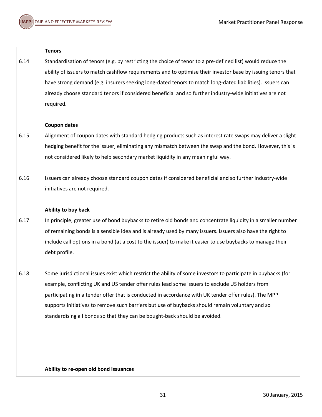# 6.14 Standardisation of tenors (e.g. by restricting the choice of tenor to a pre-defined list) would reduce the ability of issuers to match cashflow requirements and to optimise their investor base by issuing tenors that have strong demand (e.g. insurers seeking long-dated tenors to match long-dated liabilities). Issuers can already choose standard tenors if considered beneficial and so further industry-wide initiatives are not required.

#### **Coupon dates**

**Tenors**

- 6.15 Alignment of coupon dates with standard hedging products such as interest rate swaps may deliver a slight hedging benefit for the issuer, eliminating any mismatch between the swap and the bond. However, this is not considered likely to help secondary market liquidity in any meaningful way.
- 6.16 Issuers can already choose standard coupon dates if considered beneficial and so further industry-wide initiatives are not required.

#### **Ability to buy back**

- 6.17 In principle, greater use of bond buybacks to retire old bonds and concentrate liquidity in a smaller number of remaining bonds is a sensible idea and is already used by many issuers. Issuers also have the right to include call options in a bond (at a cost to the issuer) to make it easier to use buybacks to manage their debt profile.
- 6.18 Some jurisdictional issues exist which restrict the ability of some investors to participate in buybacks (for example, conflicting UK and US tender offer rules lead some issuers to exclude US holders from participating in a tender offer that is conducted in accordance with UK tender offer rules). The MPP supports initiatives to remove such barriers but use of buybacks should remain voluntary and so standardising all bonds so that they can be bought-back should be avoided.

**Ability to re-open old bond issuances**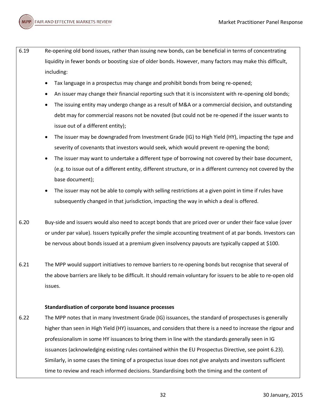

6.19 Re-opening old bond issues, rather than issuing new bonds, can be beneficial in terms of concentrating liquidity in fewer bonds or boosting size of older bonds. However, many factors may make this difficult, including:

- Tax language in a prospectus may change and prohibit bonds from being re-opened;
- An issuer may change their financial reporting such that it is inconsistent with re-opening old bonds;
- The issuing entity may undergo change as a result of M&A or a commercial decision, and outstanding debt may for commercial reasons not be novated (but could not be re-opened if the issuer wants to issue out of a different entity);
- The issuer may be downgraded from Investment Grade (IG) to High Yield (HY), impacting the type and severity of covenants that investors would seek, which would prevent re-opening the bond;
- The issuer may want to undertake a different type of borrowing not covered by their base document, (e.g. to issue out of a different entity, different structure, or in a different currency not covered by the base document);
- The issuer may not be able to comply with selling restrictions at a given point in time if rules have subsequently changed in that jurisdiction, impacting the way in which a deal is offered.
- 6.20 Buy-side and issuers would also need to accept bonds that are priced over or under their face value (over or under par value). Issuers typically prefer the simple accounting treatment of at par bonds. Investors can be nervous about bonds issued at a premium given insolvency payouts are typically capped at \$100.
- 6.21 The MPP would support initiatives to remove barriers to re-opening bonds but recognise that several of the above barriers are likely to be difficult. It should remain voluntary for issuers to be able to re-open old issues.

## **Standardisation of corporate bond issuance processes**

6.22 The MPP notes that in many Investment Grade (IG) issuances, the standard of prospectuses is generally higher than seen in High Yield (HY) issuances, and considers that there is a need to increase the rigour and professionalism in some HY issuances to bring them in line with the standards generally seen in IG issuances (acknowledging existing rules contained within the EU Prospectus Directive, see point 6.23). Similarly, in some cases the timing of a prospectus issue does not give analysts and investors sufficient time to review and reach informed decisions. Standardising both the timing and the content of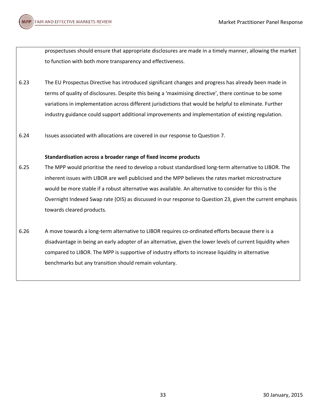prospectuses should ensure that appropriate disclosures are made in a timely manner, allowing the market to function with both more transparency and effectiveness.

- 6.23 The EU Prospectus Directive has introduced significant changes and progress has already been made in terms of quality of disclosures. Despite this being a 'maximising directive', there continue to be some variations in implementation across different jurisdictions that would be helpful to eliminate. Further industry guidance could support additional improvements and implementation of existing regulation.
- 6.24 Issues associated with allocations are covered in our response to Question 7.

#### **Standardisation across a broader range of fixed income products**

- 6.25 The MPP would prioritise the need to develop a robust standardised long-term alternative to LIBOR. The inherent issues with LIBOR are well publicised and the MPP believes the rates market microstructure would be more stable if a robust alternative was available. An alternative to consider for this is the Overnight Indexed Swap rate (OIS) as discussed in our response to Question 23, given the current emphasis towards cleared products.
- 6.26 A move towards a long-term alternative to LIBOR requires co-ordinated efforts because there is a disadvantage in being an early adopter of an alternative, given the lower levels of current liquidity when compared to LIBOR. The MPP is supportive of industry efforts to increase liquidity in alternative benchmarks but any transition should remain voluntary.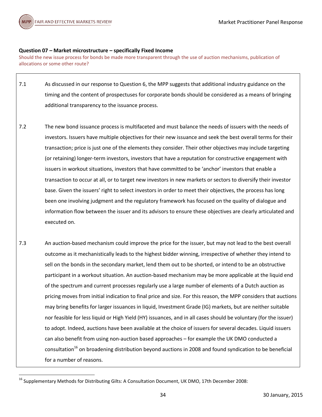#### **Question 07 – Market microstructure – specifically Fixed Income**

Should the new issue process for bonds be made more transparent through the use of auction mechanisms, publication of allocations or some other route?

- 7.1 As discussed in our response to Question 6, the MPP suggests that additional industry guidance on the timing and the content of prospectuses for corporate bonds should be considered as a means of bringing additional transparency to the issuance process.
- 7.2 The new bond issuance process is multifaceted and must balance the needs of issuers with the needs of investors. Issuers have multiple objectives for their new issuance and seek the best overall terms for their transaction; price is just one of the elements they consider. Their other objectives may include targeting (or retaining) longer-term investors, investors that have a reputation for constructive engagement with issuers in workout situations, investors that have committed to be 'anchor' investors that enable a transaction to occur at all, or to target new investors in new markets or sectors to diversify their investor base. Given the issuers' right to select investors in order to meet their objectives, the process has long been one involving judgment and the regulatory framework has focused on the quality of dialogue and information flow between the issuer and its advisors to ensure these objectives are clearly articulated and executed on.
- 7.3 An auction-based mechanism could improve the price for the issuer, but may not lead to the best overall outcome as it mechanistically leads to the highest bidder winning, irrespective of whether they intend to sell on the bonds in the secondary market, lend them out to be shorted, or intend to be an obstructive participant in a workout situation. An auction-based mechanism may be more applicable at the liquid end of the spectrum and current processes regularly use a large number of elements of a Dutch auction as pricing moves from initial indication to final price and size. For this reason, the MPP considers that auctions may bring benefits for larger issuances in liquid, Investment Grade (IG) markets, but are neither suitable nor feasible for less liquid or High Yield (HY) issuances, and in all cases should be voluntary (for the issuer) to adopt. Indeed, auctions have been available at the choice of issuers for several decades. Liquid issuers can also benefit from using non-auction based approaches – for example the UK DMO conducted a consultation<sup>16</sup> on broadening distribution beyond auctions in 2008 and found syndication to be beneficial for a number of reasons.

 $\overline{\phantom{a}}$ 

<sup>&</sup>lt;sup>16</sup> Supplementary Methods for Distributing Gilts: A Consultation Document, UK DMO, 17th December 2008: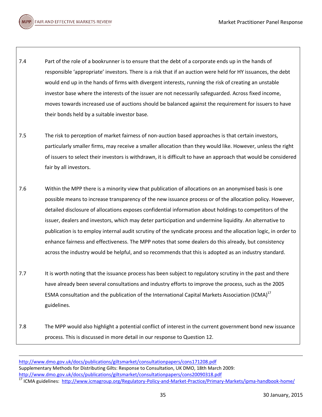7.4 Part of the role of a bookrunner is to ensure that the debt of a corporate ends up in the hands of responsible 'appropriate' investors. There is a risk that if an auction were held for HY issuances, the debt would end up in the hands of firms with divergent interests, running the risk of creating an unstable investor base where the interests of the issuer are not necessarily safeguarded. Across fixed income, moves towards increased use of auctions should be balanced against the requirement for issuers to have their bonds held by a suitable investor base.

- 7.5 The risk to perception of market fairness of non-auction based approaches is that certain investors, particularly smaller firms, may receive a smaller allocation than they would like. However, unless the right of issuers to select their investors is withdrawn, it is difficult to have an approach that would be considered fair by all investors.
- 7.6 Within the MPP there is a minority view that publication of allocations on an anonymised basis is one possible means to increase transparency of the new issuance process or of the allocation policy. However, detailed disclosure of allocations exposes confidential information about holdings to competitors of the issuer, dealers and investors, which may deter participation and undermine liquidity. An alternative to publication is to employ internal audit scrutiny of the syndicate process and the allocation logic, in order to enhance fairness and effectiveness. The MPP notes that some dealers do this already, but consistency across the industry would be helpful, and so recommends that this is adopted as an industry standard.
- 7.7 It is worth noting that the issuance process has been subject to regulatory scrutiny in the past and there have already been several consultations and industry efforts to improve the process, such as the 2005 ESMA consultation and the publication of the International Capital Markets Association (ICMA) $^{17}$ guidelines.
- 7.8 The MPP would also highlight a potential conflict of interest in the current government bond new issuance process. This is discussed in more detail in our response to Question 12.

 $\overline{a}$ 

Supplementary Methods for Distributing Gilts: Response to Consultation, UK DMO, 18th March 2009:

<http://www.dmo.gov.uk/docs/publications/giltsmarket/consultationpapers/cons20090318.pdf>

<http://www.dmo.gov.uk/docs/publications/giltsmarket/consultationpapers/cons171208.pdf>

<sup>&</sup>lt;sup>17</sup> ICMA guidelines:<http://www.icmagroup.org/Regulatory-Policy-and-Market-Practice/Primary-Markets/ipma-handbook-home/>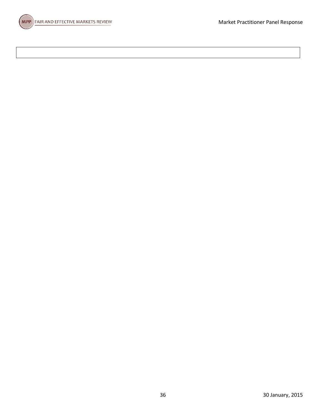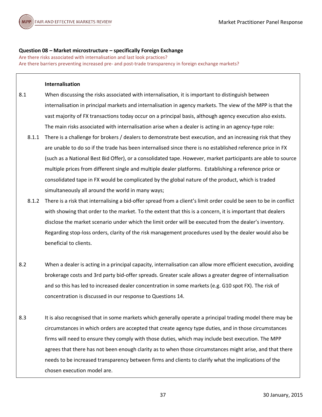#### **Question 08 – Market microstructure – specifically Foreign Exchange**

Are there risks associated with internalisation and last look practices? Are there barriers preventing increased pre- and post-trade transparency in foreign exchange markets?

#### **Internalisation**

- 8.1 When discussing the risks associated with internalisation, it is important to distinguish between internalisation in principal markets and internalisation in agency markets. The view of the MPP is that the vast majority of FX transactions today occur on a principal basis, although agency execution also exists. The main risks associated with internalisation arise when a dealer is acting in an agency-type role:
	- 8.1.1 There is a challenge for brokers / dealers to demonstrate best execution, and an increasing risk that they are unable to do so if the trade has been internalised since there is no established reference price in FX (such as a National Best Bid Offer), or a consolidated tape. However, market participants are able to source multiple prices from different single and multiple dealer platforms. Establishing a reference price or consolidated tape in FX would be complicated by the global nature of the product, which is traded simultaneously all around the world in many ways;
	- 8.1.2 There is a risk that internalising a bid-offer spread from a client's limit order could be seen to be in conflict with showing that order to the market. To the extent that this is a concern, it is important that dealers disclose the market scenario under which the limit order will be executed from the dealer's inventory. Regarding stop-loss orders, clarity of the risk management procedures used by the dealer would also be beneficial to clients.
- 8.2 When a dealer is acting in a principal capacity, internalisation can allow more efficient execution, avoiding brokerage costs and 3rd party bid-offer spreads. Greater scale allows a greater degree of internalisation and so this has led to increased dealer concentration in some markets (e.g. G10 spot FX). The risk of concentration is discussed in our response to Questions 14.
- 8.3 It is also recognised that in some markets which generally operate a principal trading model there may be circumstances in which orders are accepted that create agency type duties, and in those circumstances firms will need to ensure they comply with those duties, which may include best execution. The MPP agrees that there has not been enough clarity as to when those circumstances might arise, and that there needs to be increased transparency between firms and clients to clarify what the implications of the chosen execution model are.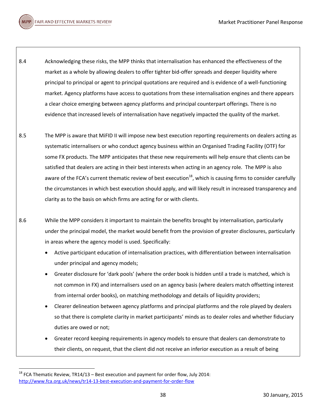8.4 Acknowledging these risks, the MPP thinks that internalisation has enhanced the effectiveness of the market as a whole by allowing dealers to offer tighter bid-offer spreads and deeper liquidity where principal to principal or agent to principal quotations are required and is evidence of a well-functioning market. Agency platforms have access to quotations from these internalisation engines and there appears a clear choice emerging between agency platforms and principal counterpart offerings. There is no evidence that increased levels of internalisation have negatively impacted the quality of the market.

- 8.5 The MPP is aware that MiFID II will impose new best execution reporting requirements on dealers acting as systematic internalisers or who conduct agency business within an Organised Trading Facility (OTF) for some FX products. The MPP anticipates that these new requirements will help ensure that clients can be satisfied that dealers are acting in their best interests when acting in an agency role. The MPP is also aware of the FCA's current thematic review of best execution<sup>18</sup>, which is causing firms to consider carefully the circumstances in which best execution should apply, and will likely result in increased transparency and clarity as to the basis on which firms are acting for or with clients.
- 8.6 While the MPP considers it important to maintain the benefits brought by internalisation, particularly under the principal model, the market would benefit from the provision of greater disclosures, particularly in areas where the agency model is used. Specifically:
	- Active participant education of internalisation practices, with differentiation between internalisation under principal and agency models;
	- Greater disclosure for 'dark pools' (where the order book is hidden until a trade is matched, which is not common in FX) and internalisers used on an agency basis (where dealers match offsetting interest from internal order books), on matching methodology and details of liquidity providers;
	- Clearer delineation between agency platforms and principal platforms and the role played by dealers so that there is complete clarity in market participants' minds as to dealer roles and whether fiduciary duties are owed or not;
	- Greater record keeping requirements in agency models to ensure that dealers can demonstrate to their clients, on request, that the client did not receive an inferior execution as a result of being

 $\overline{a}$ 

 $^{18}$  FCA Thematic Review, TR14/13 – Best execution and payment for order flow, July 2014: <http://www.fca.org.uk/news/tr14-13-best-execution-and-payment-for-order-flow>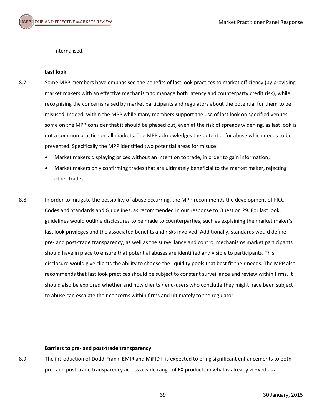internalised.

#### **Last look**

- 8.7 Some MPP members have emphasised the benefits of last look practices to market efficiency (by providing market makers with an effective mechanism to manage both latency and counterparty credit risk), while recognising the concerns raised by market participants and regulators about the potential for them to be misused. Indeed, within the MPP while many members support the use of last look on specified venues, some on the MPP consider that it should be phased out, even at the risk of spreads widening, as last look is not a common practice on all markets. The MPP acknowledges the potential for abuse which needs to be prevented. Specifically the MPP identified two potential areas for misuse:
	- Market makers displaying prices without an intention to trade, in order to gain information;
	- Market makers only confirming trades that are ultimately beneficial to the market maker, rejecting other trades.
- 8.8 In order to mitigate the possibility of abuse occurring, the MPP recommends the development of FICC Codes and Standards and Guidelines, as recommended in our response to Question 29. For last look, guidelines would outline disclosures to be made to counterparties, such as explaining the market maker's last look privileges and the associated benefits and risks involved. Additionally, standards would define pre- and post-trade transparency, as well as the surveillance and control mechanisms market participants should have in place to ensure that potential abuses are identified and visible to participants. This disclosure would give clients the ability to choose the liquidity pools that best fit their needs. The MPP also recommends that last look practices should be subject to constant surveillance and review within firms. It should also be explored whether and how clients / end-users who conclude they might have been subject to abuse can escalate their concerns within firms and ultimately to the regulator.

#### **Barriers to pre- and post-trade transparency**

8.9 The introduction of Dodd-Frank, EMIR and MiFID II is expected to bring significant enhancements to both pre- and post-trade transparency across a wide range of FX products in what is already viewed as a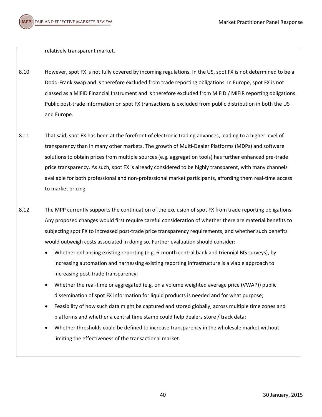relatively transparent market.

- 8.10 However, spot FX is not fully covered by incoming regulations. In the US, spot FX is not determined to be a Dodd-Frank swap and is therefore excluded from trade reporting obligations. In Europe, spot FX is not classed as a MiFID Financial Instrument and is therefore excluded from MiFID / MiFIR reporting obligations. Public post-trade information on spot FX transactions is excluded from public distribution in both the US and Europe.
- 8.11 That said, spot FX has been at the forefront of electronic trading advances, leading to a higher level of transparency than in many other markets. The growth of Multi-Dealer Platforms (MDPs) and software solutions to obtain prices from multiple sources (e.g. aggregation tools) has further enhanced pre-trade price transparency. As such, spot FX is already considered to be highly transparent, with many channels available for both professional and non-professional market participants, affording them real-time access to market pricing.
- 8.12 The MPP currently supports the continuation of the exclusion of spot FX from trade reporting obligations. Any proposed changes would first require careful consideration of whether there are material benefits to subjecting spot FX to increased post-trade price transparency requirements, and whether such benefits would outweigh costs associated in doing so. Further evaluation should consider:
	- Whether enhancing existing reporting (e.g. 6-month central bank and triennial BIS surveys), by increasing automation and harnessing existing reporting infrastructure is a viable approach to increasing post-trade transparency;
	- Whether the real-time or aggregated (e.g. on a volume weighted average price (VWAP)) public dissemination of spot FX information for liquid products is needed and for what purpose;
	- Feasibility of how such data might be captured and stored globally, across multiple time zones and platforms and whether a central time stamp could help dealers store / track data;
	- Whether thresholds could be defined to increase transparency in the wholesale market without limiting the effectiveness of the transactional market.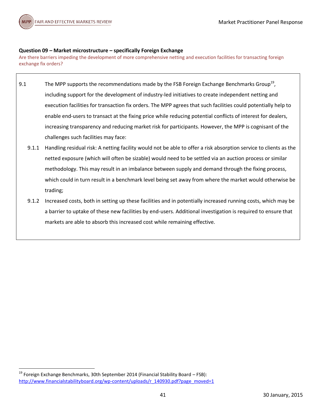#### **Question 09 – Market microstructure – specifically Foreign Exchange**

Are there barriers impeding the development of more comprehensive netting and execution facilities for transacting foreign exchange fix orders?

- 9.1 The MPP supports the recommendations made by the FSB Foreign Exchange Benchmarks Group<sup>19</sup>, including support for the development of industry-led initiatives to create independent netting and execution facilities for transaction fix orders. The MPP agrees that such facilities could potentially help to enable end-users to transact at the fixing price while reducing potential conflicts of interest for dealers, increasing transparency and reducing market risk for participants. However, the MPP is cognisant of the challenges such facilities may face:
	- 9.1.1 Handling residual risk: A netting facility would not be able to offer a risk absorption service to clients as the netted exposure (which will often be sizable) would need to be settled via an auction process or similar methodology. This may result in an imbalance between supply and demand through the fixing process, which could in turn result in a benchmark level being set away from where the market would otherwise be trading;
	- 9.1.2 Increased costs, both in setting up these facilities and in potentially increased running costs, which may be a barrier to uptake of these new facilities by end-users. Additional investigation is required to ensure that markets are able to absorb this increased cost while remaining effective.

 $\overline{a}$ 

 $^{19}$  Foreign Exchange Benchmarks, 30th September 2014 (Financial Stability Board – FSB): [http://www.financialstabilityboard.org/wp-content/uploads/r\\_140930.pdf?page\\_moved=1](http://www.financialstabilityboard.org/wp-content/uploads/r_140930.pdf?page_moved=1)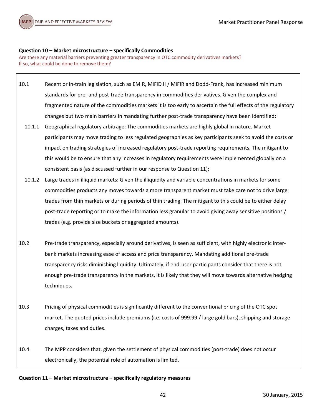#### **Question 10 – Market microstructure – specifically Commodities**

Are there any material barriers preventing greater transparency in OTC commodity derivatives markets? If so, what could be done to remove them?

- 10.1 Recent or in-train legislation, such as EMIR, MiFID II / MiFIR and Dodd-Frank, has increased minimum standards for pre- and post-trade transparency in commodities derivatives. Given the complex and fragmented nature of the commodities markets it is too early to ascertain the full effects of the regulatory changes but two main barriers in mandating further post-trade transparency have been identified:
	- 10.1.1 Geographical regulatory arbitrage: The commodities markets are highly global in nature. Market participants may move trading to less regulated geographies as key participants seek to avoid the costs or impact on trading strategies of increased regulatory post-trade reporting requirements. The mitigant to this would be to ensure that any increases in regulatory requirements were implemented globally on a consistent basis (as discussed further in our response to Question 11);
	- 10.1.2 Large trades in illiquid markets: Given the illiquidity and variable concentrations in markets for some commodities products any moves towards a more transparent market must take care not to drive large trades from thin markets or during periods of thin trading. The mitigant to this could be to either delay post-trade reporting or to make the information less granular to avoid giving away sensitive positions / trades (e.g. provide size buckets or aggregated amounts).
- 10.2 Pre-trade transparency, especially around derivatives, is seen as sufficient, with highly electronic interbank markets increasing ease of access and price transparency. Mandating additional pre-trade transparency risks diminishing liquidity. Ultimately, if end-user participants consider that there is not enough pre-trade transparency in the markets, it is likely that they will move towards alternative hedging techniques.
- 10.3 Pricing of physical commodities is significantly different to the conventional pricing of the OTC spot market. The quoted prices include premiums (i.e. costs of 999.99 / large gold bars), shipping and storage charges, taxes and duties.
- 10.4 The MPP considers that, given the settlement of physical commodities (post-trade) does not occur electronically, the potential role of automation is limited.

### **Question 11 – Market microstructure – specifically regulatory measures**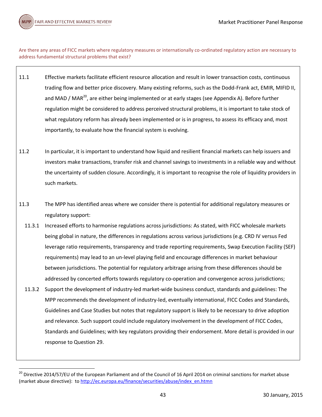$\overline{a}$ 

Are there any areas of FICC markets where regulatory measures or internationally co-ordinated regulatory action are necessary to address fundamental structural problems that exist?

- 11.1 Effective markets facilitate efficient resource allocation and result in lower transaction costs, continuous trading flow and better price discovery. Many existing reforms, such as the Dodd-Frank act, EMIR, MIFID II, and MAD / MAR<sup>20</sup>, are either being implemented or at early stages (see Appendix A). Before further regulation might be considered to address perceived structural problems, it is important to take stock of what regulatory reform has already been implemented or is in progress, to assess its efficacy and, most importantly, to evaluate how the financial system is evolving.
- 11.2 In particular, it is important to understand how liquid and resilient financial markets can help issuers and investors make transactions, transfer risk and channel savings to investments in a reliable way and without the uncertainty of sudden closure. Accordingly, it is important to recognise the role of liquidity providers in such markets.
- 11.3 The MPP has identified areas where we consider there is potential for additional regulatory measures or regulatory support:
	- 11.3.1 Increased efforts to harmonise regulations across jurisdictions: As stated, with FICC wholesale markets being global in nature, the differences in regulations across various jurisdictions (e.g. CRD IV versus Fed leverage ratio requirements, transparency and trade reporting requirements, Swap Execution Facility (SEF) requirements) may lead to an un-level playing field and encourage differences in market behaviour between jurisdictions. The potential for regulatory arbitrage arising from these differences should be addressed by concerted efforts towards regulatory co-operation and convergence across jurisdictions;
	- 11.3.2 Support the development of industry-led market-wide business conduct, standards and guidelines: The MPP recommends the development of industry-led, eventually international, FICC Codes and Standards, Guidelines and Case Studies but notes that regulatory support is likely to be necessary to drive adoption and relevance. Such support could include regulatory involvement in the development of FICC Codes, Standards and Guidelines; with key regulators providing their endorsement. More detail is provided in our response to Question 29.

 $^{20}$  Directive 2014/57/EU of the European Parliament and of the Council of 16 April 2014 on criminal sanctions for market abuse (market abuse directive): t[o http://ec.europa.eu/finance/securities/abuse/index\\_en.htmn](http://ec.europa.eu/finance/securities/abuse/index_en.htmn)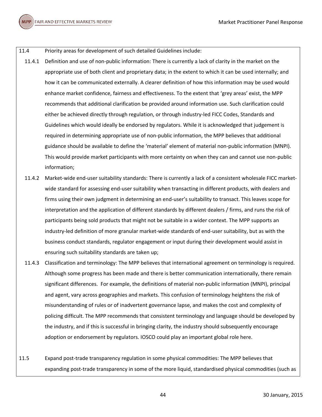11.4 Priority areas for development of such detailed Guidelines include:

- 11.4.1 Definition and use of non-public information: There is currently a lack of clarity in the market on the appropriate use of both client and proprietary data; in the extent to which it can be used internally; and how it can be communicated externally. A clearer definition of how this information may be used would enhance market confidence, fairness and effectiveness. To the extent that 'grey areas' exist, the MPP recommends that additional clarification be provided around information use. Such clarification could either be achieved directly through regulation, or through industry-led FICC Codes, Standards and Guidelines which would ideally be endorsed by regulators. While it is acknowledged that judgement is required in determining appropriate use of non-public information, the MPP believes that additional guidance should be available to define the 'material' element of material non-public information (MNPI). This would provide market participants with more certainty on when they can and cannot use non-public information;
- 11.4.2 Market-wide end-user suitability standards: There is currently a lack of a consistent wholesale FICC marketwide standard for assessing end-user suitability when transacting in different products, with dealers and firms using their own judgment in determining an end-user's suitability to transact. This leaves scope for interpretation and the application of different standards by different dealers / firms, and runs the risk of participants being sold products that might not be suitable in a wider context. The MPP supports an industry-led definition of more granular market-wide standards of end-user suitability, but as with the business conduct standards, regulator engagement or input during their development would assist in ensuring such suitability standards are taken up;
- 11.4.3 Classification and terminology: The MPP believes that international agreement on terminology is required. Although some progress has been made and there is better communication internationally, there remain significant differences. For example, the definitions of material non-public information (MNPI), principal and agent, vary across geographies and markets. This confusion of terminology heightens the risk of misunderstanding of rules or of inadvertent governance lapse, and makes the cost and complexity of policing difficult. The MPP recommends that consistent terminology and language should be developed by the industry, and if this is successful in bringing clarity, the industry should subsequently encourage adoption or endorsement by regulators. IOSCO could play an important global role here.
- 11.5 Expand post-trade transparency regulation in some physical commodities: The MPP believes that expanding post-trade transparency in some of the more liquid, standardised physical commodities (such as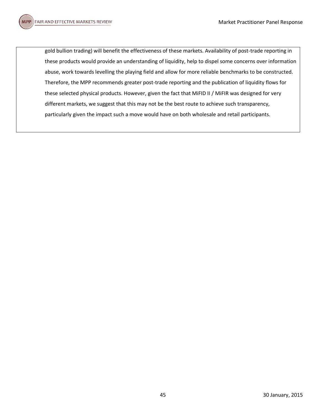gold bullion trading) will benefit the effectiveness of these markets. Availability of post-trade reporting in these products would provide an understanding of liquidity, help to dispel some concerns over information abuse, work towards levelling the playing field and allow for more reliable benchmarks to be constructed. Therefore, the MPP recommends greater post-trade reporting and the publication of liquidity flows for these selected physical products. However, given the fact that MiFID II / MiFIR was designed for very different markets, we suggest that this may not be the best route to achieve such transparency, particularly given the impact such a move would have on both wholesale and retail participants.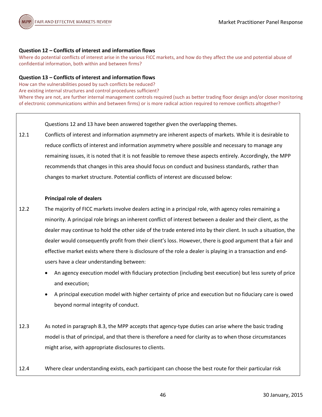#### **Question 12 – Conflicts of interest and information flows**

Where do potential conflicts of interest arise in the various FICC markets, and how do they affect the use and potential abuse of confidential information, both within and between firms?

#### **Question 13 – Conflicts of interest and information flows**

How can the vulnerabilities posed by such conflicts be reduced? Are existing internal structures and control procedures sufficient? Where they are not, are further internal management controls required (such as better trading floor design and/or closer monitoring of electronic communications within and between firms) or is more radical action required to remove conflicts altogether?

### Questions 12 and 13 have been answered together given the overlapping themes.

12.1 Conflicts of interest and information asymmetry are inherent aspects of markets. While it is desirable to reduce conflicts of interest and information asymmetry where possible and necessary to manage any remaining issues, it is noted that it is not feasible to remove these aspects entirely. Accordingly, the MPP recommends that changes in this area should focus on conduct and business standards, rather than changes to market structure. Potential conflicts of interest are discussed below:

#### **Principal role of dealers**

- 12.2 The majority of FICC markets involve dealers acting in a principal role, with agency roles remaining a minority. A principal role brings an inherent conflict of interest between a dealer and their client, as the dealer may continue to hold the other side of the trade entered into by their client. In such a situation, the dealer would consequently profit from their client's loss. However, there is good argument that a fair and effective market exists where there is disclosure of the role a dealer is playing in a transaction and endusers have a clear understanding between:
	- An agency execution model with fiduciary protection (including best execution) but less surety of price and execution;
	- A principal execution model with higher certainty of price and execution but no fiduciary care is owed beyond normal integrity of conduct.
- 12.3 As noted in paragraph 8.3, the MPP accepts that agency-type duties can arise where the basic trading model is that of principal, and that there is therefore a need for clarity as to when those circumstances might arise, with appropriate disclosures to clients.
- 12.4 Where clear understanding exists, each participant can choose the best route for their particular risk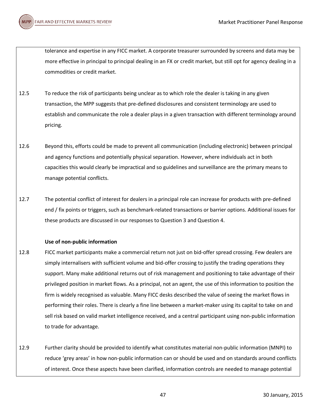tolerance and expertise in any FICC market. A corporate treasurer surrounded by screens and data may be more effective in principal to principal dealing in an FX or credit market, but still opt for agency dealing in a commodities or credit market.

- 12.5 To reduce the risk of participants being unclear as to which role the dealer is taking in any given transaction, the MPP suggests that pre-defined disclosures and consistent terminology are used to establish and communicate the role a dealer plays in a given transaction with different terminology around pricing.
- 12.6 Beyond this, efforts could be made to prevent all communication (including electronic) between principal and agency functions and potentially physical separation. However, where individuals act in both capacities this would clearly be impractical and so guidelines and surveillance are the primary means to manage potential conflicts.
- 12.7 The potential conflict of interest for dealers in a principal role can increase for products with pre-defined end / fix points or triggers, such as benchmark-related transactions or barrier options. Additional issues for these products are discussed in our responses to Question 3 and Question 4.

### **Use of non-public information**

- 12.8 FICC market participants make a commercial return not just on bid-offer spread crossing. Few dealers are simply internalisers with sufficient volume and bid-offer crossing to justify the trading operations they support. Many make additional returns out of risk management and positioning to take advantage of their privileged position in market flows. As a principal, not an agent, the use of this information to position the firm is widely recognised as valuable. Many FICC desks described the value of seeing the market flows in performing their roles. There is clearly a fine line between a market-maker using its capital to take on and sell risk based on valid market intelligence received, and a central participant using non-public information to trade for advantage.
- 12.9 Further clarity should be provided to identify what constitutes material non-public information (MNPI) to reduce 'grey areas' in how non-public information can or should be used and on standards around conflicts of interest. Once these aspects have been clarified, information controls are needed to manage potential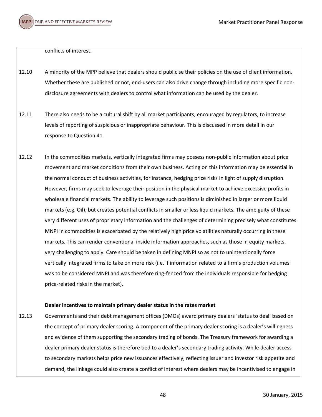conflicts of interest.

- 12.10 A minority of the MPP believe that dealers should publicise their policies on the use of client information. Whether these are published or not, end-users can also drive change through including more specific nondisclosure agreements with dealers to control what information can be used by the dealer.
- 12.11 There also needs to be a cultural shift by all market participants, encouraged by regulators, to increase levels of reporting of suspicious or inappropriate behaviour. This is discussed in more detail in our response to Question 41.
- 12.12 In the commodities markets, vertically integrated firms may possess non-public information about price movement and market conditions from their own business. Acting on this information may be essential in the normal conduct of business activities, for instance, hedging price risks in light of supply disruption. However, firms may seek to leverage their position in the physical market to achieve excessive profits in wholesale financial markets. The ability to leverage such positions is diminished in larger or more liquid markets (e.g. Oil), but creates potential conflicts in smaller or less liquid markets. The ambiguity of these very different uses of proprietary information and the challenges of determining precisely what constitutes MNPI in commodities is exacerbated by the relatively high price volatilities naturally occurring in these markets. This can render conventional inside information approaches, such as those in equity markets, very challenging to apply. Care should be taken in defining MNPI so as not to unintentionally force vertically integrated firms to take on more risk (i.e. if information related to a firm's production volumes was to be considered MNPI and was therefore ring-fenced from the individuals responsible for hedging price-related risks in the market).

#### **Dealer incentives to maintain primary dealer status in the rates market**

12.13 Governments and their debt management offices (DMOs) award primary dealers 'status to deal' based on the concept of primary dealer scoring. A component of the primary dealer scoring is a dealer's willingness and evidence of them supporting the secondary trading of bonds. The Treasury framework for awarding a dealer primary dealer status is therefore tied to a dealer's secondary trading activity. While dealer access to secondary markets helps price new issuances effectively, reflecting issuer and investor risk appetite and demand, the linkage could also create a conflict of interest where dealers may be incentivised to engage in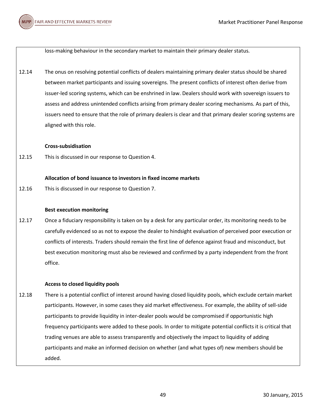loss-making behaviour in the secondary market to maintain their primary dealer status.

12.14 The onus on resolving potential conflicts of dealers maintaining primary dealer status should be shared between market participants and issuing sovereigns. The present conflicts of interest often derive from issuer-led scoring systems, which can be enshrined in law. Dealers should work with sovereign issuers to assess and address unintended conflicts arising from primary dealer scoring mechanisms. As part of this, issuers need to ensure that the role of primary dealers is clear and that primary dealer scoring systems are aligned with this role.

#### **Cross-subsidisation**

12.15 This is discussed in our response to Question 4.

### **Allocation of bond issuance to investors in fixed income markets**

12.16 This is discussed in our response to Question 7.

#### **Best execution monitoring**

12.17 Once a fiduciary responsibility is taken on by a desk for any particular order, its monitoring needs to be carefully evidenced so as not to expose the dealer to hindsight evaluation of perceived poor execution or conflicts of interests. Traders should remain the first line of defence against fraud and misconduct, but best execution monitoring must also be reviewed and confirmed by a party independent from the front office.

### **Access to closed liquidity pools**

12.18 There is a potential conflict of interest around having closed liquidity pools, which exclude certain market participants. However, in some cases they aid market effectiveness. For example, the ability of sell-side participants to provide liquidity in inter-dealer pools would be compromised if opportunistic high frequency participants were added to these pools. In order to mitigate potential conflicts it is critical that trading venues are able to assess transparently and objectively the impact to liquidity of adding participants and make an informed decision on whether (and what types of) new members should be added.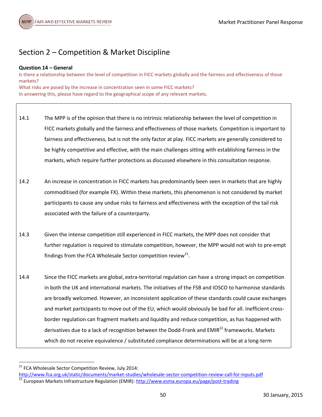# Section 2 – Competition & Market Discipline

## **Question 14 – General**

Is there a relationship between the level of competition in FICC markets globally and the fairness and effectiveness of those markets? What risks are posed by the increase in concentration seen in some FICC markets? In answering this, please have regard to the geographical scope of any relevant markets.

- 14.1 The MPP is of the opinion that there is no intrinsic relationship between the level of competition in FICC markets globally and the fairness and effectiveness of those markets. Competition is important to fairness and effectiveness, but is not the only factor at play. FICC markets are generally considered to be highly competitive and effective, with the main challenges sitting with establishing fairness in the markets, which require further protections as discussed elsewhere in this consultation response.
- 14.2 An increase in concentration in FICC markets has predominantly been seen in markets that are highly commoditised (for example FX). Within these markets, this phenomenon is not considered by market participants to cause any undue risks to fairness and effectiveness with the exception of the tail risk associated with the failure of a counterparty.
- 14.3 Given the intense competition still experienced in FICC markets, the MPP does not consider that further regulation is required to stimulate competition, however, the MPP would not wish to pre-empt findings from the FCA Wholesale Sector competition review<sup>21</sup>.
- 14.4 Since the FICC markets are global, extra-territorial regulation can have a strong impact on competition in both the UK and international markets. The initiatives of the FSB and IOSCO to harmonise standards are broadly welcomed. However, an inconsistent application of these standards could cause exchanges and market participants to move out of the EU, which would obviously be bad for all. Inefficient crossborder regulation can fragment markets and liquidity and reduce competition, as has happened with derivatives due to a lack of recognition between the Dodd-Frank and EMIR<sup>22</sup> frameworks. Markets which do not receive equivalence / substituted compliance determinations will be at a long-term

 $\overline{\phantom{a}}$  $21$  FCA Wholesale Sector Competition Review, July 2014:

<http://www.fca.org.uk/static/documents/market-studies/wholesale-sector-competition-review-call-for-inputs.pdf>  $\overline{22}$  European Markets Infrastructure Regulation (EMIR):<http://www.esma.europa.eu/page/post-trading>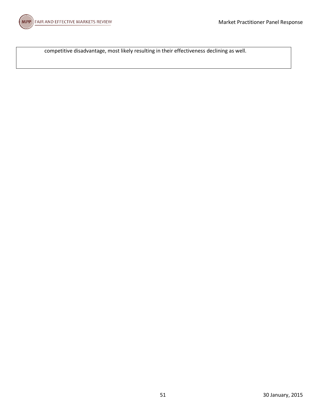

competitive disadvantage, most likely resulting in their effectiveness declining as well.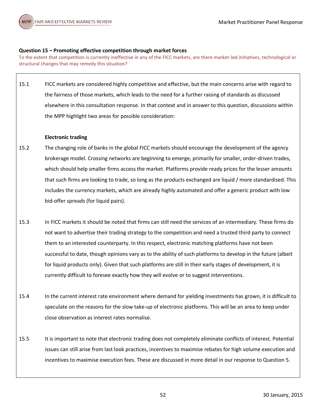## **Question 15 – Promoting effective competition through market forces**

To the extent that competition is currently ineffective in any of the FICC markets, are there market-led initiatives, technological or structural changes that may remedy this situation?

15.1 FICC markets are considered highly competitive and effective, but the main concerns arise with regard to the fairness of those markets, which leads to the need for a further raising of standards as discussed elsewhere in this consultation response. In that context and in answer to this question, discussions within the MPP highlight two areas for possible consideration:

### **Electronic trading**

- 15.2 The changing role of banks in the global FICC markets should encourage the development of the agency brokerage model. Crossing networks are beginning to emerge, primarily for smaller, order-driven trades, which should help smaller firms access the market. Platforms provide ready prices for the lesser amounts that such firms are looking to trade, so long as the products exchanged are liquid / more standardised. This includes the currency markets, which are already highly automated and offer a generic product with low bid-offer spreads (for liquid pairs).
- 15.3 In FICC markets it should be noted that firms can still need the services of an intermediary. These firms do not want to advertise their trading strategy to the competition and need a trusted third party to connect them to an interested counterparty. In this respect, electronic matching platforms have not been successful to date, though opinions vary as to the ability of such platforms to develop in the future (albeit for liquid products only). Given that such platforms are still in their early stages of development, it is currently difficult to foresee exactly how they will evolve or to suggest interventions.
- 15.4 In the current interest rate environment where demand for yielding investments has grown, it is difficult to speculate on the reasons for the slow take-up of electronic platforms. This will be an area to keep under close observation as interest rates normalise.
- 15.5 It is important to note that electronic trading does not completely eliminate conflicts of interest. Potential issues can still arise from last look practices, incentives to maximise rebates for high volume execution and incentives to maximise execution fees. These are discussed in more detail in our response to Question 5.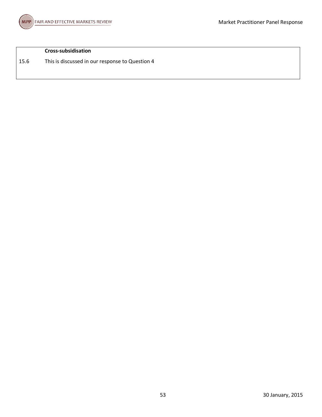

## **Cross-subsidisation**

15.6 This is discussed in our response to Question 4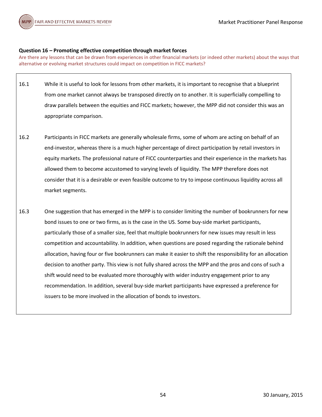#### **Question 16 – Promoting effective competition through market forces**

Are there any lessons that can be drawn from experiences in other financial markets (or indeed other markets) about the ways that alternative or evolving market structures could impact on competition in FICC markets?

- 16.1 While it is useful to look for lessons from other markets, it is important to recognise that a blueprint from one market cannot always be transposed directly on to another. It is superficially compelling to draw parallels between the equities and FICC markets; however, the MPP did not consider this was an appropriate comparison.
- 16.2 Participants in FICC markets are generally wholesale firms, some of whom are acting on behalf of an end-investor, whereas there is a much higher percentage of direct participation by retail investors in equity markets. The professional nature of FICC counterparties and their experience in the markets has allowed them to become accustomed to varying levels of liquidity. The MPP therefore does not consider that it is a desirable or even feasible outcome to try to impose continuous liquidity across all market segments.
- 16.3 One suggestion that has emerged in the MPP is to consider limiting the number of bookrunners for new bond issues to one or two firms, as is the case in the US. Some buy-side market participants, particularly those of a smaller size, feel that multiple bookrunners for new issues may result in less competition and accountability. In addition, when questions are posed regarding the rationale behind allocation, having four or five bookrunners can make it easier to shift the responsibility for an allocation decision to another party. This view is not fully shared across the MPP and the pros and cons of such a shift would need to be evaluated more thoroughly with wider industry engagement prior to any recommendation. In addition, several buy-side market participants have expressed a preference for issuers to be more involved in the allocation of bonds to investors.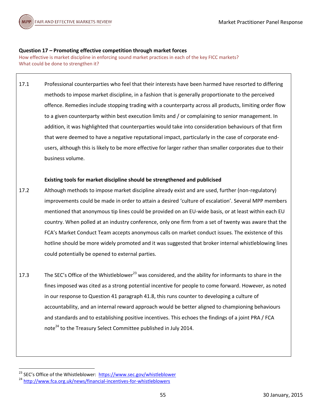#### **Question 17 – Promoting effective competition through market forces**

How effective is market discipline in enforcing sound market practices in each of the key FICC markets? What could be done to strengthen it?

17.1 Professional counterparties who feel that their interests have been harmed have resorted to differing methods to impose market discipline, in a fashion that is generally proportionate to the perceived offence. Remedies include stopping trading with a counterparty across all products, limiting order flow to a given counterparty within best execution limits and / or complaining to senior management. In addition, it was highlighted that counterparties would take into consideration behaviours of that firm that were deemed to have a negative reputational impact, particularly in the case of corporate endusers, although this is likely to be more effective for larger rather than smaller corporates due to their business volume.

### **Existing tools for market discipline should be strengthened and publicised**

- 17.2 Although methods to impose market discipline already exist and are used, further (non-regulatory) improvements could be made in order to attain a desired 'culture of escalation'. Several MPP members mentioned that anonymous tip lines could be provided on an EU-wide basis, or at least within each EU country. When polled at an industry conference, only one firm from a set of twenty was aware that the FCA's Market Conduct Team accepts anonymous calls on market conduct issues. The existence of this hotline should be more widely promoted and it was suggested that broker internal whistleblowing lines could potentially be opened to external parties.
- 17.3 The SEC's Office of the Whistleblower<sup>23</sup> was considered, and the ability for informants to share in the fines imposed was cited as a strong potential incentive for people to come forward. However, as noted in our response to Question 41 paragraph 41.8, this runs counter to developing a culture of accountability, and an internal reward approach would be better aligned to championing behaviours and standards and to establishing positive incentives. This echoes the findings of a joint PRA / FCA note<sup>24</sup> to the Treasury Select Committee published in July 2014.

<sup>23</sup> SEC's Office of the Whistleblower: <https://www.sec.gov/whistleblower>

 $\overline{a}$ 

<sup>24</sup> <http://www.fca.org.uk/news/financial-incentives-for-whistleblowers>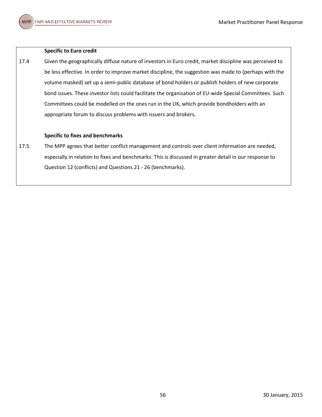

#### **Specific to Euro credit**

17.4 Given the geographically diffuse nature of investors in Euro credit, market discipline was perceived to be less effective. In order to improve market discipline, the suggestion was made to (perhaps with the volume masked) set up a semi-public database of bond holders or publish holders of new corporate bond issues. These investor lists could facilitate the organisation of EU-wide Special Committees. Such Committees could be modelled on the ones run in the UK, which provide bondholders with an appropriate forum to discuss problems with issuers and brokers.

#### **Specific to fixes and benchmarks**

17.5 The MPP agrees that better conflict management and controls over client information are needed, especially in relation to fixes and benchmarks. This is discussed in greater detail in our response to Question 12 (conflicts) and Questions 21 - 26 (benchmarks).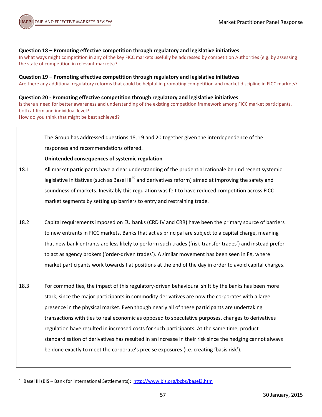### **Question 18 – Promoting effective competition through regulatory and legislative initiatives**

In what ways might competition in any of the key FICC markets usefully be addressed by competition Authorities (e.g. by assessing the state of competition in relevant markets)?

### **Question 19 – Promoting effective competition through regulatory and legislative initiatives**

Are there any additional regulatory reforms that could be helpful in promoting competition and market discipline in FICC markets?

### **Question 20 - Promoting effective competition through regulatory and legislative initiatives**

Is there a need for better awareness and understanding of the existing competition framework among FICC market participants, both at firm and individual level?

How do you think that might be best achieved?

The Group has addressed questions 18, 19 and 20 together given the interdependence of the responses and recommendations offered.

**Unintended consequences of systemic regulation**

- 18.1 All market participants have a clear understanding of the prudential rationale behind recent systemic legislative initiatives (such as Basel III<sup>25</sup> and derivatives reform) aimed at improving the safety and soundness of markets. Inevitably this regulation was felt to have reduced competition across FICC market segments by setting up barriers to entry and restraining trade.
- 18.2 Capital requirements imposed on EU banks (CRD IV and CRR) have been the primary source of barriers to new entrants in FICC markets. Banks that act as principal are subject to a capital charge, meaning that new bank entrants are less likely to perform such trades ('risk-transfer trades') and instead prefer to act as agency brokers ('order-driven trades'). A similar movement has been seen in FX, where market participants work towards flat positions at the end of the day in order to avoid capital charges.
- 18.3 For commodities, the impact of this regulatory-driven behavioural shift by the banks has been more stark, since the major participants in commodity derivatives are now the corporates with a large presence in the physical market. Even though nearly all of these participants are undertaking transactions with ties to real economic as opposed to speculative purposes, changes to derivatives regulation have resulted in increased costs for such participants. At the same time, product standardisation of derivatives has resulted in an increase in their risk since the hedging cannot always be done exactly to meet the corporate's precise exposures (i.e. creating 'basis risk').

 $\overline{\phantom{a}}$ 

<sup>&</sup>lt;sup>25</sup> Basel III (BIS – Bank for International Settlements): <http://www.bis.org/bcbs/basel3.htm>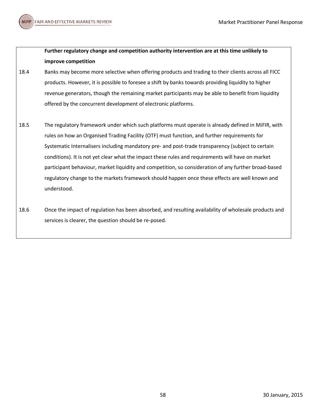**Further regulatory change and competition authority intervention are at this time unlikely to improve competition**

- 18.4 Banks may become more selective when offering products and trading to their clients across all FICC products. However, it is possible to foresee a shift by banks towards providing liquidity to higher revenue generators, though the remaining market participants may be able to benefit from liquidity offered by the concurrent development of electronic platforms.
- 18.5 The regulatory framework under which such platforms must operate is already defined in MiFIR, with rules on how an Organised Trading Facility (OTF) must function, and further requirements for Systematic Internalisers including mandatory pre- and post-trade transparency (subject to certain conditions). It is not yet clear what the impact these rules and requirements will have on market participant behaviour, market liquidity and competition, so consideration of any further broad-based regulatory change to the markets framework should happen once these effects are well known and understood.
- 18.6 Once the impact of regulation has been absorbed, and resulting availability of wholesale products and services is clearer, the question should be re-posed.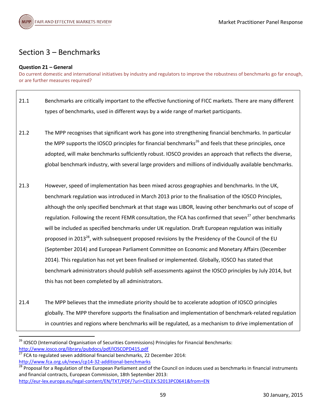## Section 3 – Benchmarks

#### **Question 21 – General**

Do current domestic and international initiatives by industry and regulators to improve the robustness of benchmarks go far enough, or are further measures required?

- 21.1 Benchmarks are critically important to the effective functioning of FICC markets. There are many different types of benchmarks, used in different ways by a wide range of market participants.
- 21.2 The MPP recognises that significant work has gone into strengthening financial benchmarks. In particular the MPP supports the IOSCO principles for financial benchmarks<sup>26</sup> and feels that these principles, once adopted, will make benchmarks sufficiently robust. IOSCO provides an approach that reflects the diverse, global benchmark industry, with several large providers and millions of individually available benchmarks.
- 21.3 However, speed of implementation has been mixed across geographies and benchmarks. In the UK, benchmark regulation was introduced in March 2013 prior to the finalisation of the IOSCO Principles, although the only specified benchmark at that stage was LIBOR, leaving other benchmarks out of scope of regulation. Following the recent FEMR consultation, the FCA has confirmed that seven<sup>27</sup> other benchmarks will be included as specified benchmarks under UK regulation. Draft European regulation was initially proposed in 2013<sup>28</sup>, with subsequent proposed revisions by the Presidency of the Council of the EU (September 2014) and European Parliament Committee on Economic and Monetary Affairs (December 2014). This regulation has not yet been finalised or implemented. Globally, IOSCO has stated that benchmark administrators should publish self-assessments against the IOSCO principles by July 2014, but this has not been completed by all administrators.
- 21.4 The MPP believes that the immediate priority should be to accelerate adoption of IOSCO principles globally. The MPP therefore supports the finalisation and implementation of benchmark-related regulation in countries and regions where benchmarks will be regulated, as a mechanism to drive implementation of

l <sup>26</sup> IOSCO (International Organisation of Securities Commissions) Principles for Financial Benchmarks: <http://www.iosco.org/library/pubdocs/pdf/IOSCOPD415.pdf>

 $27$  FCA to regulated seven additional financial benchmarks, 22 December 2014: <http://www.fca.org.uk/news/cp14-32-additional-benchmarks>

 $^{28}$  Proposal for a Regulation of the European Parliament and of the Council on induces used as benchmarks in financial instruments and financial contracts, European Commission, 18th September 2013: <http://eur-lex.europa.eu/legal-content/EN/TXT/PDF/?uri=CELEX:52013PC0641&from=EN>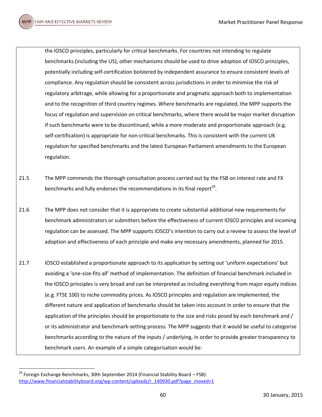the IOSCO principles, particularly for critical benchmarks. For countries not intending to regulate benchmarks (including the US), other mechanisms should be used to drive adoption of IOSCO principles, potentially including self-certification bolstered by independent assurance to ensure consistent levels of compliance. Any regulation should be consistent across jurisdictions in order to minimise the risk of regulatory arbitrage, while allowing for a proportionate and pragmatic approach both to implementation and to the recognition of third country regimes. Where benchmarks are regulated, the MPP supports the focus of regulation and supervision on critical benchmarks, where there would be major market disruption if such benchmarks were to be discontinued, while a more moderate and proportionate approach (e.g. self-certification) is appropriate for non-critical benchmarks. This is consistent with the current UK regulation for specified benchmarks and the latest European Parliament amendments to the European regulation.

- 21.5 The MPP commends the thorough consultation process carried out by the FSB on interest rate and FX benchmarks and fully endorses the recommendations in its final report<sup>29</sup>.
- 21.6 The MPP does not consider that it is appropriate to create substantial additional new requirements for benchmark administrators or submitters before the effectiveness of current IOSCO principles and incoming regulation can be assessed. The MPP supports IOSCO's intention to carry out a review to assess the level of adoption and effectiveness of each principle and make any necessary amendments, planned for 2015.
- 21.7 IOSCO established a proportionate approach to its application by setting out 'uniform expectations' but avoiding a 'one-size-fits-all' method of implementation. The definition of financial benchmark included in the IOSCO principles is very broad and can be interpreted as including everything from major equity indices (e.g. FTSE 100) to niche commodity prices. As IOSCO principles and regulation are implemented, the different nature and application of benchmarks should be taken into account in order to ensure that the application of the principles should be proportionate to the size and risks posed by each benchmark and / or its administrator and benchmark-setting process. The MPP suggests that it would be useful to categorise benchmarks according to the nature of the inputs / underlying, in order to provide greater transparency to benchmark users. An example of a simple categorisation would be:

 $\overline{a}$ 

<sup>&</sup>lt;sup>29</sup> Foreign Exchange Benchmarks, 30th September 2014 (Financial Stability Board – FSB): [http://www.financialstabilityboard.org/wp-content/uploads/r\\_140930.pdf?page\\_moved=1](http://www.financialstabilityboard.org/wp-content/uploads/r_140930.pdf?page_moved=1)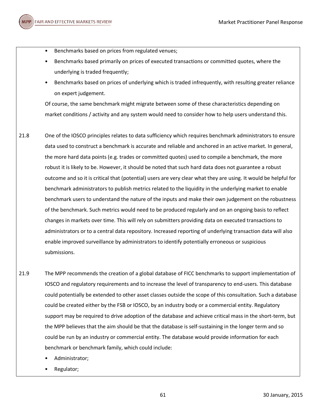- Benchmarks based on prices from regulated venues;
- Benchmarks based primarily on prices of executed transactions or committed quotes, where the underlying is traded frequently;
- Benchmarks based on prices of underlying which is traded infrequently, with resulting greater reliance on expert judgement.

Of course, the same benchmark might migrate between some of these characteristics depending on market conditions / activity and any system would need to consider how to help users understand this.

- 21.8 One of the IOSCO principles relates to data sufficiency which requires benchmark administrators to ensure data used to construct a benchmark is accurate and reliable and anchored in an active market. In general, the more hard data points (e.g. trades or committed quotes) used to compile a benchmark, the more robust it is likely to be. However, it should be noted that such hard data does not guarantee a robust outcome and so it is critical that (potential) users are very clear what they are using. It would be helpful for benchmark administrators to publish metrics related to the liquidity in the underlying market to enable benchmark users to understand the nature of the inputs and make their own judgement on the robustness of the benchmark. Such metrics would need to be produced regularly and on an ongoing basis to reflect changes in markets over time. This will rely on submitters providing data on executed transactions to administrators or to a central data repository. Increased reporting of underlying transaction data will also enable improved surveillance by administrators to identify potentially erroneous or suspicious submissions.
- 21.9 The MPP recommends the creation of a global database of FICC benchmarks to support implementation of IOSCO and regulatory requirements and to increase the level of transparency to end-users. This database could potentially be extended to other asset classes outside the scope of this consultation. Such a database could be created either by the FSB or IOSCO, by an industry body or a commercial entity. Regulatory support may be required to drive adoption of the database and achieve critical mass in the short-term, but the MPP believes that the aim should be that the database is self-sustaining in the longer term and so could be run by an industry or commercial entity. The database would provide information for each benchmark or benchmark family, which could include:
	- Administrator;
	- Regulator;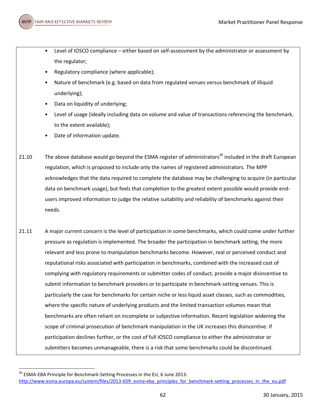- Level of IOSCO compliance either based on self-assessment by the administrator or assessment by the regulator;
- Regulatory compliance (where applicable);
- Nature of benchmark (e.g. based on data from regulated venues versus benchmark of illiquid underlying);
- Data on liquidity of underlying;
- Level of usage (ideally including data on volume and value of transactions referencing the benchmark, to the extent available);
- Date of information update.

 $\overline{a}$ 

- 21.10 The above database would go beyond the ESMA register of administrators<sup>30</sup> included in the draft European regulation, which is proposed to include only the names of registered administrators. The MPP acknowledges that the data required to complete the database may be challenging to acquire (in particular data on benchmark usage), but feels that completion to the greatest extent possible would provide endusers improved information to judge the relative suitability and reliability of benchmarks against their needs.
- 21.11 A major current concern is the level of participation in some benchmarks, which could come under further pressure as regulation is implemented. The broader the participation in benchmark setting, the more relevant and less prone to manipulation benchmarks become. However, real or perceived conduct and reputational risks associated with participation in benchmarks, combined with the increased cost of complying with regulatory requirements or submitter codes of conduct, provide a major disincentive to submit information to benchmark providers or to participate in benchmark-setting venues. This is particularly the case for benchmarks for certain niche or less liquid asset classes, such as commodities, where the specific nature of underlying products and the limited transaction volumes mean that benchmarks are often reliant on incomplete or subjective information. Recent legislation widening the scope of criminal prosecution of benchmark manipulation in the UK increases this disincentive. If participation declines further, or the cost of full IOSCO compliance to either the administrator or submitters becomes unmanageable, there is a risk that some benchmarks could be discontinued.

 $30$  ESMA-EBA Principle for Benchmark-Setting Processes in the EU, 6 June 2013: [http://www.esma.europa.eu/system/files/2013-659\\_esma-eba\\_principles\\_for\\_benchmark-setting\\_processes\\_in\\_the\\_eu.pdf](http://www.esma.europa.eu/system/files/2013-659_esma-eba_principles_for_benchmark-setting_processes_in_the_eu.pdf)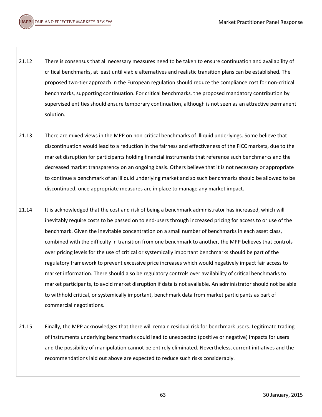- 21.12 There is consensus that all necessary measures need to be taken to ensure continuation and availability of critical benchmarks, at least until viable alternatives and realistic transition plans can be established. The proposed two-tier approach in the European regulation should reduce the compliance cost for non-critical benchmarks, supporting continuation. For critical benchmarks, the proposed mandatory contribution by supervised entities should ensure temporary continuation, although is not seen as an attractive permanent solution.
- 21.13 There are mixed views in the MPP on non-critical benchmarks of illiquid underlyings. Some believe that discontinuation would lead to a reduction in the fairness and effectiveness of the FICC markets, due to the market disruption for participants holding financial instruments that reference such benchmarks and the decreased market transparency on an ongoing basis. Others believe that it is not necessary or appropriate to continue a benchmark of an illiquid underlying market and so such benchmarks should be allowed to be discontinued, once appropriate measures are in place to manage any market impact.
- 21.14 It is acknowledged that the cost and risk of being a benchmark administrator has increased, which will inevitably require costs to be passed on to end-users through increased pricing for access to or use of the benchmark. Given the inevitable concentration on a small number of benchmarks in each asset class, combined with the difficulty in transition from one benchmark to another, the MPP believes that controls over pricing levels for the use of critical or systemically important benchmarks should be part of the regulatory framework to prevent excessive price increases which would negatively impact fair access to market information. There should also be regulatory controls over availability of critical benchmarks to market participants, to avoid market disruption if data is not available. An administrator should not be able to withhold critical, or systemically important, benchmark data from market participants as part of commercial negotiations.
- 21.15 Finally, the MPP acknowledges that there will remain residual risk for benchmark users. Legitimate trading of instruments underlying benchmarks could lead to unexpected (positive or negative) impacts for users and the possibility of manipulation cannot be entirely eliminated. Nevertheless, current initiatives and the recommendations laid out above are expected to reduce such risks considerably.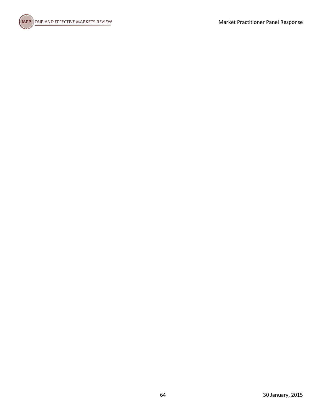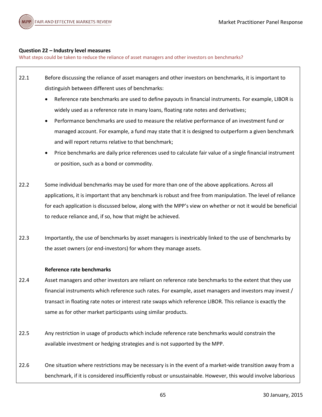### **Question 22 – Industry level measures**

What steps could be taken to reduce the reliance of asset managers and other investors on benchmarks?

- 22.1 Before discussing the reliance of asset managers and other investors on benchmarks, it is important to distinguish between different uses of benchmarks: Reference rate benchmarks are used to define payouts in financial instruments. For example, LIBOR is widely used as a reference rate in many loans, floating rate notes and derivatives; Performance benchmarks are used to measure the relative performance of an investment fund or managed account. For example, a fund may state that it is designed to outperform a given benchmark and will report returns relative to that benchmark; Price benchmarks are daily price references used to calculate fair value of a single financial instrument or position, such as a bond or commodity. 22.2 Some individual benchmarks may be used for more than one of the above applications. Across all applications, it is important that any benchmark is robust and free from manipulation. The level of reliance for each application is discussed below, along with the MPP's view on whether or not it would be beneficial to reduce reliance and, if so, how that might be achieved. 22.3 Importantly, the use of benchmarks by asset managers is inextricably linked to the use of benchmarks by the asset owners (or end-investors) for whom they manage assets. **Reference rate benchmarks** 22.4 Asset managers and other investors are reliant on reference rate benchmarks to the extent that they use financial instruments which reference such rates. For example, asset managers and investors may invest / transact in floating rate notes or interest rate swaps which reference LIBOR. This reliance is exactly the same as for other market participants using similar products.
- 22.5 Any restriction in usage of products which include reference rate benchmarks would constrain the available investment or hedging strategies and is not supported by the MPP.
- 22.6 One situation where restrictions may be necessary is in the event of a market-wide transition away from a benchmark, if it is considered insufficiently robust or unsustainable. However, this would involve laborious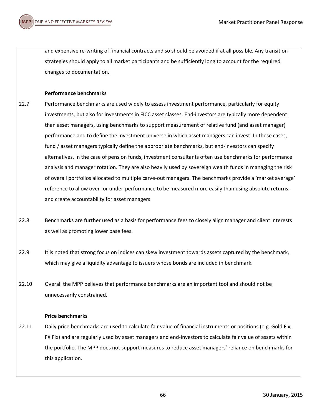and expensive re-writing of financial contracts and so should be avoided if at all possible. Any transition strategies should apply to all market participants and be sufficiently long to account for the required changes to documentation.

### **Performance benchmarks**

- 22.7 Performance benchmarks are used widely to assess investment performance, particularly for equity investments, but also for investments in FICC asset classes. End-investors are typically more dependent than asset managers, using benchmarks to support measurement of relative fund (and asset manager) performance and to define the investment universe in which asset managers can invest. In these cases, fund / asset managers typically define the appropriate benchmarks, but end-investors can specify alternatives. In the case of pension funds, investment consultants often use benchmarks for performance analysis and manager rotation. They are also heavily used by sovereign wealth funds in managing the risk of overall portfolios allocated to multiple carve-out managers. The benchmarks provide a 'market average' reference to allow over- or under-performance to be measured more easily than using absolute returns, and create accountability for asset managers.
- 22.8 Benchmarks are further used as a basis for performance fees to closely align manager and client interests as well as promoting lower base fees.
- 22.9 It is noted that strong focus on indices can skew investment towards assets captured by the benchmark, which may give a liquidity advantage to issuers whose bonds are included in benchmark.
- 22.10 Overall the MPP believes that performance benchmarks are an important tool and should not be unnecessarily constrained.

### **Price benchmarks**

22.11 Daily price benchmarks are used to calculate fair value of financial instruments or positions (e.g. Gold Fix, FX Fix) and are regularly used by asset managers and end-investors to calculate fair value of assets within the portfolio. The MPP does not support measures to reduce asset managers' reliance on benchmarks for this application.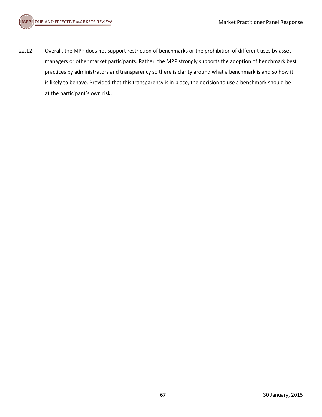

22.12 Overall, the MPP does not support restriction of benchmarks or the prohibition of different uses by asset managers or other market participants. Rather, the MPP strongly supports the adoption of benchmark best practices by administrators and transparency so there is clarity around what a benchmark is and so how it is likely to behave. Provided that this transparency is in place, the decision to use a benchmark should be at the participant's own risk.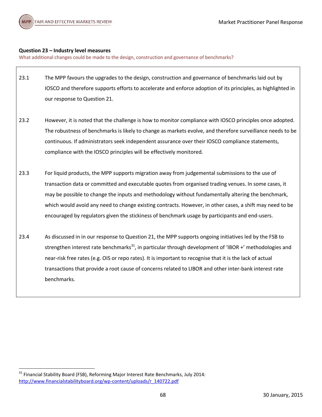#### **Question 23 – Industry level measures**

What additional changes could be made to the design, construction and governance of benchmarks?

- 23.1 The MPP favours the upgrades to the design, construction and governance of benchmarks laid out by IOSCO and therefore supports efforts to accelerate and enforce adoption of its principles, as highlighted in our response to Question 21.
- 23.2 However, it is noted that the challenge is how to monitor compliance with IOSCO principles once adopted. The robustness of benchmarks is likely to change as markets evolve, and therefore surveillance needs to be continuous. If administrators seek independent assurance over their IOSCO compliance statements, compliance with the IOSCO principles will be effectively monitored.
- 23.3 For liquid products, the MPP supports migration away from judgemental submissions to the use of transaction data or committed and executable quotes from organised trading venues. In some cases, it may be possible to change the inputs and methodology without fundamentally altering the benchmark, which would avoid any need to change existing contracts. However, in other cases, a shift may need to be encouraged by regulators given the stickiness of benchmark usage by participants and end-users.
- 23.4 As discussed in in our response to Question 21, the MPP supports ongoing initiatives led by the FSB to strengthen interest rate benchmarks<sup>31</sup>, in particular through development of 'IBOR +' methodologies and near-risk free rates (e.g. OIS or repo rates). It is important to recognise that it is the lack of actual transactions that provide a root cause of concerns related to LIBOR and other inter-bank interest rate benchmarks.

 $\overline{a}$  $31$  Financial Stability Board (FSB), Reforming Major Interest Rate Benchmarks, July 2014: [http://www.financialstabilityboard.org/wp-content/uploads/r\\_140722.pdf](http://www.financialstabilityboard.org/wp-content/uploads/r_140722.pdf)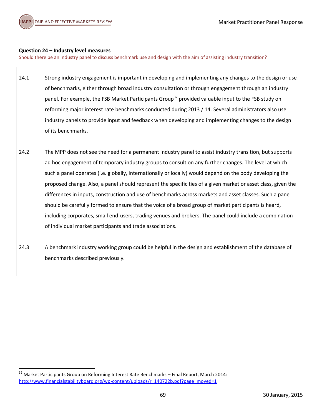#### **Question 24 – Industry level measures**

Should there be an industry panel to discuss benchmark use and design with the aim of assisting industry transition?

- 24.1 Strong industry engagement is important in developing and implementing any changes to the design or use of benchmarks, either through broad industry consultation or through engagement through an industry panel. For example, the FSB Market Participants Group<sup>32</sup> provided valuable input to the FSB study on reforming major interest rate benchmarks conducted during 2013 / 14. Several administrators also use industry panels to provide input and feedback when developing and implementing changes to the design of its benchmarks.
- 24.2 The MPP does not see the need for a permanent industry panel to assist industry transition, but supports ad hoc engagement of temporary industry groups to consult on any further changes. The level at which such a panel operates (i.e. globally, internationally or locally) would depend on the body developing the proposed change. Also, a panel should represent the specificities of a given market or asset class, given the differences in inputs, construction and use of benchmarks across markets and asset classes. Such a panel should be carefully formed to ensure that the voice of a broad group of market participants is heard, including corporates, small end-users, trading venues and brokers. The panel could include a combination of individual market participants and trade associations.
- 24.3 A benchmark industry working group could be helpful in the design and establishment of the database of benchmarks described previously.

 $\overline{a}$ 

 $32$  Market Participants Group on Reforming Interest Rate Benchmarks – Final Report, March 2014: [http://www.financialstabilityboard.org/wp-content/uploads/r\\_140722b.pdf?page\\_moved=1](http://www.financialstabilityboard.org/wp-content/uploads/r_140722b.pdf?page_moved=1)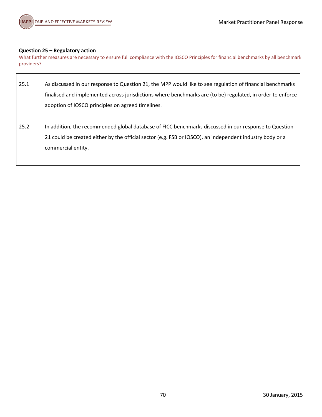## **Question 25 – Regulatory action**

What further measures are necessary to ensure full compliance with the IOSCO Principles for financial benchmarks by all benchmark providers?

| 25.1 | As discussed in our response to Question 21, the MPP would like to see regulation of financial benchmarks  |
|------|------------------------------------------------------------------------------------------------------------|
|      | finalised and implemented across jurisdictions where benchmarks are (to be) regulated, in order to enforce |
|      | adoption of IOSCO principles on agreed timelines.                                                          |
|      |                                                                                                            |
| 25.2 | In addition, the recommended global database of FICC benchmarks discussed in our response to Question      |
|      | 21 could be created either by the official sector (e.g. FSB or IOSCO), an independent industry body or a   |
|      | commercial entity.                                                                                         |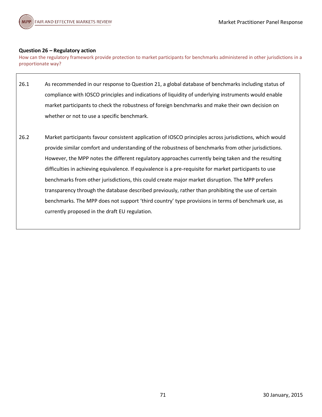#### **Question 26 – Regulatory action**

How can the regulatory framework provide protection to market participants for benchmarks administered in other jurisdictions in a proportionate way?

- 26.1 As recommended in our response to Question 21, a global database of benchmarks including status of compliance with IOSCO principles and indications of liquidity of underlying instruments would enable market participants to check the robustness of foreign benchmarks and make their own decision on whether or not to use a specific benchmark.
- 26.2 Market participants favour consistent application of IOSCO principles across jurisdictions, which would provide similar comfort and understanding of the robustness of benchmarks from other jurisdictions. However, the MPP notes the different regulatory approaches currently being taken and the resulting difficulties in achieving equivalence. If equivalence is a pre-requisite for market participants to use benchmarks from other jurisdictions, this could create major market disruption. The MPP prefers transparency through the database described previously, rather than prohibiting the use of certain benchmarks. The MPP does not support 'third country' type provisions in terms of benchmark use, as currently proposed in the draft EU regulation.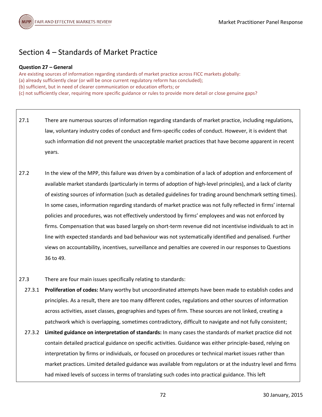# Section 4 – Standards of Market Practice

### **Question 27 – General**

Are existing sources of information regarding standards of market practice across FICC markets globally: (a) already sufficiently clear (or will be once current regulatory reform has concluded); (b) sufficient, but in need of clearer communication or education efforts; or (c) not sufficiently clear, requiring more specific guidance or rules to provide more detail or close genuine gaps?

- 27.1 There are numerous sources of information regarding standards of market practice, including regulations, law, voluntary industry codes of conduct and firm-specific codes of conduct. However, it is evident that such information did not prevent the unacceptable market practices that have become apparent in recent years.
- 27.2 In the view of the MPP, this failure was driven by a combination of a lack of adoption and enforcement of available market standards (particularly in terms of adoption of high-level principles), and a lack of clarity of existing sources of information (such as detailed guidelines for trading around benchmark setting times). In some cases, information regarding standards of market practice was not fully reflected in firms' internal policies and procedures, was not effectively understood by firms' employees and was not enforced by firms. Compensation that was based largely on short-term revenue did not incentivise individuals to act in line with expected standards and bad behaviour was not systematically identified and penalised. Further views on accountability, incentives, surveillance and penalties are covered in our responses to Questions 36 to 49.
- 27.3 There are four main issues specifically relating to standards:
	- 27.3.1 **Proliferation of codes:** Many worthy but uncoordinated attempts have been made to establish codes and principles. As a result, there are too many different codes, regulations and other sources of information across activities, asset classes, geographies and types of firm. These sources are not linked, creating a patchwork which is overlapping, sometimes contradictory, difficult to navigate and not fully consistent;
	- 27.3.2 **Limited guidance on interpretation of standards:** In many cases the standards of market practice did not contain detailed practical guidance on specific activities. Guidance was either principle-based, relying on interpretation by firms or individuals, or focused on procedures or technical market issues rather than market practices. Limited detailed guidance was available from regulators or at the industry level and firms had mixed levels of success in terms of translating such codes into practical guidance. This left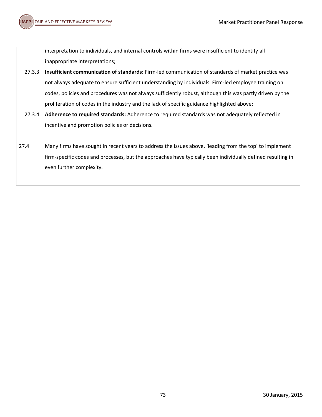interpretation to individuals, and internal controls within firms were insufficient to identify all inappropriate interpretations;

- 27.3.3 **Insufficient communication of standards:** Firm-led communication of standards of market practice was not always adequate to ensure sufficient understanding by individuals. Firm-led employee training on codes, policies and procedures was not always sufficiently robust, although this was partly driven by the proliferation of codes in the industry and the lack of specific guidance highlighted above;
- 27.3.4 **Adherence to required standards:** Adherence to required standards was not adequately reflected in incentive and promotion policies or decisions.
- 27.4 Many firms have sought in recent years to address the issues above, 'leading from the top' to implement firm-specific codes and processes, but the approaches have typically been individually defined resulting in even further complexity.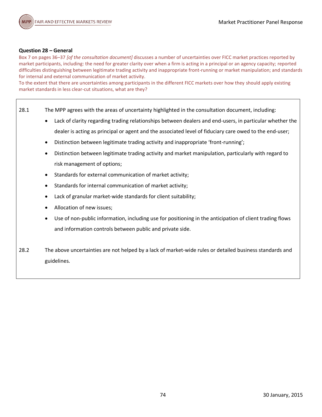#### **Question 28 – General**

**MPP** 

Box 7 on pages 36–37 *[of the consultation document]* discusses a number of uncertainties over FICC market practices reported by market participants, including: the need for greater clarity over when a firm is acting in a principal or an agency capacity; reported difficulties distinguishing between legitimate trading activity and inappropriate front-running or market manipulation; and standards for internal and external communication of market activity.

To the extent that there are uncertainties among participants in the different FICC markets over how they should apply existing market standards in less clear-cut situations, what are they?

| 28.1 | The MPP agrees with the areas of uncertainty highlighted in the consultation document, including:                     |  |  |  |
|------|-----------------------------------------------------------------------------------------------------------------------|--|--|--|
|      | Lack of clarity regarding trading relationships between dealers and end-users, in particular whether the<br>$\bullet$ |  |  |  |
|      | dealer is acting as principal or agent and the associated level of fiduciary care owed to the end-user;               |  |  |  |
|      | Distinction between legitimate trading activity and inappropriate 'front-running';<br>$\bullet$                       |  |  |  |
|      | Distinction between legitimate trading activity and market manipulation, particularly with regard to<br>$\bullet$     |  |  |  |
|      | risk management of options;                                                                                           |  |  |  |
|      | Standards for external communication of market activity;<br>$\bullet$                                                 |  |  |  |
|      | Standards for internal communication of market activity;<br>٠                                                         |  |  |  |
|      | Lack of granular market-wide standards for client suitability;                                                        |  |  |  |
|      | Allocation of new issues;                                                                                             |  |  |  |
|      | Use of non-public information, including use for positioning in the anticipation of client trading flows<br>$\bullet$ |  |  |  |
|      | and information controls between public and private side.                                                             |  |  |  |
|      |                                                                                                                       |  |  |  |
| 28.2 | The above uncertainties are not helped by a lack of market-wide rules or detailed business standards and              |  |  |  |
|      | guidelines.                                                                                                           |  |  |  |
|      |                                                                                                                       |  |  |  |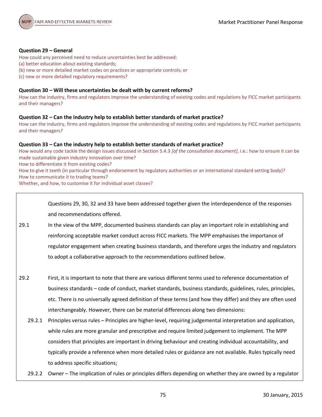

#### **Question 29 – General**

How could any perceived need to reduce uncertainties best be addressed:

- (a) better education about existing standards;
- (b) new or more detailed market codes on practices or appropriate controls; or
- (c) new or more detailed regulatory requirements?

#### **Question 30 – Will these uncertainties be dealt with by current reforms?**

How can the industry, firms and regulators improve the understanding of existing codes and regulations by FICC market participants and their managers?

#### **Question 32 – Can the industry help to establish better standards of market practice?**

How can the industry, firms and regulators improve the understanding of existing codes and regulations by FICC market participants and their managers?

#### **Question 33 – Can the industry help to establish better standards of market practice?**

How would any code tackle the design issues discussed in Section 5.4.3 *[of the consultation document]*, i.e.: how to ensure it can be made sustainable given industry innovation over time? How to differentiate it from existing codes? How to give it teeth (in particular through endorsement by regulatory authorities or an international standard setting body)? How to communicate it to trading teams? Whether, and how, to customise it for individual asset classes?

> Questions 29, 30, 32 and 33 have been addressed together given the interdependence of the responses and recommendations offered.

- 29.1 In the view of the MPP, documented business standards can play an important role in establishing and reinforcing acceptable market conduct across FICC markets. The MPP emphasises the importance of regulator engagement when creating business standards, and therefore urges the industry and regulators to adopt a collaborative approach to the recommendations outlined below.
- 29.2 First, it is important to note that there are various different terms used to reference documentation of business standards – code of conduct, market standards, business standards, guidelines, rules, principles, etc. There is no universally agreed definition of these terms (and how they differ) and they are often used interchangeably. However, there can be material differences along two dimensions:
	- 29.2.1 Principles versus rules Principles are higher-level, requiring judgemental interpretation and application, while rules are more granular and prescriptive and require limited judgement to implement. The MPP considers that principles are important in driving behaviour and creating individual accountability, and typically provide a reference when more detailed rules or guidance are not available. Rules typically need to address specific situations;

29.2.2 Owner – The implication of rules or principles differs depending on whether they are owned by a regulator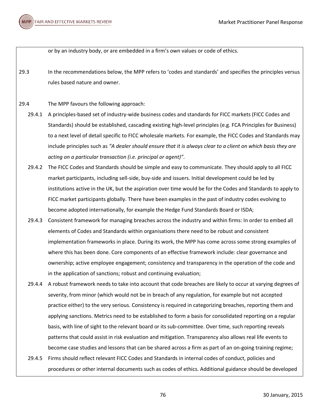or by an industry body, or are embedded in a firm's own values or code of ethics.

- 29.3 In the recommendations below, the MPP refers to 'codes and standards' and specifies the principles versus rules based nature and owner.
- 29.4 The MPP favours the following approach:
	- 29.4.1 A principles-based set of industry-wide business codes and standards for FICC markets (FICC Codes and Standards) should be established, cascading existing high-level principles (e.g. FCA Principles for Business) to a next level of detail specific to FICC wholesale markets. For example, the FICC Codes and Standards may include principles such as *"A dealer should ensure that it is always clear to a client on which basis they are acting on a particular transaction (i.e. principal or agent)"*.
	- 29.4.2 The FICC Codes and Standards should be simple and easy to communicate. They should apply to all FICC market participants, including sell-side, buy-side and issuers. Initial development could be led by institutions active in the UK, but the aspiration over time would be for the Codes and Standards to apply to FICC market participants globally. There have been examples in the past of industry codes evolving to become adopted internationally, for example the Hedge Fund Standards Board or ISDA;
	- 29.4.3 Consistent framework for managing breaches across the industry and within firms: In order to embed all elements of Codes and Standards within organisations there need to be robust and consistent implementation frameworks in place. During its work, the MPP has come across some strong examples of where this has been done. Core components of an effective framework include: clear governance and ownership; active employee engagement; consistency and transparency in the operation of the code and in the application of sanctions; robust and continuing evaluation;
	- 29.4.4 A robust framework needs to take into account that code breaches are likely to occur at varying degrees of severity, from minor (which would not be in breach of any regulation, for example but not accepted practice either) to the very serious. Consistency is required in categorizing breaches, reporting them and applying sanctions. Metrics need to be established to form a basis for consolidated reporting on a regular basis, with line of sight to the relevant board or its sub-committee. Over time, such reporting reveals patterns that could assist in risk evaluation and mitigation. Transparency also allows real life events to become case studies and lessons that can be shared across a firm as part of an on-going training regime;
	- 29.4.5 Firms should reflect relevant FICC Codes and Standards in internal codes of conduct, policies and procedures or other internal documents such as codes of ethics. Additional guidance should be developed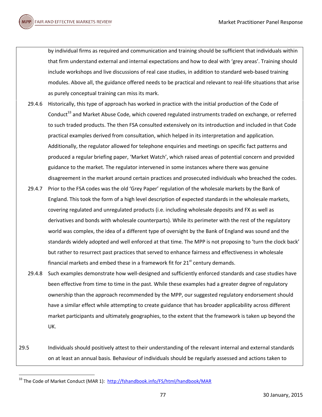by individual firms as required and communication and training should be sufficient that individuals within that firm understand external and internal expectations and how to deal with 'grey areas'. Training should include workshops and live discussions of real case studies, in addition to standard web-based training modules. Above all, the guidance offered needs to be practical and relevant to real-life situations that arise as purely conceptual training can miss its mark.

- 29.4.6 Historically, this type of approach has worked in practice with the initial production of the Code of Conduct<sup>33</sup> and Market Abuse Code, which covered regulated instruments traded on exchange, or referred to such traded products. The then FSA consulted extensively on its introduction and included in that Code practical examples derived from consultation, which helped in its interpretation and application. Additionally, the regulator allowed for telephone enquiries and meetings on specific fact patterns and produced a regular briefing paper, 'Market Watch', which raised areas of potential concern and provided guidance to the market. The regulator intervened in some instances where there was genuine disagreement in the market around certain practices and prosecuted individuals who breached the codes.
- 29.4.7 Prior to the FSA codes was the old 'Grey Paper' regulation of the wholesale markets by the Bank of England. This took the form of a high level description of expected standards in the wholesale markets, covering regulated and unregulated products (i.e. including wholesale deposits and FX as well as derivatives and bonds with wholesale counterparts). While its perimeter with the rest of the regulatory world was complex, the idea of a different type of oversight by the Bank of England was sound and the standards widely adopted and well enforced at that time. The MPP is not proposing to 'turn the clock back' but rather to resurrect past practices that served to enhance fairness and effectiveness in wholesale financial markets and embed these in a framework fit for  $21<sup>st</sup>$  century demands.
- 29.4.8 Such examples demonstrate how well-designed and sufficiently enforced standards and case studies have been effective from time to time in the past. While these examples had a greater degree of regulatory ownership than the approach recommended by the MPP, our suggested regulatory endorsement should have a similar effect while attempting to create guidance that has broader applicability across different market participants and ultimately geographies, to the extent that the framework is taken up beyond the UK.
- 29.5 Individuals should positively attest to their understanding of the relevant internal and external standards on at least an annual basis. Behaviour of individuals should be regularly assessed and actions taken to

 $\overline{\phantom{a}}$ 

<sup>&</sup>lt;sup>33</sup> The Code of Market Conduct (MAR 1): <http://fshandbook.info/FS/html/handbook/MAR>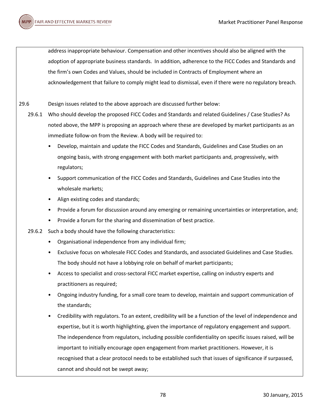address inappropriate behaviour. Compensation and other incentives should also be aligned with the adoption of appropriate business standards. In addition, adherence to the FICC Codes and Standards and the firm's own Codes and Values, should be included in Contracts of Employment where an acknowledgement that failure to comply might lead to dismissal, even if there were no regulatory breach.

29.6 Design issues related to the above approach are discussed further below:

- 29.6.1 Who should develop the proposed FICC Codes and Standards and related Guidelines / Case Studies? As noted above, the MPP is proposing an approach where these are developed by market participants as an immediate follow-on from the Review. A body will be required to:
	- Develop, maintain and update the FICC Codes and Standards, Guidelines and Case Studies on an ongoing basis, with strong engagement with both market participants and, progressively, with regulators;
	- Support communication of the FICC Codes and Standards, Guidelines and Case Studies into the wholesale markets;
	- Align existing codes and standards;
	- Provide a forum for discussion around any emerging or remaining uncertainties or interpretation, and;
	- Provide a forum for the sharing and dissemination of best practice.
	- 29.6.2 Such a body should have the following characteristics:
		- Organisational independence from any individual firm;
		- Exclusive focus on wholesale FICC Codes and Standards, and associated Guidelines and Case Studies. The body should not have a lobbying role on behalf of market participants;
		- Access to specialist and cross-sectoral FICC market expertise, calling on industry experts and practitioners as required;
		- Ongoing industry funding, for a small core team to develop, maintain and support communication of the standards;
		- Credibility with regulators. To an extent, credibility will be a function of the level of independence and expertise, but it is worth highlighting, given the importance of regulatory engagement and support. The independence from regulators, including possible confidentiality on specific issues raised, will be important to initially encourage open engagement from market practitioners. However, it is recognised that a clear protocol needs to be established such that issues of significance if surpassed, cannot and should not be swept away;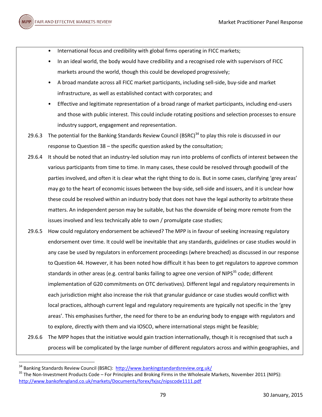- International focus and credibility with global firms operating in FICC markets;
- In an ideal world, the body would have credibility and a recognised role with supervisors of FICC markets around the world, though this could be developed progressively;
- A broad mandate across all FICC market participants, including sell-side, buy-side and market infrastructure, as well as established contact with corporates; and
- Effective and legitimate representation of a broad range of market participants, including end-users and those with public interest. This could include rotating positions and selection processes to ensure industry support, engagement and representation.
- 29.6.3 The potential for the Banking Standards Review Council (BSRC)<sup>34</sup> to play this role is discussed in our response to Question 38 – the specific question asked by the consultation;
- 29.6.4 It should be noted that an industry-led solution may run into problems of conflicts of interest between the various participants from time to time. In many cases, these could be resolved through goodwill of the parties involved, and often it is clear what the right thing to do is. But in some cases, clarifying 'grey areas' may go to the heart of economic issues between the buy-side, sell-side and issuers, and it is unclear how these could be resolved within an industry body that does not have the legal authority to arbitrate these matters. An independent person may be suitable, but has the downside of being more remote from the issues involved and less technically able to own / promulgate case studies;
- 29.6.5 How could regulatory endorsement be achieved? The MPP is in favour of seeking increasing regulatory endorsement over time. It could well be inevitable that any standards, guidelines or case studies would in any case be used by regulators in enforcement proceedings (where breached) as discussed in our response to Question 44. However, it has been noted how difficult it has been to get regulators to approve common standards in other areas (e.g. central banks failing to agree one version of NIPS<sup>35</sup> code; different implementation of G20 commitments on OTC derivatives). Different legal and regulatory requirements in each jurisdiction might also increase the risk that granular guidance or case studies would conflict with local practices, although current legal and regulatory requirements are typically not specific in the 'grey areas'. This emphasises further, the need for there to be an enduring body to engage with regulators and to explore, directly with them and via IOSCO, where international steps might be feasible;
- 29.6.6 The MPP hopes that the initiative would gain traction internationally, though it is recognised that such a process will be complicated by the large number of different regulators across and within geographies, and

 $\overline{\phantom{a}}$ 

<sup>&</sup>lt;sup>34</sup> Banking Standards Review Council (BSRC): <http://www.bankingstandardsreview.org.uk/>

<sup>&</sup>lt;sup>35</sup> The Non-Investment Products Code – For Principles and Broking Firms in the Wholesale Markets, November 2011 (NIPS): <http://www.bankofengland.co.uk/markets/Documents/forex/fxjsc/nipscode1111.pdf>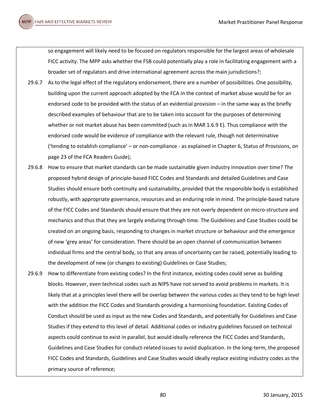so engagement will likely need to be focused on regulators responsible for the largest areas of wholesale FICC activity. The MPP asks whether the FSB could potentially play a role in facilitating engagement with a broader set of regulators and drive international agreement across the main jurisdictions?;

- 29.6.7 As to the legal effect of the regulatory endorsement, there are a number of possibilities. One possibility, building upon the current approach adopted by the FCA in the context of market abuse would be for an endorsed code to be provided with the status of an evidential provision – in the same way as the briefly described examples of behaviour that are to be taken into account for the purposes of determining whether or not market abuse has been committed (such as in MAR 1.6.9 E). Thus compliance with the endorsed code would be evidence of compliance with the relevant rule, though not determinative ('tending to establish compliance' – or non-compliance - as explained in Chapter 6, Status of Provisions, on page 23 of the FCA Readers Guide);
- 29.6.8 How to ensure that market standards can be made sustainable given industry innovation over time? The proposed hybrid design of principle-based FICC Codes and Standards and detailed Guidelines and Case Studies should ensure both continuity and sustainability, provided that the responsible body is established robustly, with appropriate governance, resources and an enduring role in mind. The principle-based nature of the FICC Codes and Standards should ensure that they are not overly dependent on micro-structure and mechanics and thus that they are largely enduring through time. The Guidelines and Case Studies could be created on an ongoing basis, responding to changes in market structure or behaviour and the emergence of new 'grey areas' for consideration. There should be an open channel of communication between individual firms and the central body, so that any areas of uncertainty can be raised, potentially leading to the development of new (or changes to existing) Guidelines or Case Studies;
- 29.6.9 How to differentiate from existing codes? In the first instance, existing codes could serve as building blocks. However, even technical codes such as NIPS have not served to avoid problems in markets. It is likely that at a principles level there will be overlap between the various codes as they tend to be high level with the addition the FICC Codes and Standards providing a harmonising foundation. Existing Codes of Conduct should be used as input as the new Codes and Standards, and potentially for Guidelines and Case Studies if they extend to this level of detail. Additional codes or industry guidelines focused on technical aspects could continue to exist in parallel, but would ideally reference the FICC Codes and Standards, Guidelines and Case Studies for conduct-related issues to avoid duplication. In the long-term, the proposed FICC Codes and Standards, Guidelines and Case Studies would ideally replace existing industry codes as the primary source of reference;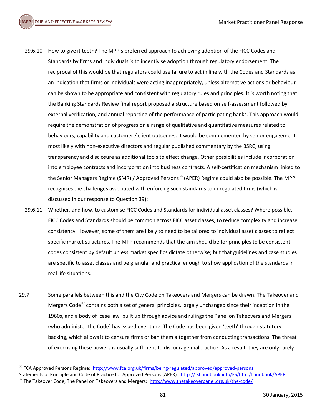- 29.6.10 How to give it teeth? The MPP's preferred approach to achieving adoption of the FICC Codes and Standards by firms and individuals is to incentivise adoption through regulatory endorsement. The reciprocal of this would be that regulators could use failure to act in line with the Codes and Standards as an indication that firms or individuals were acting inappropriately, unless alternative actions or behaviour can be shown to be appropriate and consistent with regulatory rules and principles. It is worth noting that the Banking Standards Review final report proposed a structure based on self-assessment followed by external verification, and annual reporting of the performance of participating banks. This approach would require the demonstration of progress on a range of qualitative and quantitative measures related to behaviours, capability and customer / client outcomes. It would be complemented by senior engagement, most likely with non-executive directors and regular published commentary by the BSRC, using transparency and disclosure as additional tools to effect change. Other possibilities include incorporation into employee contracts and incorporation into business contracts. A self-certification mechanism linked to the Senior Managers Regime (SMR) / Approved Persons<sup>36</sup> (APER) Regime could also be possible. The MPP recognises the challenges associated with enforcing such standards to unregulated firms (which is discussed in our response to Question 39);
- 29.6.11 Whether, and how, to customise FICC Codes and Standards for individual asset classes? Where possible, FICC Codes and Standards should be common across FICC asset classes, to reduce complexity and increase consistency. However, some of them are likely to need to be tailored to individual asset classes to reflect specific market structures. The MPP recommends that the aim should be for principles to be consistent; codes consistent by default unless market specifics dictate otherwise; but that guidelines and case studies are specific to asset classes and be granular and practical enough to show application of the standards in real life situations.
- 29.7 Some parallels between this and the City Code on Takeovers and Mergers can be drawn. The Takeover and Mergers Code<sup>37</sup> contains both a set of general principles, largely unchanged since their inception in the 1960s, and a body of 'case law' built up through advice and rulings the Panel on Takeovers and Mergers (who administer the Code) has issued over time. The Code has been given 'teeth' through statutory backing, which allows it to censure firms or ban them altogether from conducting transactions. The threat of exercising these powers is usually sufficient to discourage malpractice. As a result, they are only rarely

 $\overline{\phantom{a}}$ 

<sup>&</sup>lt;sup>36</sup> FCA Approved Persons Regime:<http://www.fca.org.uk/firms/being-regulated/approved/approved-persons>

Statements of Principle and Code of Practice for Approved Persons (APER): <http://fshandbook.info/FS/html/handbook/APER> <sup>37</sup> The Takeover Code, The Panel on Takeovers and Mergers: <http://www.thetakeoverpanel.org.uk/the-code/>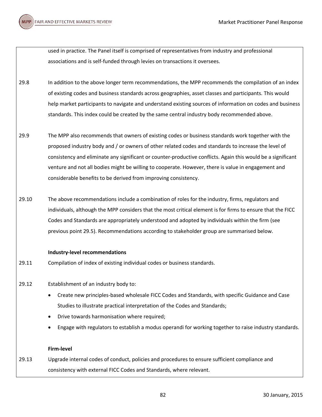used in practice. The Panel itself is comprised of representatives from industry and professional associations and is self-funded through levies on transactions it oversees.

- 29.8 In addition to the above longer term recommendations, the MPP recommends the compilation of an index of existing codes and business standards across geographies, asset classes and participants. This would help market participants to navigate and understand existing sources of information on codes and business standards. This index could be created by the same central industry body recommended above.
- 29.9 The MPP also recommends that owners of existing codes or business standards work together with the proposed industry body and / or owners of other related codes and standards to increase the level of consistency and eliminate any significant or counter-productive conflicts. Again this would be a significant venture and not all bodies might be willing to cooperate. However, there is value in engagement and considerable benefits to be derived from improving consistency.
- 29.10 The above recommendations include a combination of roles for the industry, firms, regulators and individuals, although the MPP considers that the most critical element is for firms to ensure that the FICC Codes and Standards are appropriately understood and adopted by individuals within the firm (see previous point 29.5). Recommendations according to stakeholder group are summarised below.

#### **Industry-level recommendations**

- 29.11 Compilation of index of existing individual codes or business standards.
- 29.12 Establishment of an industry body to:
	- Create new principles-based wholesale FICC Codes and Standards, with specific Guidance and Case Studies to illustrate practical interpretation of the Codes and Standards;
	- Drive towards harmonisation where required;
	- Engage with regulators to establish a modus operandi for working together to raise industry standards.

#### **Firm-level**

29.13 Upgrade internal codes of conduct, policies and procedures to ensure sufficient compliance and consistency with external FICC Codes and Standards, where relevant.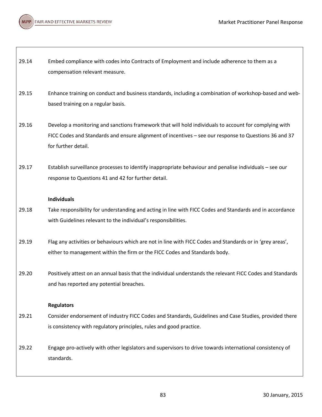| 29.14 | Embed compliance with codes into Contracts of Employment and include adherence to them as a<br>compensation relevant measure.                                                                                                         |
|-------|---------------------------------------------------------------------------------------------------------------------------------------------------------------------------------------------------------------------------------------|
| 29.15 | Enhance training on conduct and business standards, including a combination of workshop-based and web-<br>based training on a regular basis.                                                                                          |
| 29.16 | Develop a monitoring and sanctions framework that will hold individuals to account for complying with<br>FICC Codes and Standards and ensure alignment of incentives - see our response to Questions 36 and 37<br>for further detail. |
| 29.17 | Establish surveillance processes to identify inappropriate behaviour and penalise individuals - see our<br>response to Questions 41 and 42 for further detail.                                                                        |
|       | <b>Individuals</b>                                                                                                                                                                                                                    |
| 29.18 | Take responsibility for understanding and acting in line with FICC Codes and Standards and in accordance<br>with Guidelines relevant to the individual's responsibilities.                                                            |
| 29.19 | Flag any activities or behaviours which are not in line with FICC Codes and Standards or in 'grey areas',<br>either to management within the firm or the FICC Codes and Standards body.                                               |
| 29.20 | Positively attest on an annual basis that the individual understands the relevant FICC Codes and Standards<br>and has reported any potential breaches.                                                                                |
|       | <b>Regulators</b>                                                                                                                                                                                                                     |
| 29.21 | Consider endorsement of industry FICC Codes and Standards, Guidelines and Case Studies, provided there<br>is consistency with regulatory principles, rules and good practice.                                                         |
| 29.22 | Engage pro-actively with other legislators and supervisors to drive towards international consistency of<br>standards.                                                                                                                |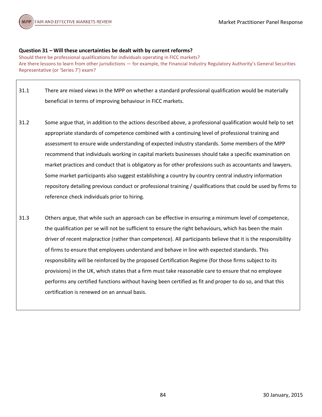#### **Question 31 – Will these uncertainties be dealt with by current reforms?**

Should there be professional qualifications for individuals operating in FICC markets? Are there lessons to learn from other jurisdictions — for example, the Financial Industry Regulatory Authority's General Securities Representative (or 'Series 7') exam?

- 31.1 There are mixed views in the MPP on whether a standard professional qualification would be materially beneficial in terms of improving behaviour in FICC markets.
- 31.2 Some argue that, in addition to the actions described above, a professional qualification would help to set appropriate standards of competence combined with a continuing level of professional training and assessment to ensure wide understanding of expected industry standards. Some members of the MPP recommend that individuals working in capital markets businesses should take a specific examination on market practices and conduct that is obligatory as for other professions such as accountants and lawyers. Some market participants also suggest establishing a country by country central industry information repository detailing previous conduct or professional training / qualifications that could be used by firms to reference check individuals prior to hiring.
- 31.3 Others argue, that while such an approach can be effective in ensuring a minimum level of competence, the qualification per se will not be sufficient to ensure the right behaviours, which has been the main driver of recent malpractice (rather than competence). All participants believe that it is the responsibility of firms to ensure that employees understand and behave in line with expected standards. This responsibility will be reinforced by the proposed Certification Regime (for those firms subject to its provisions) in the UK, which states that a firm must take reasonable care to ensure that no employee performs any certified functions without having been certified as fit and proper to do so, and that this certification is renewed on an annual basis.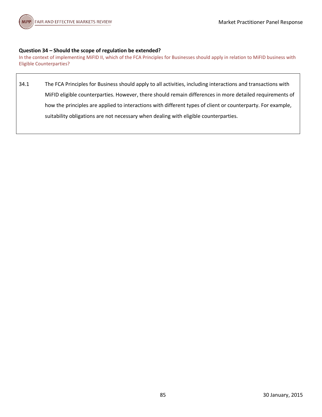#### **Question 34 – Should the scope of regulation be extended?**

In the context of implementing MiFID II, which of the FCA Principles for Businesses should apply in relation to MiFID business with Eligible Counterparties?

34.1 The FCA Principles for Business should apply to all activities, including interactions and transactions with MiFID eligible counterparties. However, there should remain differences in more detailed requirements of how the principles are applied to interactions with different types of client or counterparty. For example, suitability obligations are not necessary when dealing with eligible counterparties.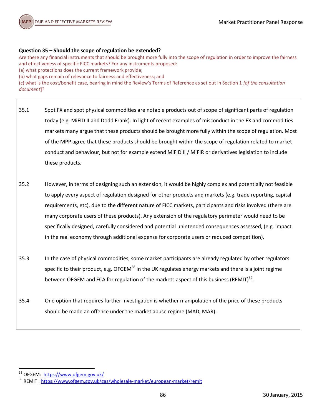#### **Question 35 – Should the scope of regulation be extended?**

Are there any financial instruments that should be brought more fully into the scope of regulation in order to improve the fairness and effectiveness of specific FICC markets? For any instruments proposed:

(a) what protections does the current framework provide;

(b) what gaps remain of relevance to fairness and effectiveness; and

(c) what is the cost/benefit case, bearing in mind the Review's Terms of Reference as set out in Section 1 *[of the consultation document*]?

- 35.1 Spot FX and spot physical commodities are notable products out of scope of significant parts of regulation today (e.g. MiFID II and Dodd Frank). In light of recent examples of misconduct in the FX and commodities markets many argue that these products should be brought more fully within the scope of regulation. Most of the MPP agree that these products should be brought within the scope of regulation related to market conduct and behaviour, but not for example extend MiFID II / MiFIR or derivatives legislation to include these products.
- 35.2 However, in terms of designing such an extension, it would be highly complex and potentially not feasible to apply every aspect of regulation designed for other products and markets (e.g. trade reporting, capital requirements, etc), due to the different nature of FICC markets, participants and risks involved (there are many corporate users of these products). Any extension of the regulatory perimeter would need to be specifically designed, carefully considered and potential unintended consequences assessed, (e.g. impact in the real economy through additional expense for corporate users or reduced competition).
- 35.3 In the case of physical commodities, some market participants are already regulated by other regulators specific to their product, e.g. OFGEM<sup>38</sup> in the UK regulates energy markets and there is a joint regime between OFGEM and FCA for regulation of the markets aspect of this business (REMIT)<sup>39</sup>.
- 35.4 One option that requires further investigation is whether manipulation of the price of these products should be made an offence under the market abuse regime (MAD, MAR).

 $\overline{a}$ 

<sup>&</sup>lt;sup>38</sup> OFGEM: <https://www.ofgem.gov.uk/>

<sup>39</sup> REMIT: <https://www.ofgem.gov.uk/gas/wholesale-market/european-market/remit>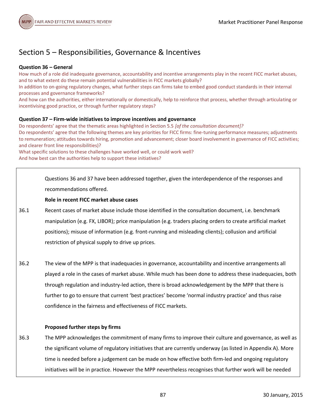## Section 5 – Responsibilities, Governance & Incentives

#### **Question 36 – General**

How much of a role did inadequate governance, accountability and incentive arrangements play in the recent FICC market abuses, and to what extent do these remain potential vulnerabilities in FICC markets globally?

In addition to on-going regulatory changes, what further steps can firms take to embed good conduct standards in their internal processes and governance frameworks?

And how can the authorities, either internationally or domestically, help to reinforce that process, whether through articulating or incentivising good practice, or through further regulatory steps?

#### **Question 37 – Firm-wide initiatives to improve incentives and governance**

Do respondents' agree that the thematic areas highlighted in Section 5.5 *[of the consultation document]?*  Do respondents' agree that the following themes are key priorities for FICC firms: fine-tuning performance measures; adjustments to remuneration; attitudes towards hiring, promotion and advancement; closer board involvement in governance of FICC activities; and clearer front line responsibilities)?

What specific solutions to these challenges have worked well, or could work well? And how best can the authorities help to support these initiatives?

> Questions 36 and 37 have been addressed together, given the interdependence of the responses and recommendations offered.

**Role in recent FICC market abuse cases**

- 36.1 Recent cases of market abuse include those identified in the consultation document, i.e. benchmark manipulation (e.g. FX, LIBOR); price manipulation (e.g. traders placing orders to create artificial market positions); misuse of information (e.g. front-running and misleading clients); collusion and artificial restriction of physical supply to drive up prices.
- 36.2 The view of the MPP is that inadequacies in governance, accountability and incentive arrangements all played a role in the cases of market abuse. While much has been done to address these inadequacies, both through regulation and industry-led action, there is broad acknowledgement by the MPP that there is further to go to ensure that current 'best practices' become 'normal industry practice' and thus raise confidence in the fairness and effectiveness of FICC markets.

#### **Proposed further steps by firms**

36.3 The MPP acknowledges the commitment of many firms to improve their culture and governance, as well as the significant volume of regulatory initiatives that are currently underway (as listed in Appendix A). More time is needed before a judgement can be made on how effective both firm-led and ongoing regulatory initiatives will be in practice. However the MPP nevertheless recognises that further work will be needed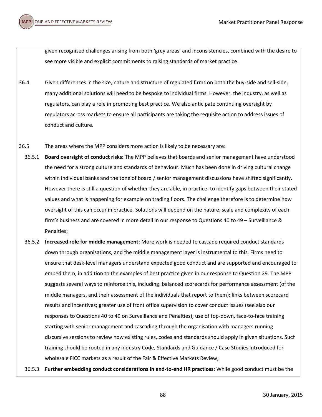given recognised challenges arising from both 'grey areas' and inconsistencies, combined with the desire to see more visible and explicit commitments to raising standards of market practice.

- 36.4 Given differences in the size, nature and structure of regulated firms on both the buy-side and sell-side, many additional solutions will need to be bespoke to individual firms. However, the industry, as well as regulators, can play a role in promoting best practice. We also anticipate continuing oversight by regulators across markets to ensure all participants are taking the requisite action to address issues of conduct and culture.
- 36.5 The areas where the MPP considers more action is likely to be necessary are:
	- 36.5.1 **Board oversight of conduct risks:** The MPP believes that boards and senior management have understood the need for a strong culture and standards of behaviour. Much has been done in driving cultural change within individual banks and the tone of board / senior management discussions have shifted significantly. However there is still a question of whether they are able, in practice, to identify gaps between their stated values and what is happening for example on trading floors. The challenge therefore is to determine how oversight of this can occur in practice. Solutions will depend on the nature, scale and complexity of each firm's business and are covered in more detail in our response to Questions 40 to 49 – Surveillance & Penalties;
	- 36.5.2 **Increased role for middle management:** More work is needed to cascade required conduct standards down through organisations, and the middle management layer is instrumental to this. Firms need to ensure that desk-level managers understand expected good conduct and are supported and encouraged to embed them, in addition to the examples of best practice given in our response to Question 29. The MPP suggests several ways to reinforce this, including: balanced scorecards for performance assessment (of the middle managers, and their assessment of the individuals that report to them); links between scorecard results and incentives; greater use of front office supervision to cover conduct issues (see also our responses to Questions 40 to 49 on Surveillance and Penalties); use of top-down, face-to-face training starting with senior management and cascading through the organisation with managers running discursive sessions to review how existing rules, codes and standards should apply in given situations. Such training should be rooted in any industry Code, Standards and Guidance / Case Studies introduced for wholesale FICC markets as a result of the Fair & Effective Markets Review;
	- 36.5.3 **Further embedding conduct considerations in end-to-end HR practices:** While good conduct must be the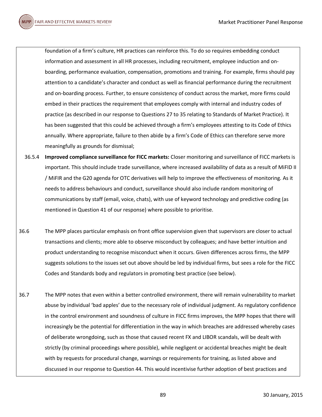foundation of a firm's culture, HR practices can reinforce this. To do so requires embedding conduct information and assessment in all HR processes, including recruitment, employee induction and onboarding, performance evaluation, compensation, promotions and training. For example, firms should pay attention to a candidate's character and conduct as well as financial performance during the recruitment and on-boarding process. Further, to ensure consistency of conduct across the market, more firms could embed in their practices the requirement that employees comply with internal and industry codes of practice (as described in our response to Questions 27 to 35 relating to Standards of Market Practice). It has been suggested that this could be achieved through a firm's employees attesting to its Code of Ethics annually. Where appropriate, failure to then abide by a firm's Code of Ethics can therefore serve more meaningfully as grounds for dismissal;

- 36.5.4 **Improved compliance surveillance for FICC markets:** Closer monitoring and surveillance of FICC markets is important. This should include trade surveillance, where increased availability of data as a result of MiFID II / MiFIR and the G20 agenda for OTC derivatives will help to improve the effectiveness of monitoring. As it needs to address behaviours and conduct, surveillance should also include random monitoring of communications by staff (email, voice, chats), with use of keyword technology and predictive coding (as mentioned in Question 41 of our response) where possible to prioritise.
- 36.6 The MPP places particular emphasis on front office supervision given that supervisors are closer to actual transactions and clients; more able to observe misconduct by colleagues; and have better intuition and product understanding to recognise misconduct when it occurs. Given differences across firms, the MPP suggests solutions to the issues set out above should be led by individual firms, but sees a role for the FICC Codes and Standards body and regulators in promoting best practice (see below).
- 36.7 The MPP notes that even within a better controlled environment, there will remain vulnerability to market abuse by individual 'bad apples' due to the necessary role of individual judgment. As regulatory confidence in the control environment and soundness of culture in FICC firms improves, the MPP hopes that there will increasingly be the potential for differentiation in the way in which breaches are addressed whereby cases of deliberate wrongdoing, such as those that caused recent FX and LIBOR scandals, will be dealt with strictly (by criminal proceedings where possible), while negligent or accidental breaches might be dealt with by requests for procedural change, warnings or requirements for training, as listed above and discussed in our response to Question 44. This would incentivise further adoption of best practices and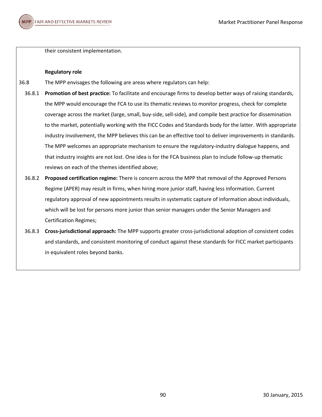their consistent implementation.

#### **Regulatory role**

- 36.8 The MPP envisages the following are areas where regulators can help:
- 36.8.1 **Promotion of best practice:** To facilitate and encourage firms to develop better ways of raising standards, the MPP would encourage the FCA to use its thematic reviews to monitor progress, check for complete coverage across the market (large, small, buy-side, sell-side), and compile best practice for dissemination to the market, potentially working with the FICC Codes and Standards body for the latter. With appropriate industry involvement, the MPP believes this can be an effective tool to deliver improvements in standards. The MPP welcomes an appropriate mechanism to ensure the regulatory-industry dialogue happens, and that industry insights are not lost. One idea is for the FCA business plan to include follow-up thematic reviews on each of the themes identified above;
- 36.8.2 **Proposed certification regime:** There is concern across the MPP that removal of the Approved Persons Regime (APER) may result in firms, when hiring more junior staff, having less information. Current regulatory approval of new appointments results in systematic capture of information about individuals, which will be lost for persons more junior than senior managers under the Senior Managers and Certification Regimes;
- 36.8.3 **Cross-jurisdictional approach:** The MPP supports greater cross-jurisdictional adoption of consistent codes and standards, and consistent monitoring of conduct against these standards for FICC market participants in equivalent roles beyond banks.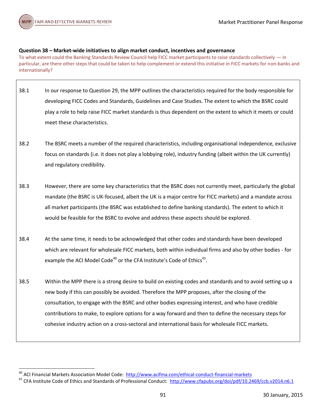$\overline{a}$ 

#### **Question 38 – Market-wide initiatives to align market conduct, incentives and governance**

To what extent could the Banking Standards Review Council help FICC market participants to raise standards collectively — in particular, are there other steps that could be taken to help complement or extend this initiative in FICC markets for non-banks and internationally?

- 38.1 In our response to Question 29, the MPP outlines the characteristics required for the body responsible for developing FICC Codes and Standards, Guidelines and Case Studies. The extent to which the BSRC could play a role to help raise FICC market standards is thus dependent on the extent to which it meets or could meet these characteristics.
- 38.2 The BSRC meets a number of the required characteristics, including organisational independence, exclusive focus on standards (i.e. it does not play a lobbying role), industry funding (albeit within the UK currently) and regulatory credibility.
- 38.3 However, there are some key characteristics that the BSRC does not currently meet, particularly the global mandate (the BSRC is UK-focused, albeit the UK is a major centre for FICC markets) and a mandate across all market participants (the BSRC was established to define banking standards). The extent to which it would be feasible for the BSRC to evolve and address these aspects should be explored.
- 38.4 At the same time, it needs to be acknowledged that other codes and standards have been developed which are relevant for wholesale FICC markets, both within individual firms and also by other bodies - for example the ACI Model Code<sup>40</sup> or the CFA Institute's Code of Ethics<sup>41</sup>.
- 38.5 Within the MPP there is a strong desire to build on existing codes and standards and to avoid setting up a new body if this can possibly be avoided. Therefore the MPP proposes, after the closing of the consultation, to engage with the BSRC and other bodies expressing interest, and who have credible contributions to make, to explore options for a way forward and then to define the necessary steps for cohesive industry action on a cross-sectoral and international basis for wholesale FICC markets.

<sup>&</sup>lt;sup>40</sup> ACI Financial Markets Association Model Code: <http://www.acifma.com/ethical-conduct-financial-markets>

<sup>&</sup>lt;sup>41</sup> CFA Institute Code of Ethics and Standards of Professional Conduct: <http://www.cfapubs.org/doi/pdf/10.2469/ccb.v2014.n6.1>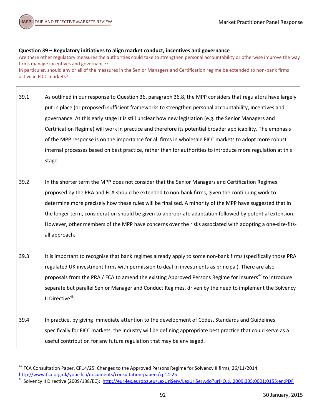$\overline{\phantom{a}}$ 

#### **Question 39 – Regulatory initiatives to align market conduct, incentives and governance**

Are there other regulatory measures the authorities could take to strengthen personal accountability or otherwise improve the way firms manage incentives and governance?

In particular, should any or all of the measures in the Senior Managers and Certification regime be extended to non-bank firms active in FICC markets?

- 39.1 As outlined in our response to Question 36, paragraph 36.8, the MPP considers that regulators have largely put in place (or proposed) sufficient frameworks to strengthen personal accountability, incentives and governance. At this early stage it is still unclear how new legislation (e.g. the Senior Managers and Certification Regime) will work in practice and therefore its potential broader applicability. The emphasis of the MPP response is on the importance for all firms in wholesale FICC markets to adopt more robust internal processes based on best practice, rather than for authorities to introduce more regulation at this stage.
- 39.2 In the shorter term the MPP does not consider that the Senior Managers and Certification Regimes proposed by the PRA and FCA should be extended to non-bank firms, given the continuing work to determine more precisely how these rules will be finalised. A minority of the MPP have suggested that in the longer term, consideration should be given to appropriate adaptation followed by potential extension. However, other members of the MPP have concerns over the risks associated with adopting a one-size-fitsall approach.
- 39.3 It is important to recognise that bank regimes already apply to some non-bank firms (specifically those PRA regulated UK investment firms with permission to deal in investments as principal). There are also proposals from the PRA / FCA to amend the existing Approved Persons Regime for insurers<sup>42</sup> to introduce separate but parallel Senior Manager and Conduct Regimes, driven by the need to implement the Solvency II Directive $43$ .
- 39.4 In practice, by giving immediate attention to the development of Codes, Standards and Guidelines specifically for FICC markets, the industry will be defining appropriate best practice that could serve as a useful contribution for any future regulation that may be envisaged.

 $42$  FCA Consultation Paper, CP14/25: Changes to the Approved Persons Regime for Solvency II firms, 26/11/2014: <http://www.fca.org.uk/your-fca/documents/consultation-papers/cp14-25>

<sup>&</sup>lt;sup>43</sup> Solvency II Directive (2009/138/EC): <http://eur-lex.europa.eu/LexUriServ/LexUriServ.do?uri=OJ:L:2009:335:0001:0155:en:PDF>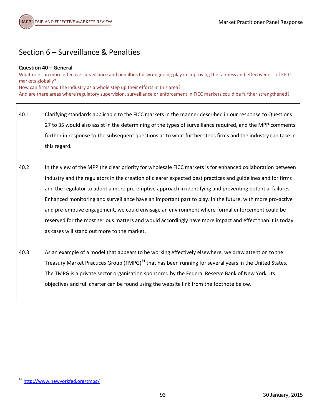### Section 6 – Surveillance & Penalties

#### **Question 40 – General**

What role can more effective surveillance and penalties for wrongdoing play in improving the fairness and effectiveness of FICC markets globally? How can firms and the industry as a whole step up their efforts in this area? And are there areas where regulatory supervision, surveillance or enforcement in FICC markets could be further strengthened?

- 40.1 Clarifying standards applicable to the FICC markets in the manner described in our response to Questions 27 to 35 would also assist in the determining of the types of surveillance required, and the MPP comments further in response to the subsequent questions as to what further steps firms and the industry can take in this regard.
- 40.2 In the view of the MPP the clear priority for wholesale FICC markets is for enhanced collaboration between industry and the regulators in the creation of clearer expected best practices and guidelines and for firms and the regulator to adopt a more pre-emptive approach in identifying and preventing potential failures. Enhanced monitoring and surveillance have an important part to play. In the future, with more pro-active and pre-emptive engagement, we could envisage an environment where formal enforcement could be reserved for the most serious matters and would accordingly have more impact and effect than it is today as cases will stand out more to the market.
- 40.3 As an example of a model that appears to be working effectively elsewhere, we draw attention to the Treasury Market Practices Group (TMPG)<sup>44</sup> that has been running for several years in the United States. The TMPG is a private sector organisation sponsored by the Federal Reserve Bank of New York. Its objectives and full charter can be found using the website link from the footnote below.

 $\overline{\phantom{a}}$ <sup>44</sup> <http://www.newyorkfed.org/tmpg/>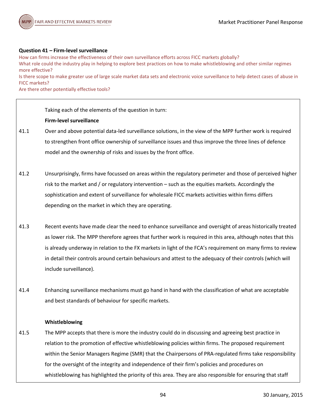#### **Question 41 – Firm-level surveillance**

How can firms increase the effectiveness of their own surveillance efforts across FICC markets globally? What role could the industry play in helping to explore best practices on how to make whistleblowing and other similar regimes more effective?

Is there scope to make greater use of large scale market data sets and electronic voice surveillance to help detect cases of abuse in FICC markets?

Are there other potentially effective tools?

|      | Taking each of the elements of the question in turn:                                                      |  |
|------|-----------------------------------------------------------------------------------------------------------|--|
|      | <b>Firm-level surveillance</b>                                                                            |  |
| 41.1 | Over and above potential data-led surveillance solutions, in the view of the MPP further work is required |  |
|      | to strengthen front office ownership of surveillance issues and thus improve the three lines of defence   |  |
|      | model and the ownership of risks and issues by the front office.                                          |  |

- 41.2 Unsurprisingly, firms have focussed on areas within the regulatory perimeter and those of perceived higher risk to the market and / or regulatory intervention – such as the equities markets. Accordingly the sophistication and extent of surveillance for wholesale FICC markets activities within firms differs depending on the market in which they are operating.
- 41.3 Recent events have made clear the need to enhance surveillance and oversight of areas historically treated as lower risk. The MPP therefore agrees that further work is required in this area, although notes that this is already underway in relation to the FX markets in light of the FCA's requirement on many firms to review in detail their controls around certain behaviours and attest to the adequacy of their controls (which will include surveillance).
- 41.4 Enhancing surveillance mechanisms must go hand in hand with the classification of what are acceptable and best standards of behaviour for specific markets.

#### **Whistleblowing**

41.5 The MPP accepts that there is more the industry could do in discussing and agreeing best practice in relation to the promotion of effective whistleblowing policies within firms. The proposed requirement within the Senior Managers Regime (SMR) that the Chairpersons of PRA-regulated firms take responsibility for the oversight of the integrity and independence of their firm's policies and procedures on whistleblowing has highlighted the priority of this area. They are also responsible for ensuring that staff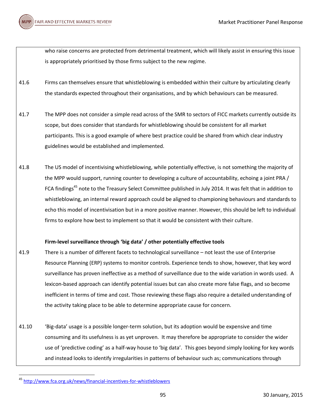who raise concerns are protected from detrimental treatment, which will likely assist in ensuring this issue is appropriately prioritised by those firms subject to the new regime.

- 41.6 Firms can themselves ensure that whistleblowing is embedded within their culture by articulating clearly the standards expected throughout their organisations, and by which behaviours can be measured.
- 41.7 The MPP does not consider a simple read across of the SMR to sectors of FICC markets currently outside its scope, but does consider that standards for whistleblowing should be consistent for all market participants. This is a good example of where best practice could be shared from which clear industry guidelines would be established and implemented.
- 41.8 The US model of incentivising whistleblowing, while potentially effective, is not something the majority of the MPP would support, running counter to developing a culture of accountability, echoing a joint PRA / FCA findings<sup>45</sup> note to the Treasury Select Committee published in July 2014. It was felt that in addition to whistleblowing, an internal reward approach could be aligned to championing behaviours and standards to echo this model of incentivisation but in a more positive manner. However, this should be left to individual firms to explore how best to implement so that it would be consistent with their culture.

#### **Firm-level surveillance through 'big data' / other potentially effective tools**

- 41.9 There is a number of different facets to technological surveillance not least the use of Enterprise Resource Planning (ERP) systems to monitor controls. Experience tends to show, however, that key word surveillance has proven ineffective as a method of surveillance due to the wide variation in words used. A lexicon-based approach can identify potential issues but can also create more false flags, and so become inefficient in terms of time and cost. Those reviewing these flags also require a detailed understanding of the activity taking place to be able to determine appropriate cause for concern.
- 41.10 'Big-data' usage is a possible longer-term solution, but its adoption would be expensive and time consuming and its usefulness is as yet unproven. It may therefore be appropriate to consider the wider use of 'predictive coding' as a half-way house to 'big data'. This goes beyond simply looking for key words and instead looks to identify irregularities in patterns of behaviour such as; communications through

 $\overline{\phantom{a}}$ 

<sup>45</sup> <http://www.fca.org.uk/news/financial-incentives-for-whistleblowers>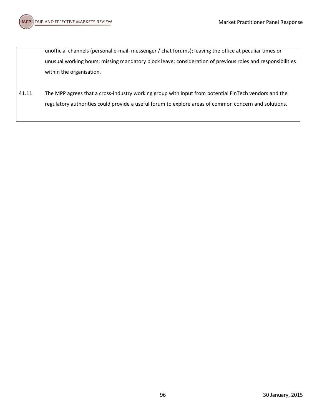

unofficial channels (personal e-mail, messenger / chat forums); leaving the office at peculiar times or unusual working hours; missing mandatory block leave; consideration of previous roles and responsibilities within the organisation.

41.11 The MPP agrees that a cross-industry working group with input from potential FinTech vendors and the regulatory authorities could provide a useful forum to explore areas of common concern and solutions.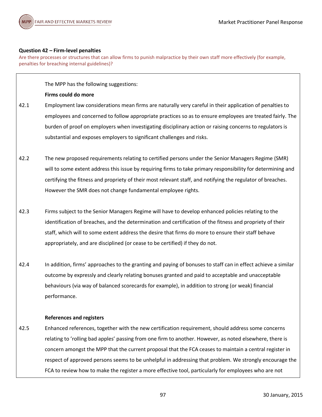#### **Question 42 – Firm-level penalties**

Are there processes or structures that can allow firms to punish malpractice by their own staff more effectively (for example, penalties for breaching internal guidelines)?

#### The MPP has the following suggestions:

**Firms could do more**

- 42.1 Employment law considerations mean firms are naturally very careful in their application of penalties to employees and concerned to follow appropriate practices so as to ensure employees are treated fairly. The burden of proof on employers when investigating disciplinary action or raising concerns to regulators is substantial and exposes employers to significant challenges and risks.
- 42.2 The new proposed requirements relating to certified persons under the Senior Managers Regime (SMR) will to some extent address this issue by requiring firms to take primary responsibility for determining and certifying the fitness and propriety of their most relevant staff, and notifying the regulator of breaches. However the SMR does not change fundamental employee rights.
- 42.3 Firms subject to the Senior Managers Regime will have to develop enhanced policies relating to the identification of breaches, and the determination and certification of the fitness and propriety of their staff, which will to some extent address the desire that firms do more to ensure their staff behave appropriately, and are disciplined (or cease to be certified) if they do not.
- 42.4 In addition, firms' approaches to the granting and paying of bonuses to staff can in effect achieve a similar outcome by expressly and clearly relating bonuses granted and paid to acceptable and unacceptable behaviours (via way of balanced scorecards for example), in addition to strong (or weak) financial performance.

#### **References and registers**

42.5 Enhanced references, together with the new certification requirement, should address some concerns relating to 'rolling bad apples' passing from one firm to another. However, as noted elsewhere, there is concern amongst the MPP that the current proposal that the FCA ceases to maintain a central register in respect of approved persons seems to be unhelpful in addressing that problem. We strongly encourage the FCA to review how to make the register a more effective tool, particularly for employees who are not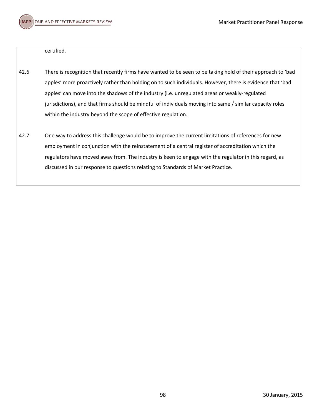certified.

- 42.6 There is recognition that recently firms have wanted to be seen to be taking hold of their approach to 'bad apples' more proactively rather than holding on to such individuals. However, there is evidence that 'bad apples' can move into the shadows of the industry (i.e. unregulated areas or weakly-regulated jurisdictions), and that firms should be mindful of individuals moving into same / similar capacity roles within the industry beyond the scope of effective regulation.
- 42.7 One way to address this challenge would be to improve the current limitations of references for new employment in conjunction with the reinstatement of a central register of accreditation which the regulators have moved away from. The industry is keen to engage with the regulator in this regard, as discussed in our response to questions relating to Standards of Market Practice.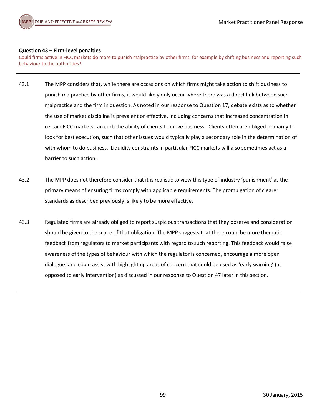#### **Question 43 – Firm-level penalties**

Could firms active in FICC markets do more to punish malpractice by other firms, for example by shifting business and reporting such behaviour to the authorities?

- 43.1 The MPP considers that, while there are occasions on which firms might take action to shift business to punish malpractice by other firms, it would likely only occur where there was a direct link between such malpractice and the firm in question. As noted in our response to Question 17, debate exists as to whether the use of market discipline is prevalent or effective, including concerns that increased concentration in certain FICC markets can curb the ability of clients to move business. Clients often are obliged primarily to look for best execution, such that other issues would typically play a secondary role in the determination of with whom to do business. Liquidity constraints in particular FICC markets will also sometimes act as a barrier to such action.
- 43.2 The MPP does not therefore consider that it is realistic to view this type of industry 'punishment' as the primary means of ensuring firms comply with applicable requirements. The promulgation of clearer standards as described previously is likely to be more effective.
- 43.3 Regulated firms are already obliged to report suspicious transactions that they observe and consideration should be given to the scope of that obligation. The MPP suggests that there could be more thematic feedback from regulators to market participants with regard to such reporting. This feedback would raise awareness of the types of behaviour with which the regulator is concerned, encourage a more open dialogue, and could assist with highlighting areas of concern that could be used as 'early warning' (as opposed to early intervention) as discussed in our response to Question 47 later in this section.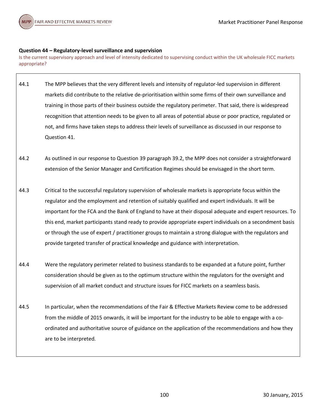#### **Question 44 – Regulatory-level surveillance and supervision**

Is the current supervisory approach and level of intensity dedicated to supervising conduct within the UK wholesale FICC markets appropriate?

- 44.1 The MPP believes that the very different levels and intensity of regulator-led supervision in different markets did contribute to the relative de-prioritisation within some firms of their own surveillance and training in those parts of their business outside the regulatory perimeter. That said, there is widespread recognition that attention needs to be given to all areas of potential abuse or poor practice, regulated or not, and firms have taken steps to address their levels of surveillance as discussed in our response to Question 41.
- 44.2 As outlined in our response to Question 39 paragraph 39.2, the MPP does not consider a straightforward extension of the Senior Manager and Certification Regimes should be envisaged in the short term.
- 44.3 Critical to the successful regulatory supervision of wholesale markets is appropriate focus within the regulator and the employment and retention of suitably qualified and expert individuals. It will be important for the FCA and the Bank of England to have at their disposal adequate and expert resources. To this end, market participants stand ready to provide appropriate expert individuals on a secondment basis or through the use of expert / practitioner groups to maintain a strong dialogue with the regulators and provide targeted transfer of practical knowledge and guidance with interpretation.
- 44.4 Were the regulatory perimeter related to business standards to be expanded at a future point, further consideration should be given as to the optimum structure within the regulators for the oversight and supervision of all market conduct and structure issues for FICC markets on a seamless basis.
- 44.5 In particular, when the recommendations of the Fair & Effective Markets Review come to be addressed from the middle of 2015 onwards, it will be important for the industry to be able to engage with a coordinated and authoritative source of guidance on the application of the recommendations and how they are to be interpreted.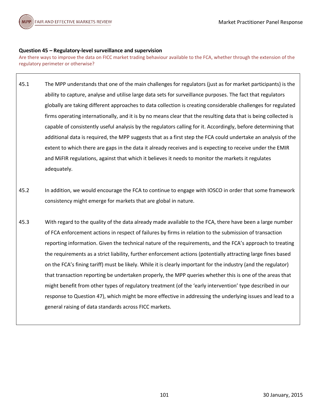#### **Question 45 – Regulatory-level surveillance and supervision**

Are there ways to improve the data on FICC market trading behaviour available to the FCA, whether through the extension of the regulatory perimeter or otherwise?

- 45.1 The MPP understands that one of the main challenges for regulators (just as for market participants) is the ability to capture, analyse and utilise large data sets for surveillance purposes. The fact that regulators globally are taking different approaches to data collection is creating considerable challenges for regulated firms operating internationally, and it is by no means clear that the resulting data that is being collected is capable of consistently useful analysis by the regulators calling for it. Accordingly, before determining that additional data is required, the MPP suggests that as a first step the FCA could undertake an analysis of the extent to which there are gaps in the data it already receives and is expecting to receive under the EMIR and MiFIR regulations, against that which it believes it needs to monitor the markets it regulates adequately.
- 45.2 In addition, we would encourage the FCA to continue to engage with IOSCO in order that some framework consistency might emerge for markets that are global in nature.
- 45.3 With regard to the quality of the data already made available to the FCA, there have been a large number of FCA enforcement actions in respect of failures by firms in relation to the submission of transaction reporting information. Given the technical nature of the requirements, and the FCA's approach to treating the requirements as a strict liability, further enforcement actions (potentially attracting large fines based on the FCA's fining tariff) must be likely. While it is clearly important for the industry (and the regulator) that transaction reporting be undertaken properly, the MPP queries whether this is one of the areas that might benefit from other types of regulatory treatment (of the 'early intervention' type described in our response to Question 47), which might be more effective in addressing the underlying issues and lead to a general raising of data standards across FICC markets.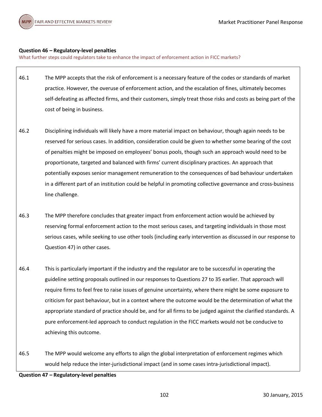#### **Question 46 – Regulatory-level penalties**

What further steps could regulators take to enhance the impact of enforcement action in FICC markets?

- 46.1 The MPP accepts that the risk of enforcement is a necessary feature of the codes or standards of market practice. However, the overuse of enforcement action, and the escalation of fines, ultimately becomes self-defeating as affected firms, and their customers, simply treat those risks and costs as being part of the cost of being in business.
- 46.2 Disciplining individuals will likely have a more material impact on behaviour, though again needs to be reserved for serious cases. In addition, consideration could be given to whether some bearing of the cost of penalties might be imposed on employees' bonus pools, though such an approach would need to be proportionate, targeted and balanced with firms' current disciplinary practices. An approach that potentially exposes senior management remuneration to the consequences of bad behaviour undertaken in a different part of an institution could be helpful in promoting collective governance and cross-business line challenge.
- 46.3 The MPP therefore concludes that greater impact from enforcement action would be achieved by reserving formal enforcement action to the most serious cases, and targeting individuals in those most serious cases, while seeking to use other tools (including early intervention as discussed in our response to Question 47) in other cases.
- 46.4 This is particularly important if the industry and the regulator are to be successful in operating the guideline setting proposals outlined in our responses to Questions 27 to 35 earlier. That approach will require firms to feel free to raise issues of genuine uncertainty, where there might be some exposure to criticism for past behaviour, but in a context where the outcome would be the determination of what the appropriate standard of practice should be, and for all firms to be judged against the clarified standards. A pure enforcement-led approach to conduct regulation in the FICC markets would not be conducive to achieving this outcome.
- 46.5 The MPP would welcome any efforts to align the global interpretation of enforcement regimes which would help reduce the inter-jurisdictional impact (and in some cases intra-jurisdictional impact).

**Question 47 – Regulatory-level penalties**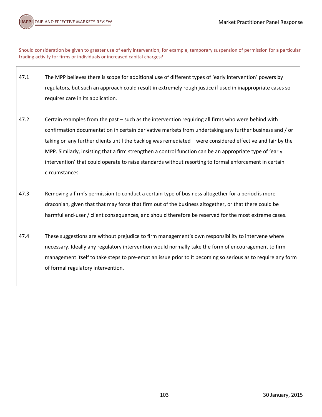

Should consideration be given to greater use of early intervention, for example, temporary suspension of permission for a particular trading activity for firms or individuals or increased capital charges?

- 47.1 The MPP believes there is scope for additional use of different types of 'early intervention' powers by regulators, but such an approach could result in extremely rough justice if used in inappropriate cases so requires care in its application.
- 47.2 Certain examples from the past such as the intervention requiring all firms who were behind with confirmation documentation in certain derivative markets from undertaking any further business and / or taking on any further clients until the backlog was remediated – were considered effective and fair by the MPP. Similarly, insisting that a firm strengthen a control function can be an appropriate type of 'early intervention' that could operate to raise standards without resorting to formal enforcement in certain circumstances.
- 47.3 Removing a firm's permission to conduct a certain type of business altogether for a period is more draconian, given that that may force that firm out of the business altogether, or that there could be harmful end-user / client consequences, and should therefore be reserved for the most extreme cases.
- 47.4 These suggestions are without prejudice to firm management's own responsibility to intervene where necessary. Ideally any regulatory intervention would normally take the form of encouragement to firm management itself to take steps to pre-empt an issue prior to it becoming so serious as to require any form of formal regulatory intervention.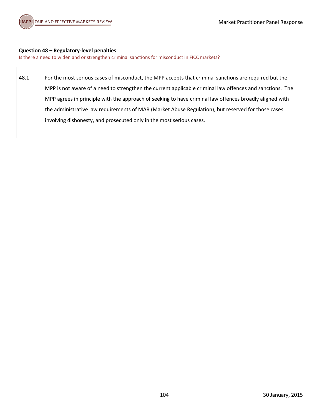

#### **Question 48 – Regulatory-level penalties**

Is there a need to widen and or strengthen criminal sanctions for misconduct in FICC markets?

48.1 For the most serious cases of misconduct, the MPP accepts that criminal sanctions are required but the MPP is not aware of a need to strengthen the current applicable criminal law offences and sanctions. The MPP agrees in principle with the approach of seeking to have criminal law offences broadly aligned with the administrative law requirements of MAR (Market Abuse Regulation), but reserved for those cases involving dishonesty, and prosecuted only in the most serious cases.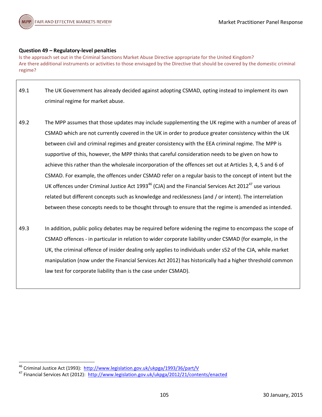#### **Question 49 – Regulatory-level penalties**

Is the approach set out in the Criminal Sanctions Market Abuse Directive appropriate for the United Kingdom? Are there additional instruments or activities to those envisaged by the Directive that should be covered by the domestic criminal regime?

| 49.1 | The UK Government has already decided against adopting CSMAD, opting instead to implement its own |
|------|---------------------------------------------------------------------------------------------------|
|      | criminal regime for market abuse.                                                                 |

- 49.2 The MPP assumes that those updates may include supplementing the UK regime with a number of areas of CSMAD which are not currently covered in the UK in order to produce greater consistency within the UK between civil and criminal regimes and greater consistency with the EEA criminal regime. The MPP is supportive of this, however, the MPP thinks that careful consideration needs to be given on how to achieve this rather than the wholesale incorporation of the offences set out at Articles 3, 4, 5 and 6 of CSMAD. For example, the offences under CSMAD refer on a regular basis to the concept of intent but the UK offences under Criminal Justice Act 1993<sup>46</sup> (CJA) and the Financial Services Act 2012<sup>47</sup> use various related but different concepts such as knowledge and recklessness (and / or intent). The interrelation between these concepts needs to be thought through to ensure that the regime is amended as intended.
- 49.3 In addition, public policy debates may be required before widening the regime to encompass the scope of CSMAD offences - in particular in relation to wider corporate liability under CSMAD (for example, in the UK, the criminal offence of insider dealing only applies to individuals under s52 of the CJA, while market manipulation (now under the Financial Services Act 2012) has historically had a higher threshold common law test for corporate liability than is the case under CSMAD).

 $\overline{\phantom{a}}$ <sup>46</sup> Criminal Justice Act (1993): <http://www.legislation.gov.uk/ukpga/1993/36/part/V>

<sup>47</sup> Financial Services Act (2012): <http://www.legislation.gov.uk/ukpga/2012/21/contents/enacted>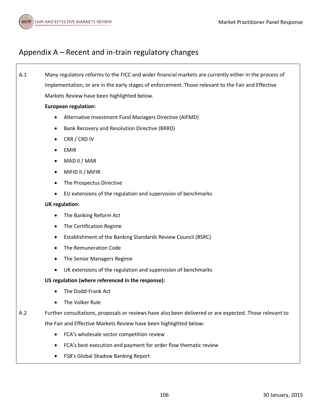## Appendix A – Recent and in-train regulatory changes

A.1 Many regulatory reforms to the FICC and wider financial markets are currently either in the process of implementation, or are in the early stages of enforcement. Those relevant to the Fair and Effective Markets Review have been highlighted below.

#### **European regulation:**

- Alternative Investment Fund Managers Directive (AIFMD)
- Bank Recovery and Resolution Directive (BRRD)
- CRR / CRD IV
- EMIR
- MAD II / MAR
- MiFID II / MiFIR
- The Prospectus Directive
- EU extensions of the regulation and supervision of benchmarks

#### **UK regulation:**

- The Banking Reform Act
- The Certification Regime
- Establishment of the Banking Standards Review Council (BSRC)
- The Remuneration Code
- The Senior Managers Regime
- UK extensions of the regulation and supervision of benchmarks

#### **US regulation (where referenced in the response):**

- The Dodd-Frank Act
- The Volker Rule
- A.2 Further consultations, proposals or reviews have also been delivered or are expected. Those relevant to

the Fair and Effective Markets Review have been highlighted below:

- FCA's wholesale sector competition review
- FCA's best execution and payment for order flow thematic review
- FSB's Global Shadow Banking Report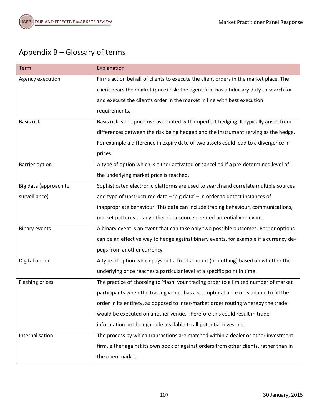# Appendix B – Glossary of terms

| Term                  | Explanation                                                                              |
|-----------------------|------------------------------------------------------------------------------------------|
| Agency execution      | Firms act on behalf of clients to execute the client orders in the market place. The     |
|                       | client bears the market (price) risk; the agent firm has a fiduciary duty to search for  |
|                       | and execute the client's order in the market in line with best execution                 |
|                       | requirements.                                                                            |
| Basis risk            | Basis risk is the price risk associated with imperfect hedging. It typically arises from |
|                       | differences between the risk being hedged and the instrument serving as the hedge.       |
|                       | For example a difference in expiry date of two assets could lead to a divergence in      |
|                       | prices.                                                                                  |
| <b>Barrier option</b> | A type of option which is either activated or cancelled if a pre-determined level of     |
|                       | the underlying market price is reached.                                                  |
| Big data (approach to | Sophisticated electronic platforms are used to search and correlate multiple sources     |
| surveillance)         | and type of unstructured data - 'big data' - in order to detect instances of             |
|                       | inappropriate behaviour. This data can include trading behaviour, communications,        |
|                       | market patterns or any other data source deemed potentially relevant.                    |
| <b>Binary events</b>  | A binary event is an event that can take only two possible outcomes. Barrier options     |
|                       | can be an effective way to hedge against binary events, for example if a currency de-    |
|                       | pegs from another currency.                                                              |
| Digital option        | A type of option which pays out a fixed amount (or nothing) based on whether the         |
|                       | underlying price reaches a particular level at a specific point in time.                 |
| Flashing prices       | The practice of choosing to 'flash' your trading order to a limited number of market     |
|                       | participants when the trading venue has a sub optimal price or is unable to fill the     |
|                       | order in its entirety, as opposed to inter-market order routing whereby the trade        |
|                       | would be executed on another venue. Therefore this could result in trade                 |
|                       | information not being made available to all potential investors.                         |
| Internalisation       | The process by which transactions are matched within a dealer or other investment        |
|                       | firm, either against its own book or against orders from other clients, rather than in   |
|                       | the open market.                                                                         |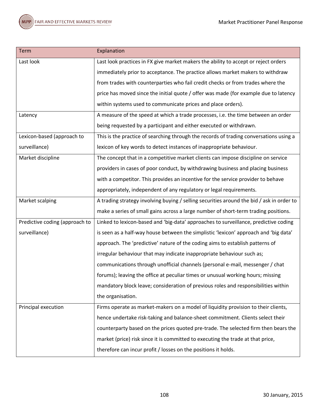**MPP** 

| Term                           | Explanation                                                                               |
|--------------------------------|-------------------------------------------------------------------------------------------|
| Last look                      | Last look practices in FX give market makers the ability to accept or reject orders       |
|                                | immediately prior to acceptance. The practice allows market makers to withdraw            |
|                                | from trades with counterparties who fail credit checks or from trades where the           |
|                                | price has moved since the initial quote / offer was made (for example due to latency      |
|                                | within systems used to communicate prices and place orders).                              |
| Latency                        | A measure of the speed at which a trade processes, i.e. the time between an order         |
|                                | being requested by a participant and either executed or withdrawn.                        |
| Lexicon-based (approach to     | This is the practice of searching through the records of trading conversations using a    |
| surveillance)                  | lexicon of key words to detect instances of inappropriate behaviour.                      |
| Market discipline              | The concept that in a competitive market clients can impose discipline on service         |
|                                | providers in cases of poor conduct, by withdrawing business and placing business          |
|                                | with a competitor. This provides an incentive for the service provider to behave          |
|                                | appropriately, independent of any regulatory or legal requirements.                       |
| Market scalping                | A trading strategy involving buying / selling securities around the bid / ask in order to |
|                                | make a series of small gains across a large number of short-term trading positions.       |
| Predictive coding (approach to | Linked to lexicon-based and 'big-data' approaches to surveillance, predictive coding      |
| surveillance)                  | is seen as a half-way house between the simplistic 'lexicon' approach and 'big data'      |
|                                | approach. The 'predictive' nature of the coding aims to establish patterns of             |
|                                | irregular behaviour that may indicate inappropriate behaviour such as;                    |
|                                | communications through unofficial channels (personal e-mail, messenger / chat             |
|                                | forums); leaving the office at peculiar times or unusual working hours; missing           |
|                                | mandatory block leave; consideration of previous roles and responsibilities within        |
|                                | the organisation.                                                                         |
| Principal execution            | Firms operate as market-makers on a model of liquidity provision to their clients,        |
|                                | hence undertake risk-taking and balance-sheet commitment. Clients select their            |
|                                | counterparty based on the prices quoted pre-trade. The selected firm then bears the       |
|                                | market (price) risk since it is committed to executing the trade at that price,           |
|                                | therefore can incur profit / losses on the positions it holds.                            |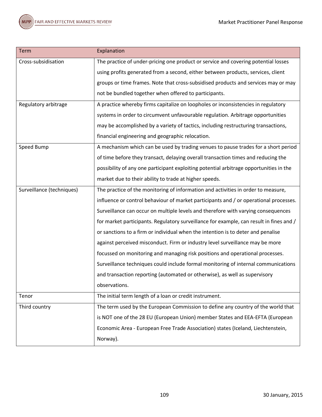| Term                      | Explanation                                                                             |
|---------------------------|-----------------------------------------------------------------------------------------|
| Cross-subsidisation       | The practice of under-pricing one product or service and covering potential losses      |
|                           | using profits generated from a second, either between products, services, client        |
|                           | groups or time frames. Note that cross-subsidised products and services may or may      |
|                           | not be bundled together when offered to participants.                                   |
| Regulatory arbitrage      | A practice whereby firms capitalize on loopholes or inconsistencies in regulatory       |
|                           | systems in order to circumvent unfavourable regulation. Arbitrage opportunities         |
|                           | may be accomplished by a variety of tactics, including restructuring transactions,      |
|                           | financial engineering and geographic relocation.                                        |
| Speed Bump                | A mechanism which can be used by trading venues to pause trades for a short period      |
|                           | of time before they transact, delaying overall transaction times and reducing the       |
|                           | possibility of any one participant exploiting potential arbitrage opportunities in the  |
|                           | market due to their ability to trade at higher speeds.                                  |
| Surveillance (techniques) | The practice of the monitoring of information and activities in order to measure,       |
|                           | influence or control behaviour of market participants and / or operational processes.   |
|                           | Surveillance can occur on multiple levels and therefore with varying consequences       |
|                           | for market participants. Regulatory surveillance for example, can result in fines and / |
|                           | or sanctions to a firm or individual when the intention is to deter and penalise        |
|                           | against perceived misconduct. Firm or industry level surveillance may be more           |
|                           | focussed on monitoring and managing risk positions and operational processes.           |
|                           | Surveillance techniques could include formal monitoring of internal communications      |
|                           | and transaction reporting (automated or otherwise), as well as supervisory              |
|                           | observations.                                                                           |
| Tenor                     | The initial term length of a loan or credit instrument.                                 |
| Third country             | The term used by the European Commission to define any country of the world that        |
|                           | is NOT one of the 28 EU (European Union) member States and EEA-EFTA (European           |
|                           | Economic Area - European Free Trade Association) states (Iceland, Liechtenstein,        |
|                           | Norway).                                                                                |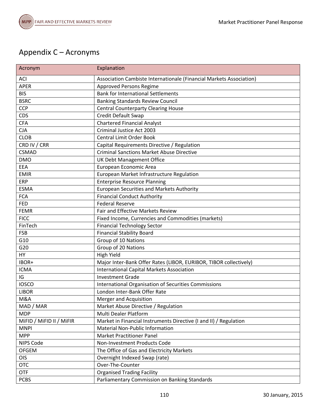## Appendix C – Acronyms

| Acronym                  | Explanation                                                         |
|--------------------------|---------------------------------------------------------------------|
| <b>ACI</b>               | Association Cambiste Internationale (Financial Markets Association) |
| <b>APER</b>              | <b>Approved Persons Regime</b>                                      |
| <b>BIS</b>               | <b>Bank for International Settlements</b>                           |
| <b>BSRC</b>              | <b>Banking Standards Review Council</b>                             |
| <b>CCP</b>               | <b>Central Counterparty Clearing House</b>                          |
| <b>CDS</b>               | <b>Credit Default Swap</b>                                          |
| <b>CFA</b>               | <b>Chartered Financial Analyst</b>                                  |
| <b>CJA</b>               | <b>Criminal Justice Act 2003</b>                                    |
| <b>CLOB</b>              | <b>Central Limit Order Book</b>                                     |
| CRD IV / CRR             | Capital Requirements Directive / Regulation                         |
| <b>CSMAD</b>             | <b>Criminal Sanctions Market Abuse Directive</b>                    |
| <b>DMO</b>               | <b>UK Debt Management Office</b>                                    |
| EEA                      | European Economic Area                                              |
| <b>EMIR</b>              | European Market Infrastructure Regulation                           |
| <b>ERP</b>               | <b>Enterprise Resource Planning</b>                                 |
| <b>ESMA</b>              | <b>European Securities and Markets Authority</b>                    |
| <b>FCA</b>               | <b>Financial Conduct Authority</b>                                  |
| <b>FED</b>               | <b>Federal Reserve</b>                                              |
| <b>FEMR</b>              | Fair and Effective Markets Review                                   |
| <b>FICC</b>              | Fixed Income, Currencies and Commodities (markets)                  |
| FinTech                  | <b>Financial Technology Sector</b>                                  |
| <b>FSB</b>               | <b>Financial Stability Board</b>                                    |
| G10                      | Group of 10 Nations                                                 |
| G20                      | Group of 20 Nations                                                 |
| HY                       | <b>High Yield</b>                                                   |
| IBOR+                    | Major Inter-Bank Offer Rates (LIBOR, EURIBOR, TIBOR collectively)   |
| <b>ICMA</b>              | <b>International Capital Markets Association</b>                    |
| IG                       | <b>Investment Grade</b>                                             |
| <b>IOSCO</b>             | <b>International Organisation of Securities Commissions</b>         |
| <b>LIBOR</b>             | London Inter-Bank Offer Rate                                        |
| M&A                      | Merger and Acquisition                                              |
| MAD / MAR                | Market Abuse Directive / Regulation                                 |
| <b>MDP</b>               | Multi Dealer Platform                                               |
| MiFID / MiFID II / MiFIR | Market in Financial Instruments Directive (I and II) / Regulation   |
| <b>MNPI</b>              | Material Non-Public Information                                     |
| <b>MPP</b>               | <b>Market Practitioner Panel</b>                                    |
| NIPS Code                | Non-Investment Products Code                                        |
| <b>OFGEM</b>             | The Office of Gas and Electricity Markets                           |
| OIS                      | Overnight Indexed Swap (rate)                                       |
| <b>OTC</b>               | Over-The-Counter                                                    |
| <b>OTF</b>               | <b>Organised Trading Facility</b>                                   |
| <b>PCBS</b>              | Parliamentary Commission on Banking Standards                       |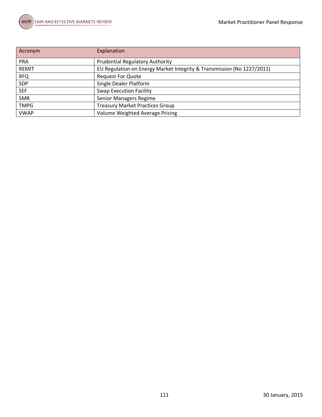**MPP** 

| Acronym      | Explanation                                                            |
|--------------|------------------------------------------------------------------------|
| <b>PRA</b>   | <b>Prudential Regulatory Authority</b>                                 |
| <b>REMIT</b> | EU Regulation on Energy Market Integrity & Transmission (No 1227/2011) |
| <b>RFQ</b>   | <b>Request For Quote</b>                                               |
| <b>SDP</b>   | Single Dealer Platform                                                 |
| <b>SEF</b>   | <b>Swap Execution Facility</b>                                         |
| <b>SMR</b>   | Senior Managers Regime                                                 |
| <b>TMPG</b>  | <b>Treasury Market Practices Group</b>                                 |
| <b>VWAP</b>  | <b>Volume Weighted Average Pricing</b>                                 |